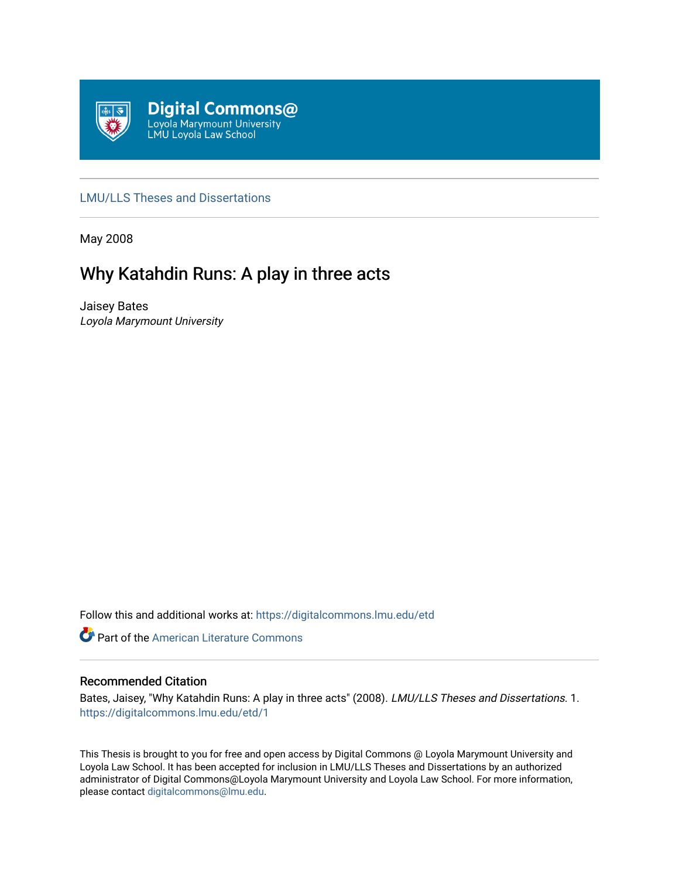

# [LMU/LLS Theses and Dissertations](https://digitalcommons.lmu.edu/etd)

May 2008

# Why Katahdin Runs: A play in three acts

Jaisey Bates Loyola Marymount University

Follow this and additional works at: [https://digitalcommons.lmu.edu/etd](https://digitalcommons.lmu.edu/etd?utm_source=digitalcommons.lmu.edu%2Fetd%2F1&utm_medium=PDF&utm_campaign=PDFCoverPages) 

Part of the [American Literature Commons](http://network.bepress.com/hgg/discipline/441?utm_source=digitalcommons.lmu.edu%2Fetd%2F1&utm_medium=PDF&utm_campaign=PDFCoverPages)

# Recommended Citation

Bates, Jaisey, "Why Katahdin Runs: A play in three acts" (2008). LMU/LLS Theses and Dissertations. 1. [https://digitalcommons.lmu.edu/etd/1](https://digitalcommons.lmu.edu/etd/1?utm_source=digitalcommons.lmu.edu%2Fetd%2F1&utm_medium=PDF&utm_campaign=PDFCoverPages) 

This Thesis is brought to you for free and open access by Digital Commons @ Loyola Marymount University and Loyola Law School. It has been accepted for inclusion in LMU/LLS Theses and Dissertations by an authorized administrator of Digital Commons@Loyola Marymount University and Loyola Law School. For more information, please contact [digitalcommons@lmu.edu](mailto:digitalcommons@lmu.edu).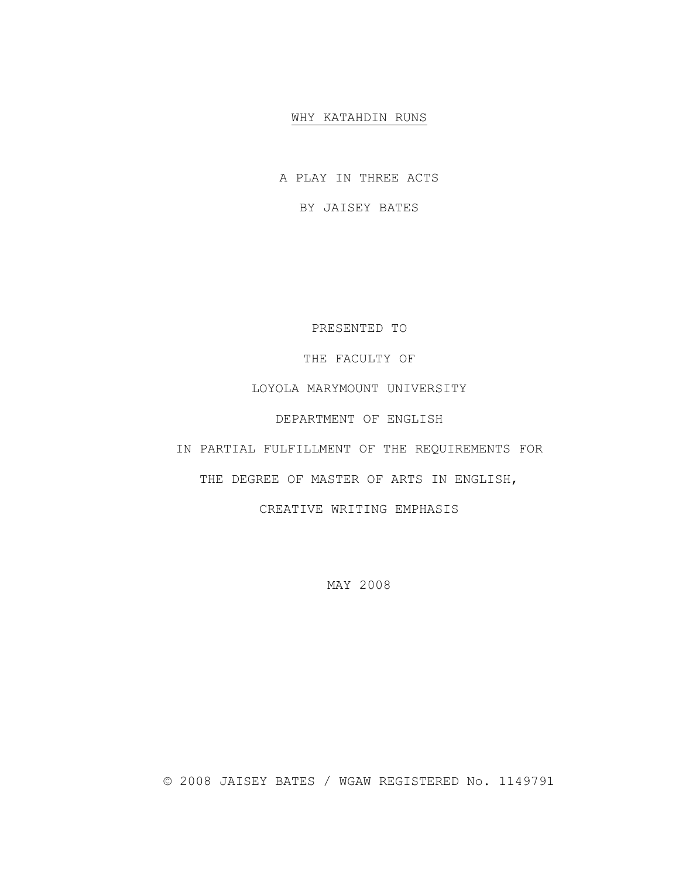# WHY KATAHDIN RUNS

A PLAY IN THREE ACTS

BY JAISEY BATES

PRESENTED TO

THE FACULTY OF

LOYOLA MARYMOUNT UNIVERSITY

DEPARTMENT OF ENGLISH

IN PARTIAL FULFILLMENT OF THE REQUIREMENTS FOR

THE DEGREE OF MASTER OF ARTS IN ENGLISH,

CREATIVE WRITING EMPHASIS

MAY 2008

© 2008 JAISEY BATES / WGAW REGISTERED No. 1149791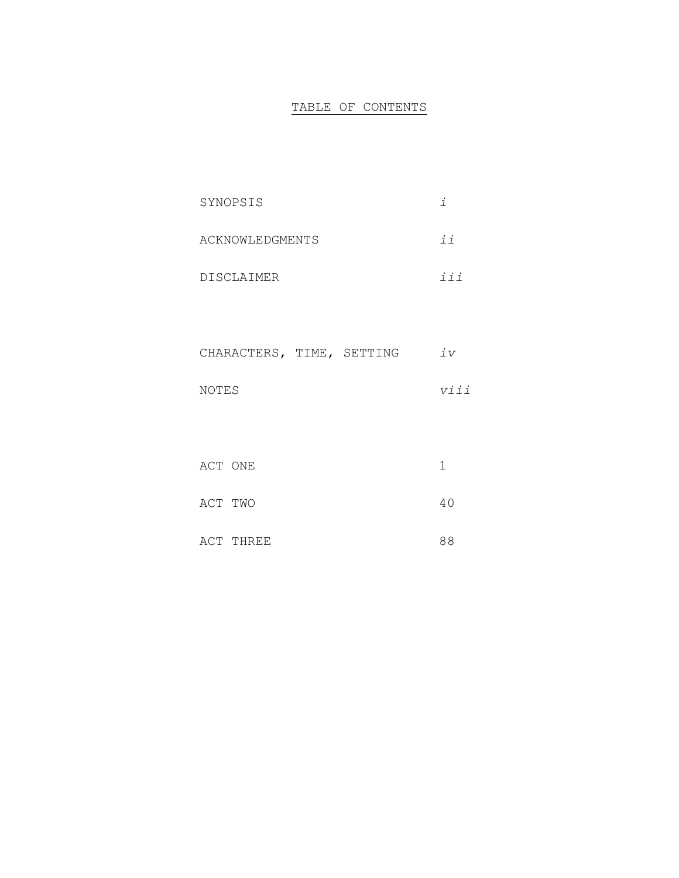# TABLE OF CONTENTS

| SYNOPSIS          |                                           |
|-------------------|-------------------------------------------|
| ACKNOWLEDGMENTS   | $\vec{v}$                                 |
| <b>DISCLAIMER</b> | $\frac{1}{7}$ $\frac{1}{7}$ $\frac{1}{7}$ |

| CHARACTERS, TIME, SETTING |  | 7 <sub>7</sub> |
|---------------------------|--|----------------|
|                           |  |                |
| NOTES                     |  | v i i          |

| ACT ONE |           |    |
|---------|-----------|----|
| ACT TWO |           | 40 |
|         | ACT THREE | 88 |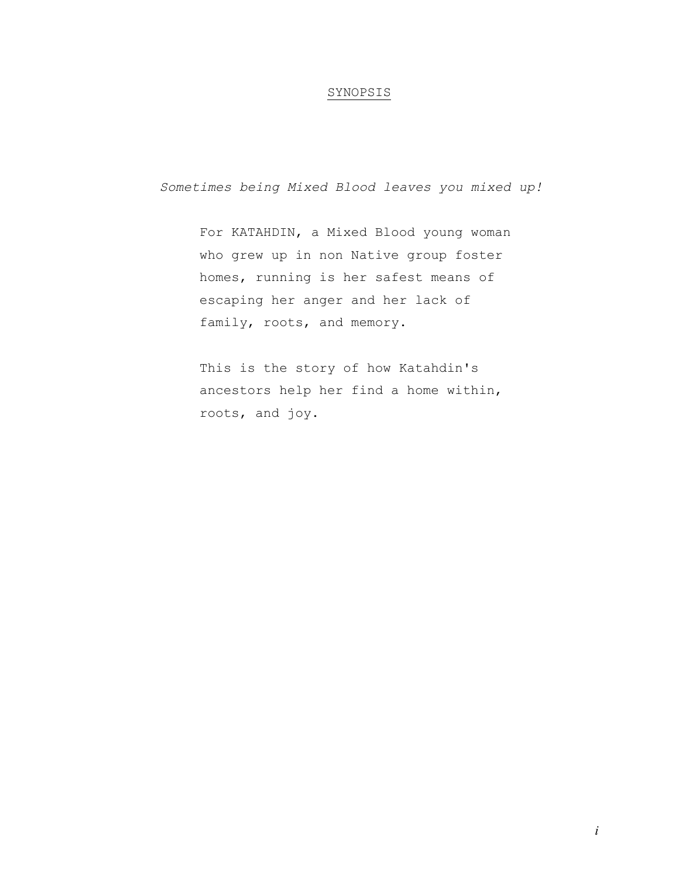# SYNOPSIS

*Sometimes being Mixed Blood leaves you mixed up!* 

For KATAHDIN, a Mixed Blood young woman who grew up in non Native group foster homes, running is her safest means of escaping her anger and her lack of family, roots, and memory.

This is the story of how Katahdin's ancestors help her find a home within, roots, and joy.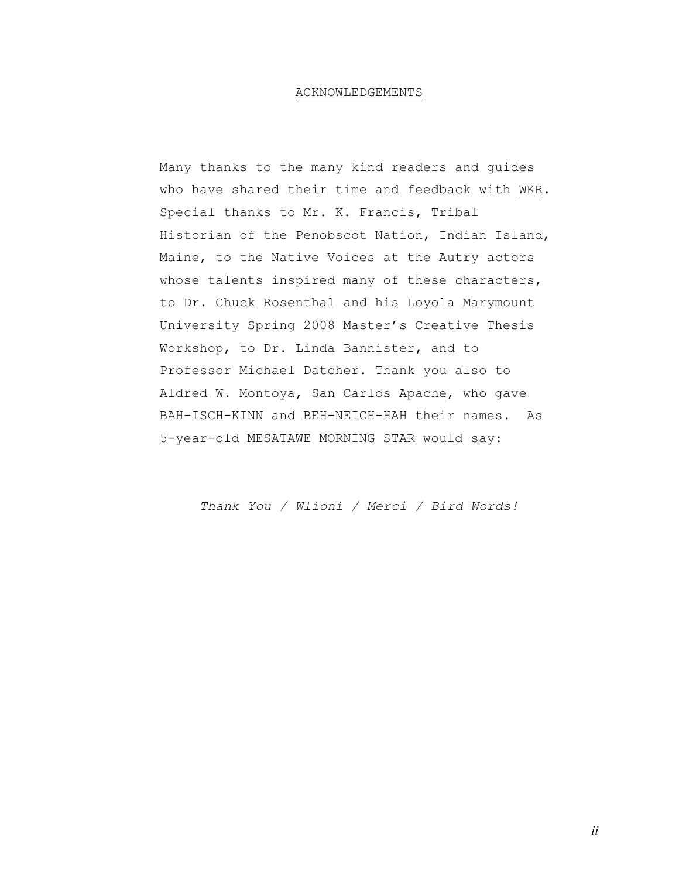## ACKNOWLEDGEMENTS

Many thanks to the many kind readers and guides who have shared their time and feedback with WKR. Special thanks to Mr. K. Francis, Tribal Historian of the Penobscot Nation, Indian Island, Maine, to the Native Voices at the Autry actors whose talents inspired many of these characters, to Dr. Chuck Rosenthal and his Loyola Marymount University Spring 2008 Master's Creative Thesis Workshop, to Dr. Linda Bannister, and to Professor Michael Datcher. Thank you also to Aldred W. Montoya, San Carlos Apache, who gave BAH-ISCH-KINN and BEH-NEICH-HAH their names. As 5-year-old MESATAWE MORNING STAR would say:

*Thank You / Wlioni / Merci / Bird Words!*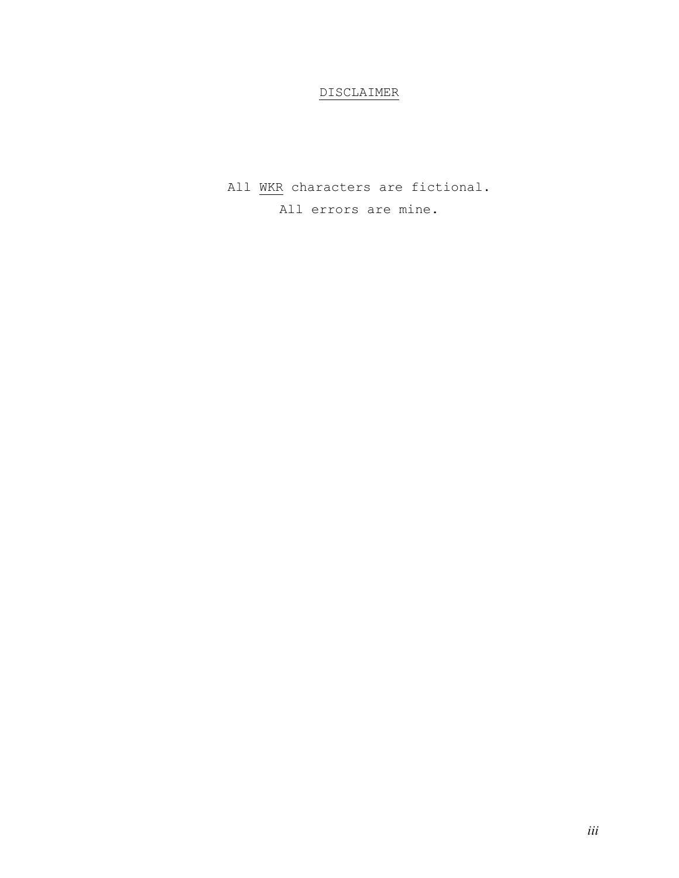# DISCLAIMER

All WKR characters are fictional. All errors are mine.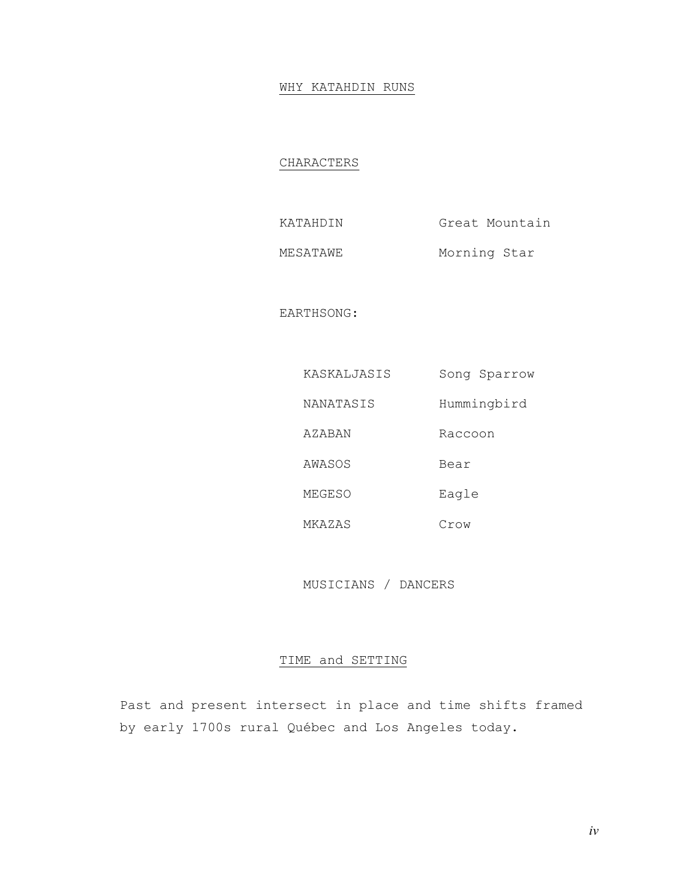# WHY KATAHDIN RUNS

# CHARACTERS

| KATAHDIN | Great Mountain |
|----------|----------------|
| MESATAWE | Morning Star   |

EARTHSONG:

| KASKALJASIS | Song Sparrow |
|-------------|--------------|
| NANATASIS   | Hummingbird  |
| AZABAN      | Raccoon      |
| AWASOS      | Bear         |
| MEGESO      | Eagle        |
| MKAZAS      | Crow         |

MUSICIANS / DANCERS

# TIME and SETTING

Past and present intersect in place and time shifts framed by early 1700s rural Québec and Los Angeles today.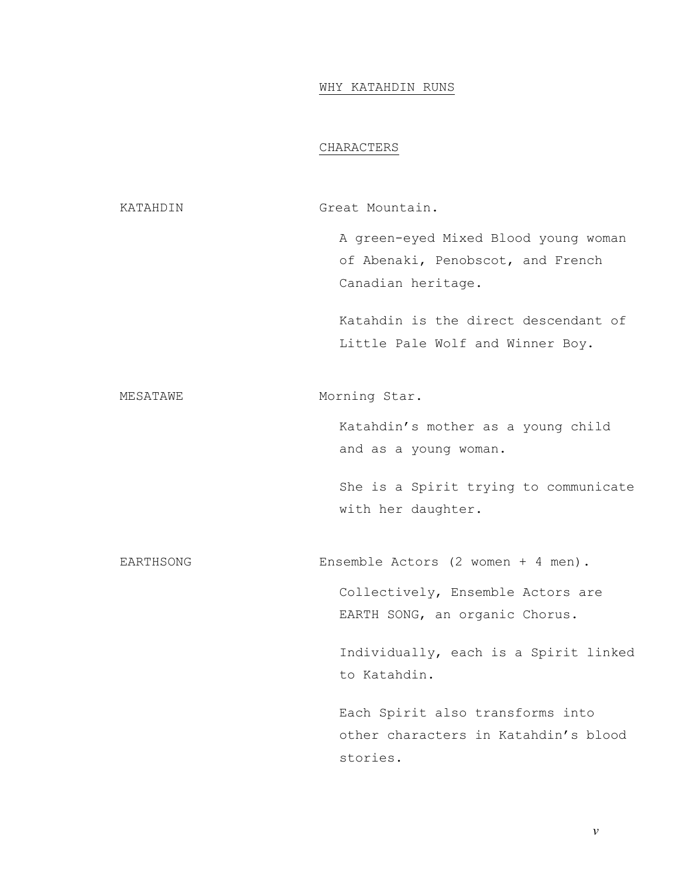# WHY KATAHDIN RUNS

# CHARACTERS

KATAHDIN Great Mountain. A green-eyed Mixed Blood young woman of Abenaki, Penobscot, and French Canadian heritage. Katahdin is the direct descendant of Little Pale Wolf and Winner Boy. MESATAWE Morning Star. Katahdin's mother as a young child and as a young woman. She is a Spirit trying to communicate with her daughter. EARTHSONG Ensemble Actors (2 women + 4 men). Collectively, Ensemble Actors are EARTH SONG, an organic Chorus. Individually, each is a Spirit linked to Katahdin. Each Spirit also transforms into other characters in Katahdin's blood stories.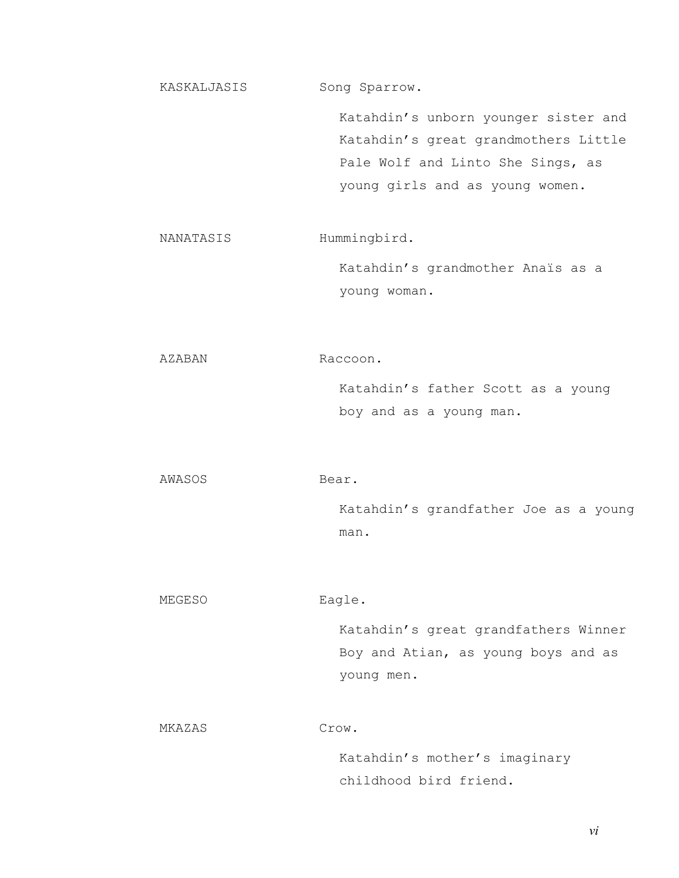KASKALJASIS Song Sparrow. Katahdin's unborn younger sister and Katahdin's great grandmothers Little Pale Wolf and Linto She Sings, as young girls and as young women. NANATASIS Hummingbird. Katahdin's grandmother Anaïs as a young woman. AZABAN Raccoon. Katahdin's father Scott as a young boy and as a young man. AWASOS Bear. Katahdin's grandfather Joe as a young man.

MEGESO Eagle.

Katahdin's great grandfathers Winner Boy and Atian, as young boys and as young men.

MKAZAS Crow.

Katahdin's mother's imaginary childhood bird friend.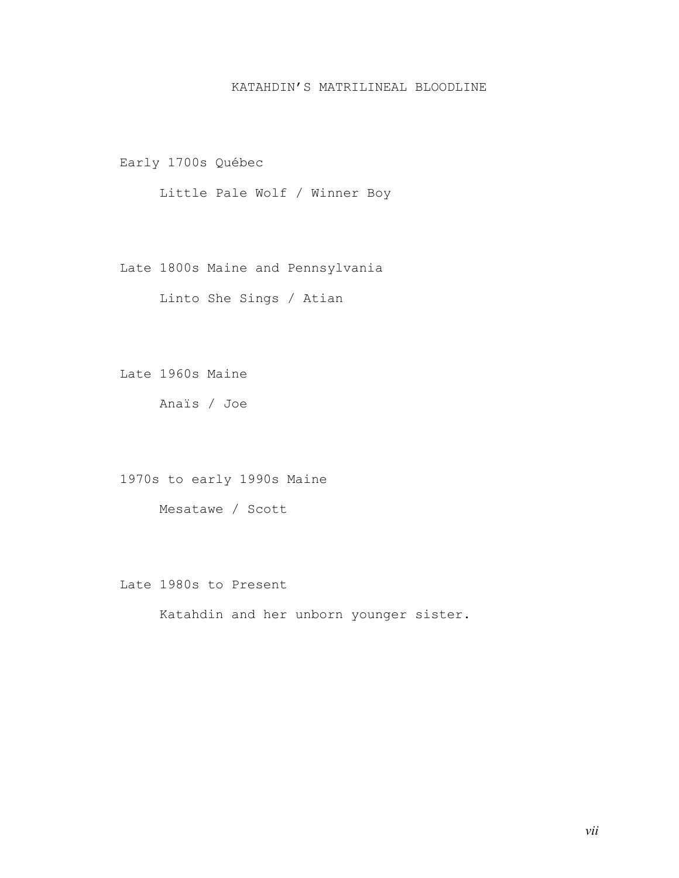# KATAHDIN'S MATRILINEAL BLOODLINE

Early 1700s Québec

Little Pale Wolf / Winner Boy

Late 1800s Maine and Pennsylvania

Linto She Sings / Atian

Late 1960s Maine

Anaïs / Joe

1970s to early 1990s Maine

Mesatawe / Scott

Late 1980s to Present

Katahdin and her unborn younger sister.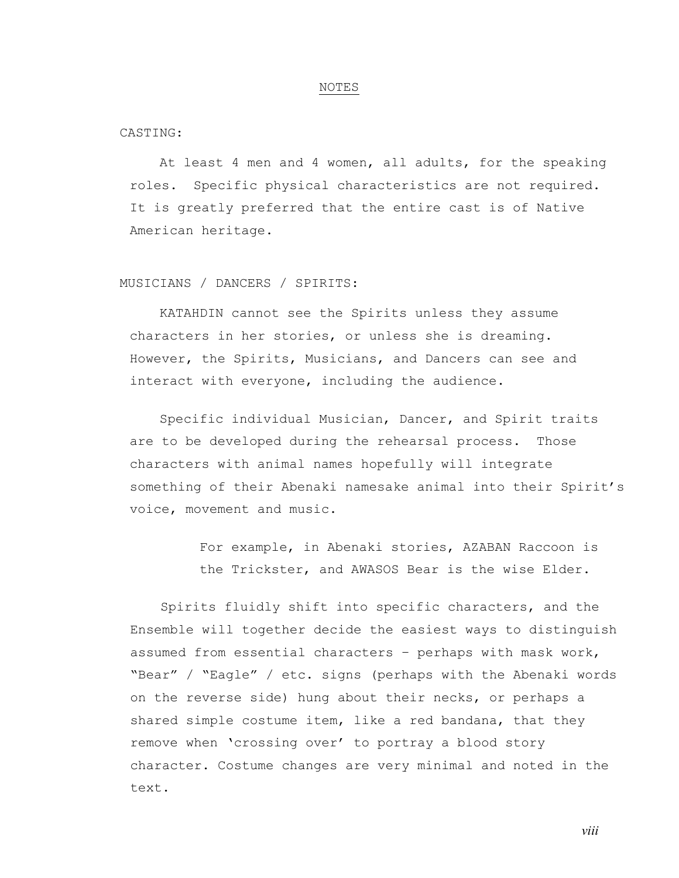#### NOTES

CASTING:

At least 4 men and 4 women, all adults, for the speaking roles. Specific physical characteristics are not required. It is greatly preferred that the entire cast is of Native American heritage.

# MUSICIANS / DANCERS / SPIRITS:

KATAHDIN cannot see the Spirits unless they assume characters in her stories, or unless she is dreaming. However, the Spirits, Musicians, and Dancers can see and interact with everyone, including the audience.

Specific individual Musician, Dancer, and Spirit traits are to be developed during the rehearsal process. Those characters with animal names hopefully will integrate something of their Abenaki namesake animal into their Spirit's voice, movement and music.

> For example, in Abenaki stories, AZABAN Raccoon is the Trickster, and AWASOS Bear is the wise Elder.

Spirits fluidly shift into specific characters, and the Ensemble will together decide the easiest ways to distinguish assumed from essential characters – perhaps with mask work, "Bear" / "Eagle" / etc. signs (perhaps with the Abenaki words on the reverse side) hung about their necks, or perhaps a shared simple costume item, like a red bandana, that they remove when 'crossing over' to portray a blood story character. Costume changes are very minimal and noted in the text.

*viii*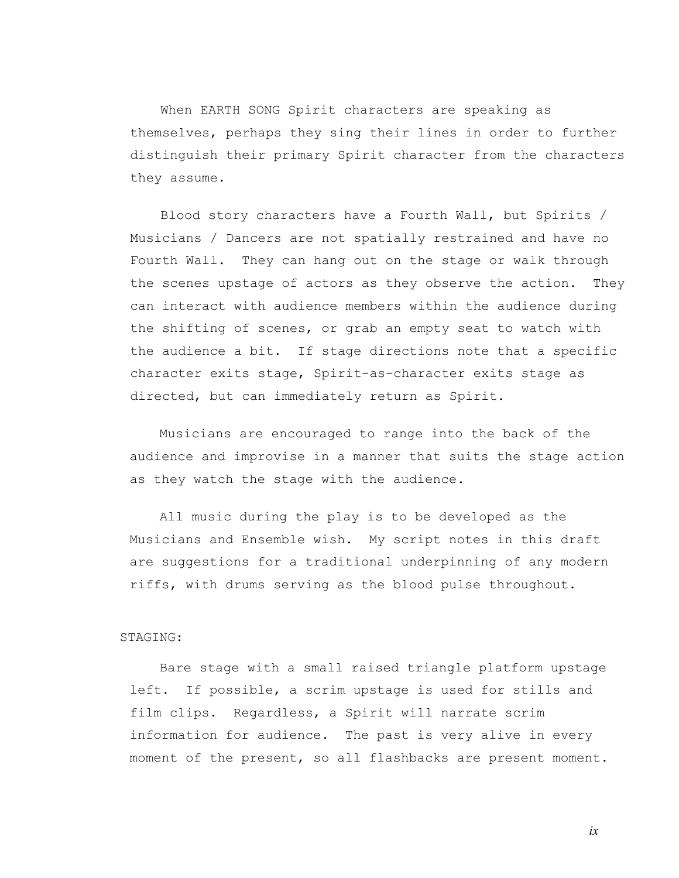When EARTH SONG Spirit characters are speaking as themselves, perhaps they sing their lines in order to further distinguish their primary Spirit character from the characters they assume.

Blood story characters have a Fourth Wall, but Spirits / Musicians / Dancers are not spatially restrained and have no Fourth Wall. They can hang out on the stage or walk through the scenes upstage of actors as they observe the action. They can interact with audience members within the audience during the shifting of scenes, or grab an empty seat to watch with the audience a bit. If stage directions note that a specific character exits stage, Spirit-as-character exits stage as directed, but can immediately return as Spirit.

Musicians are encouraged to range into the back of the audience and improvise in a manner that suits the stage action as they watch the stage with the audience.

All music during the play is to be developed as the Musicians and Ensemble wish. My script notes in this draft are suggestions for a traditional underpinning of any modern riffs, with drums serving as the blood pulse throughout.

### STAGING:

Bare stage with a small raised triangle platform upstage left. If possible, a scrim upstage is used for stills and film clips. Regardless, a Spirit will narrate scrim information for audience. The past is very alive in every moment of the present, so all flashbacks are present moment.

*ix*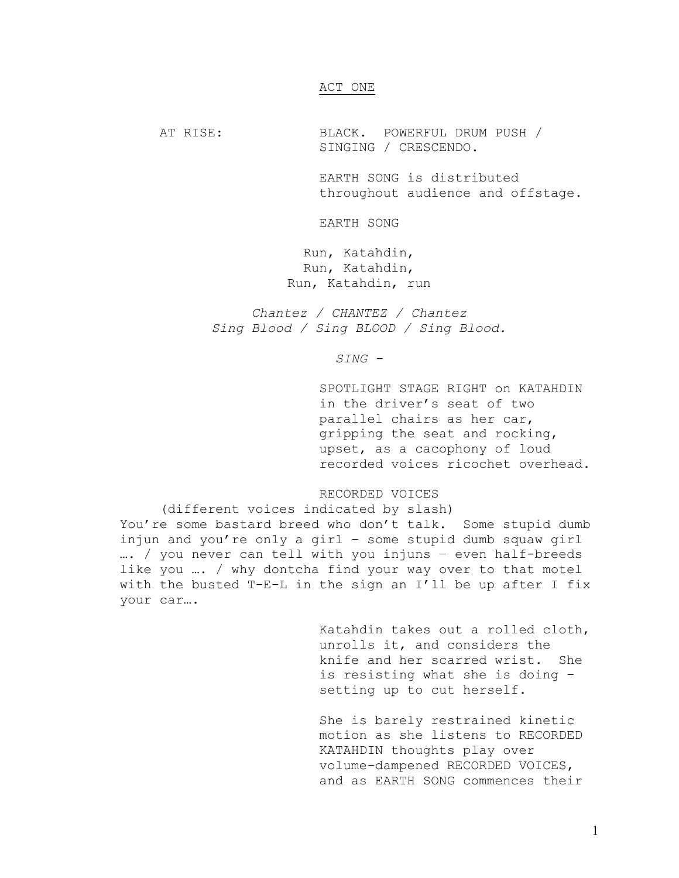#### ACT ONE

AT RISE: BLACK. POWERFUL DRUM PUSH / SINGING / CRESCENDO.

> EARTH SONG is distributed throughout audience and offstage.

EARTH SONG

Run, Katahdin, Run, Katahdin, Run, Katahdin, run

*Chantez / CHANTEZ / Chantez Sing Blood / Sing BLOOD / Sing Blood.* 

*SING -* 

SPOTLIGHT STAGE RIGHT on KATAHDIN in the driver's seat of two parallel chairs as her car, gripping the seat and rocking, upset, as a cacophony of loud recorded voices ricochet overhead.

# RECORDED VOICES

 (different voices indicated by slash) You're some bastard breed who don't talk. Some stupid dumb injun and you're only a girl – some stupid dumb squaw girl …. / you never can tell with you injuns – even half-breeds like you …. / why dontcha find your way over to that motel with the busted T-E-L in the sign an I'll be up after I fix your car….

> Katahdin takes out a rolled cloth, unrolls it, and considers the knife and her scarred wrist. She is resisting what she is doing – setting up to cut herself.

She is barely restrained kinetic motion as she listens to RECORDED KATAHDIN thoughts play over volume-dampened RECORDED VOICES, and as EARTH SONG commences their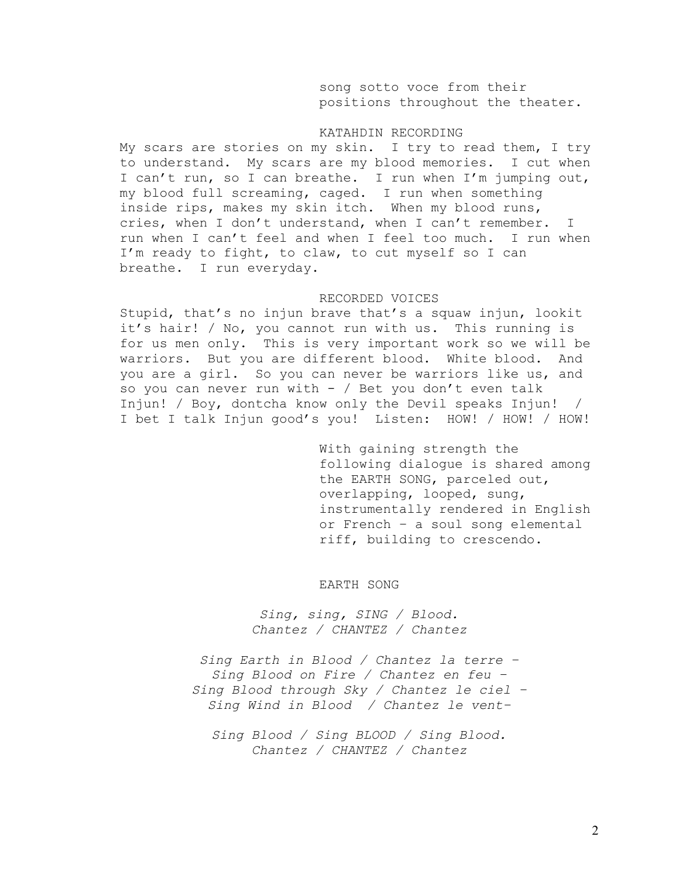song sotto voce from their positions throughout the theater.

### KATAHDIN RECORDING

My scars are stories on my skin. I try to read them, I try to understand. My scars are my blood memories. I cut when I can't run, so I can breathe. I run when I'm jumping out, my blood full screaming, caged. I run when something inside rips, makes my skin itch. When my blood runs, cries, when I don't understand, when I can't remember. I run when I can't feel and when I feel too much. I run when I'm ready to fight, to claw, to cut myself so I can breathe. I run everyday.

#### RECORDED VOICES

Stupid, that's no injun brave that's a squaw injun, lookit it's hair! / No, you cannot run with us. This running is for us men only. This is very important work so we will be warriors. But you are different blood. White blood. And you are a girl. So you can never be warriors like us, and so you can never run with  $-$  / Bet you don't even talk Injun! / Boy, dontcha know only the Devil speaks Injun! / I bet I talk Injun good's you! Listen: HOW! / HOW! / HOW!

> With gaining strength the following dialogue is shared among the EARTH SONG, parceled out, overlapping, looped, sung, instrumentally rendered in English or French – a soul song elemental riff, building to crescendo.

#### EARTH SONG

*Sing, sing, SING / Blood. Chantez / CHANTEZ / Chantez* 

*Sing Earth in Blood / Chantez la terre – Sing Blood on Fire / Chantez en feu – Sing Blood through Sky / Chantez le ciel – Sing Wind in Blood / Chantez le vent–* 

*Sing Blood / Sing BLOOD / Sing Blood. Chantez / CHANTEZ / Chantez*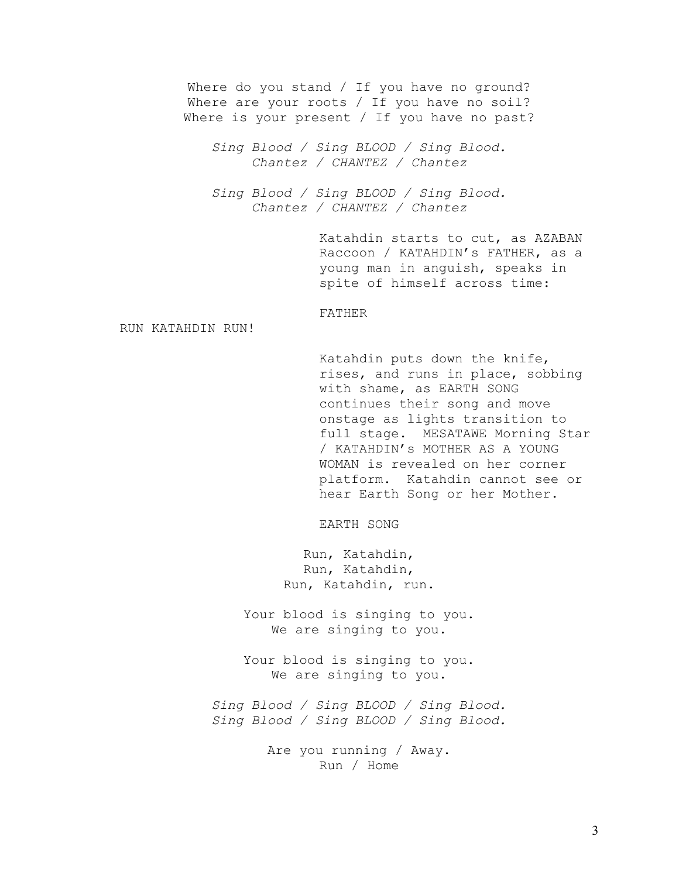Where do you stand / If you have no ground? Where are your roots / If you have no soil? Where is your present / If you have no past?

*Sing Blood / Sing BLOOD / Sing Blood. Chantez / CHANTEZ / Chantez* 

*Sing Blood / Sing BLOOD / Sing Blood. Chantez / CHANTEZ / Chantez* 

> Katahdin starts to cut, as AZABAN Raccoon / KATAHDIN's FATHER, as a young man in anguish, speaks in spite of himself across time:

### FATHER

RUN KATAHDIN RUN!

Katahdin puts down the knife, rises, and runs in place, sobbing with shame, as EARTH SONG continues their song and move onstage as lights transition to full stage. MESATAWE Morning Star / KATAHDIN's MOTHER AS A YOUNG WOMAN is revealed on her corner platform. Katahdin cannot see or hear Earth Song or her Mother.

EARTH SONG

Run, Katahdin, Run, Katahdin, Run, Katahdin, run.

Your blood is singing to you. We are singing to you.

Your blood is singing to you. We are singing to you.

*Sing Blood / Sing BLOOD / Sing Blood. Sing Blood / Sing BLOOD / Sing Blood.* 

> Are you running / Away. Run / Home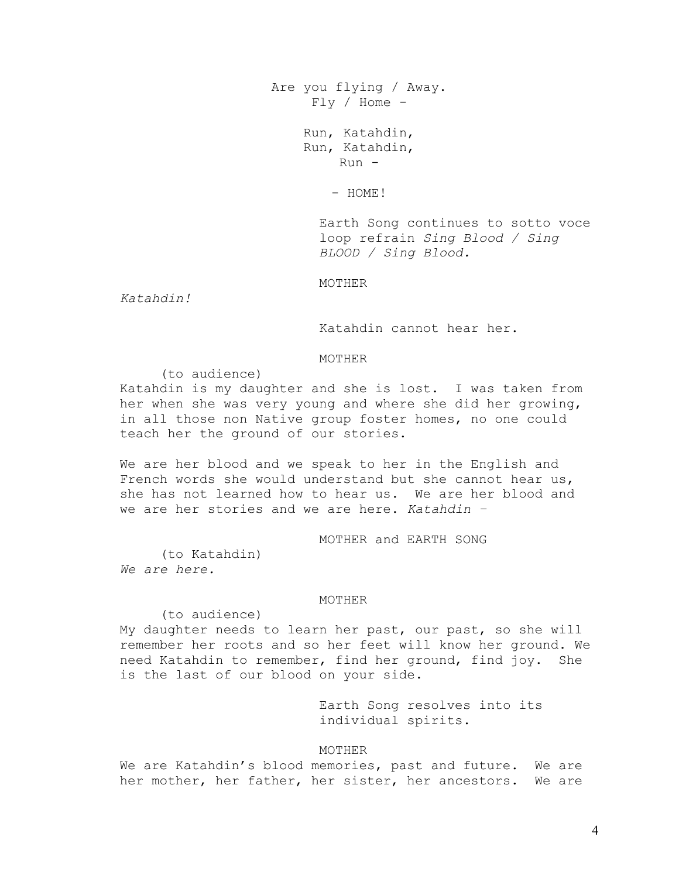Are you flying / Away.  $Fly / Home -$ 

> Run, Katahdin, Run, Katahdin,  $Run -$

> > - HOME!

Earth Song continues to sotto voce loop refrain *Sing Blood / Sing BLOOD / Sing Blood.*

MOTHER

*Katahdin!* 

Katahdin cannot hear her.

### MOTHER

(to audience)

Katahdin is my daughter and she is lost. I was taken from her when she was very young and where she did her growing, in all those non Native group foster homes, no one could teach her the ground of our stories.

We are her blood and we speak to her in the English and French words she would understand but she cannot hear us, she has not learned how to hear us. We are her blood and we are her stories and we are here. *Katahdin –* 

MOTHER and EARTH SONG

(to Katahdin) *We are here.*

#### MOTHER

(to audience)

My daughter needs to learn her past, our past, so she will remember her roots and so her feet will know her ground. We need Katahdin to remember, find her ground, find joy. She is the last of our blood on your side.

> Earth Song resolves into its individual spirits.

# MOTHER

We are Katahdin's blood memories, past and future. We are her mother, her father, her sister, her ancestors. We are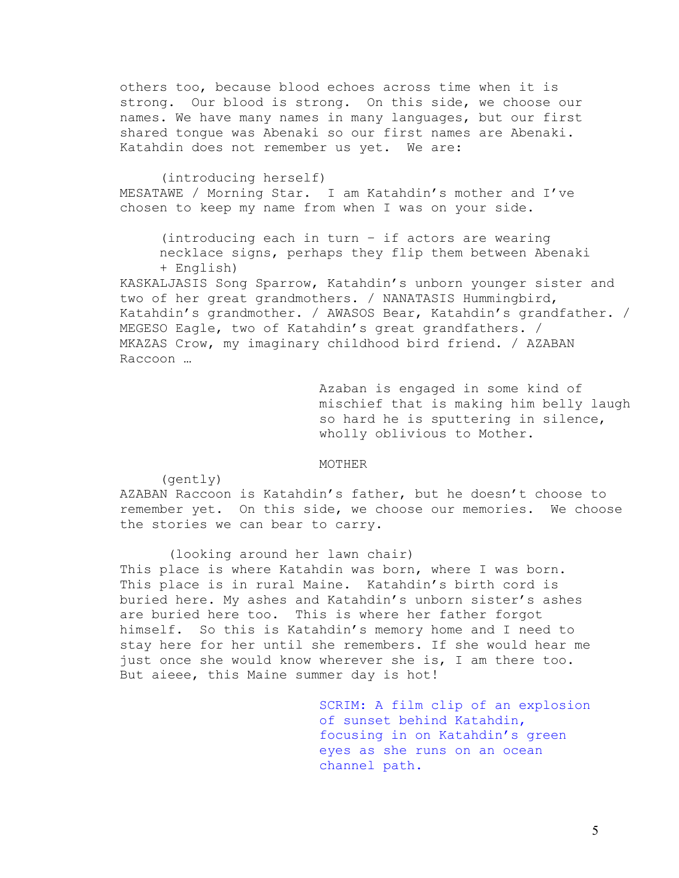others too, because blood echoes across time when it is strong. Our blood is strong. On this side, we choose our names. We have many names in many languages, but our first shared tongue was Abenaki so our first names are Abenaki. Katahdin does not remember us yet. We are:

 (introducing herself) MESATAWE / Morning Star. I am Katahdin's mother and I've chosen to keep my name from when I was on your side.

(introducing each in turn – if actors are wearing necklace signs, perhaps they flip them between Abenaki + English)

KASKALJASIS Song Sparrow, Katahdin's unborn younger sister and two of her great grandmothers. / NANATASIS Hummingbird, Katahdin's grandmother. / AWASOS Bear, Katahdin's grandfather. / MEGESO Eagle, two of Katahdin's great grandfathers. / MKAZAS Crow, my imaginary childhood bird friend. / AZABAN Raccoon …

> Azaban is engaged in some kind of mischief that is making him belly laugh so hard he is sputtering in silence, wholly oblivious to Mother.

#### MOTHER

(gently)

AZABAN Raccoon is Katahdin's father, but he doesn't choose to remember yet. On this side, we choose our memories. We choose the stories we can bear to carry.

 (looking around her lawn chair) This place is where Katahdin was born, where I was born. This place is in rural Maine. Katahdin's birth cord is buried here. My ashes and Katahdin's unborn sister's ashes are buried here too. This is where her father forgot himself. So this is Katahdin's memory home and I need to stay here for her until she remembers. If she would hear me just once she would know wherever she is, I am there too. But aieee, this Maine summer day is hot!

> SCRIM: A film clip of an explosion of sunset behind Katahdin, focusing in on Katahdin's green eyes as she runs on an ocean channel path.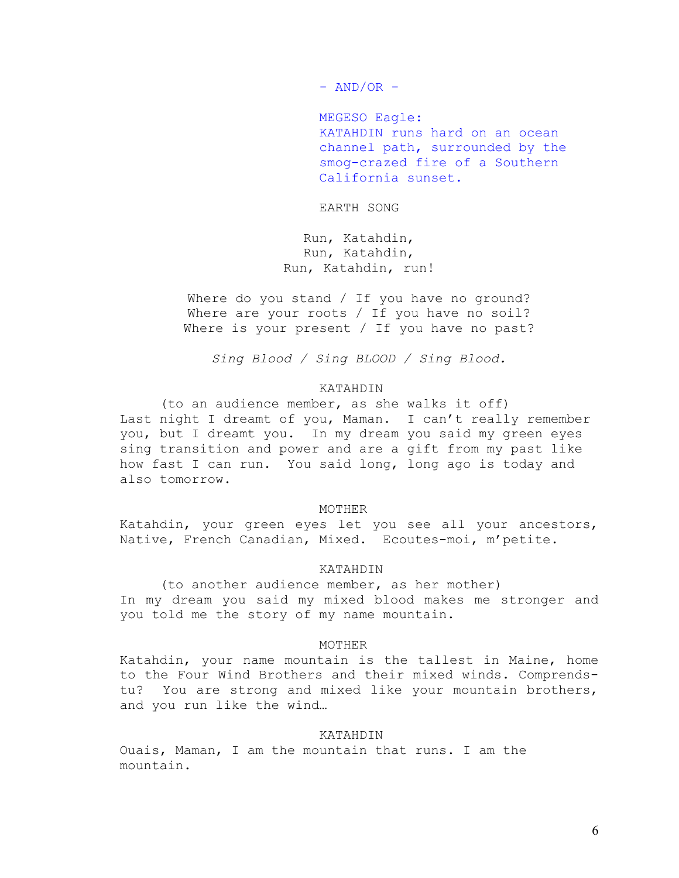$-$  AND/OR  $-$ 

MEGESO Eagle: KATAHDIN runs hard on an ocean channel path, surrounded by the smog-crazed fire of a Southern California sunset.

EARTH SONG

Run, Katahdin, Run, Katahdin, Run, Katahdin, run!

Where do you stand / If you have no ground? Where are your roots / If you have no soil? Where is your present / If you have no past?

*Sing Blood / Sing BLOOD / Sing Blood.* 

# KATAHDIN

 (to an audience member, as she walks it off) Last night I dreamt of you, Maman. I can't really remember you, but I dreamt you. In my dream you said my green eyes sing transition and power and are a gift from my past like how fast I can run. You said long, long ago is today and also tomorrow.

#### MOTHER

Katahdin, your green eyes let you see all your ancestors, Native, French Canadian, Mixed. Ecoutes-moi, m'petite.

### KATAHDIN

(to another audience member, as her mother) In my dream you said my mixed blood makes me stronger and you told me the story of my name mountain.

## MOTHER

Katahdin, your name mountain is the tallest in Maine, home to the Four Wind Brothers and their mixed winds. Comprendstu? You are strong and mixed like your mountain brothers, and you run like the wind…

# KATAHDIN

Ouais, Maman, I am the mountain that runs. I am the mountain.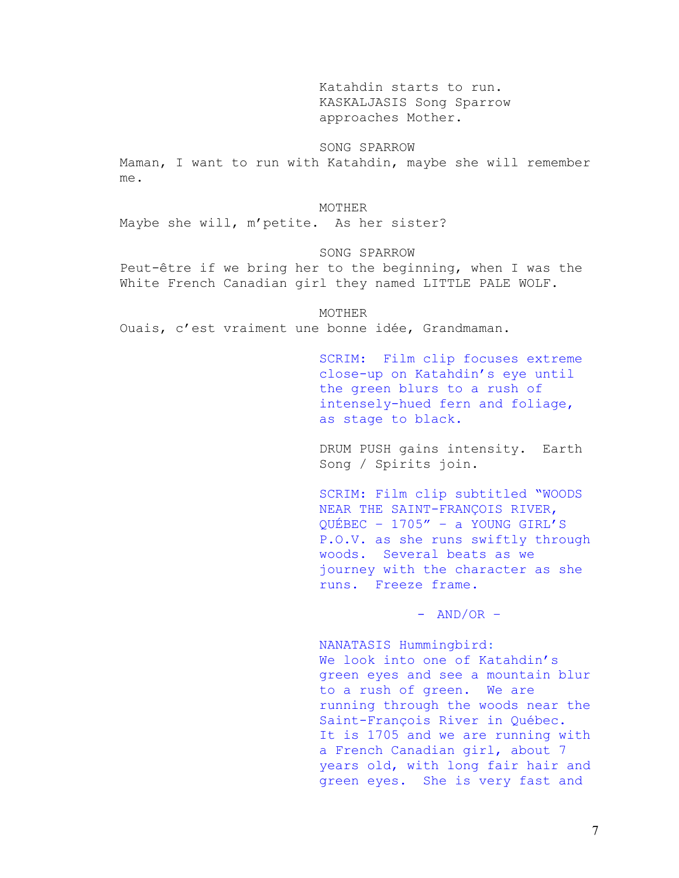Katahdin starts to run. KASKALJASIS Song Sparrow approaches Mother.

# SONG SPARROW

Maman, I want to run with Katahdin, maybe she will remember me.

### MOTHER

Maybe she will, m'petite. As her sister?

#### SONG SPARROW

Peut-être if we bring her to the beginning, when I was the White French Canadian girl they named LITTLE PALE WOLF.

 MOTHER Ouais, c'est vraiment une bonne idée, Grandmaman.

> SCRIM: Film clip focuses extreme close-up on Katahdin's eye until the green blurs to a rush of intensely-hued fern and foliage, as stage to black.

> DRUM PUSH gains intensity. Earth Song / Spirits join.

SCRIM: Film clip subtitled "WOODS NEAR THE SAINT-FRANÇOIS RIVER, QUÉBEC – 1705" – a YOUNG GIRL'S P.O.V. as she runs swiftly through woods. Several beats as we journey with the character as she runs. Freeze frame.

 $-$  AND/OR  $-$ 

NANATASIS Hummingbird: We look into one of Katahdin's green eyes and see a mountain blur to a rush of green. We are running through the woods near the Saint-François River in Québec. It is 1705 and we are running with a French Canadian girl, about 7 years old, with long fair hair and green eyes. She is very fast and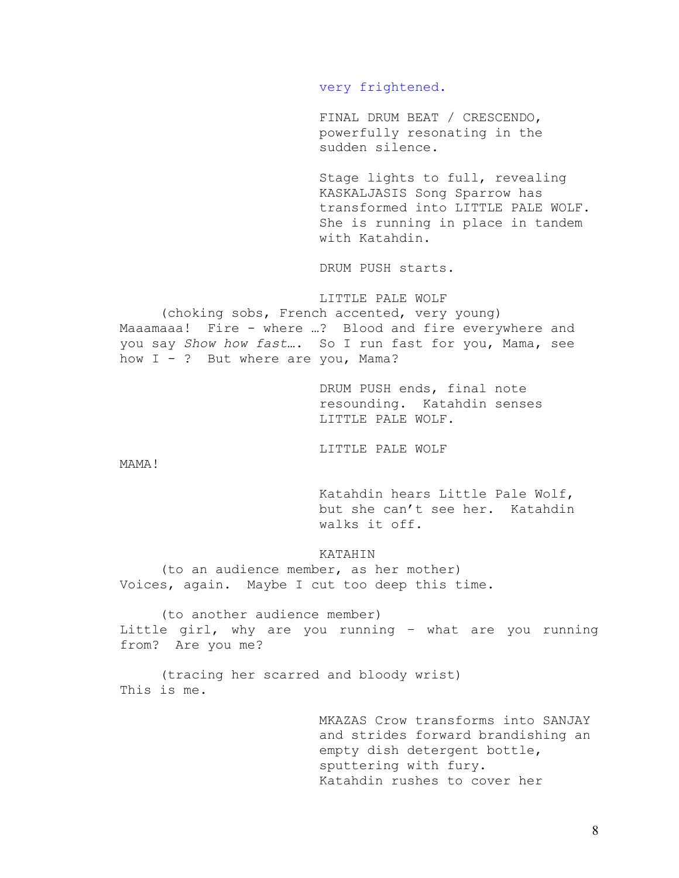very frightened.

FINAL DRUM BEAT / CRESCENDO, powerfully resonating in the sudden silence.

Stage lights to full, revealing KASKALJASIS Song Sparrow has transformed into LITTLE PALE WOLF. She is running in place in tandem with Katahdin.

DRUM PUSH starts.

LITTLE PALE WOLF

 (choking sobs, French accented, very young) Maaamaaa! Fire - where …? Blood and fire everywhere and you say *Show how fast*…. So I run fast for you, Mama, see how I - ? But where are you, Mama?

> DRUM PUSH ends, final note resounding. Katahdin senses LITTLE PALE WOLF.

LITTLE PALE WOLF

MAMA!

Katahdin hears Little Pale Wolf, but she can't see her. Katahdin walks it off.

# KATAHIN

 (to an audience member, as her mother) Voices, again. Maybe I cut too deep this time.

 (to another audience member) Little girl, why are you running – what are you running from? Are you me?

(tracing her scarred and bloody wrist) This is me.

> MKAZAS Crow transforms into SANJAY and strides forward brandishing an empty dish detergent bottle, sputtering with fury. Katahdin rushes to cover her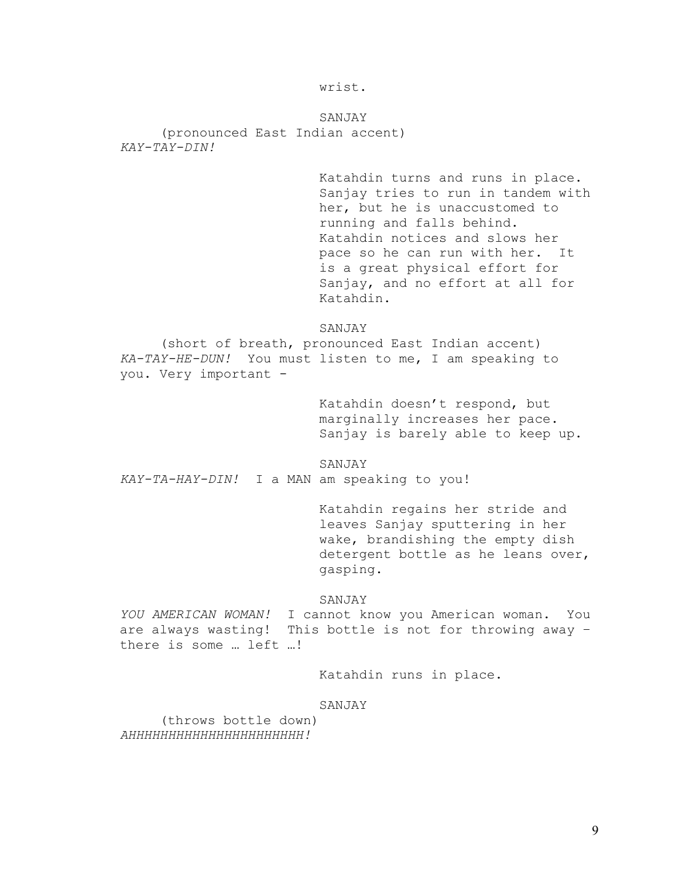wrist.

SANJAY (pronounced East Indian accent) *KAY-TAY-DIN!*

> Katahdin turns and runs in place. Sanjay tries to run in tandem with her, but he is unaccustomed to running and falls behind. Katahdin notices and slows her pace so he can run with her. It is a great physical effort for Sanjay, and no effort at all for Katahdin.

### SANJAY

(short of breath, pronounced East Indian accent) *KA-TAY-HE-DUN!* You must listen to me, I am speaking to you. Very important -

> Katahdin doesn't respond, but marginally increases her pace. Sanjay is barely able to keep up.

SANJAY

*KAY-TA-HAY-DIN!* I a MAN am speaking to you!

Katahdin regains her stride and leaves Sanjay sputtering in her wake, brandishing the empty dish detergent bottle as he leans over, gasping.

### SANJAY

*YOU AMERICAN WOMAN!* I cannot know you American woman. You are always wasting! This bottle is not for throwing away – there is some … left …!

Katahdin runs in place.

#### SANJAY

 (throws bottle down) *AHHHHHHHHHHHHHHHHHHHHHH!*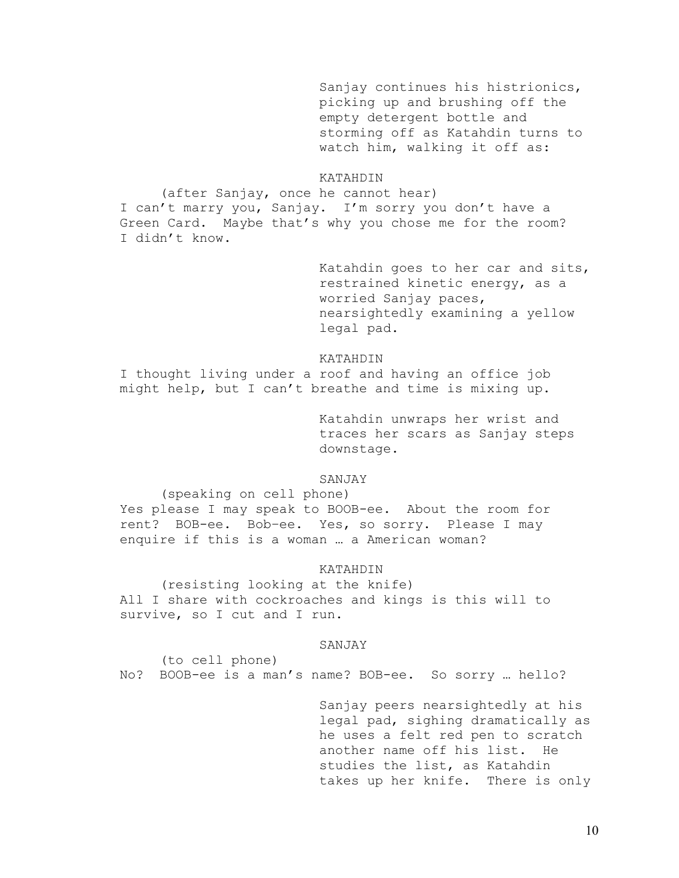Sanjay continues his histrionics, picking up and brushing off the empty detergent bottle and storming off as Katahdin turns to watch him, walking it off as:

# KATAHDIN

 (after Sanjay, once he cannot hear) I can't marry you, Sanjay. I'm sorry you don't have a Green Card. Maybe that's why you chose me for the room? I didn't know.

> Katahdin goes to her car and sits, restrained kinetic energy, as a worried Sanjay paces, nearsightedly examining a yellow legal pad.

#### KATAHDIN

I thought living under a roof and having an office job might help, but I can't breathe and time is mixing up.

> Katahdin unwraps her wrist and traces her scars as Sanjay steps downstage.

# SANJAY

(speaking on cell phone)

Yes please I may speak to BOOB-ee. About the room for rent? BOB-ee. Bob–ee. Yes, so sorry. Please I may enquire if this is a woman … a American woman?

#### KATAHDIN

 (resisting looking at the knife) All I share with cockroaches and kings is this will to survive, so I cut and I run.

#### SANJAY

 (to cell phone) No? BOOB-ee is a man's name? BOB-ee. So sorry … hello?

> Sanjay peers nearsightedly at his legal pad, sighing dramatically as he uses a felt red pen to scratch another name off his list. He studies the list, as Katahdin takes up her knife. There is only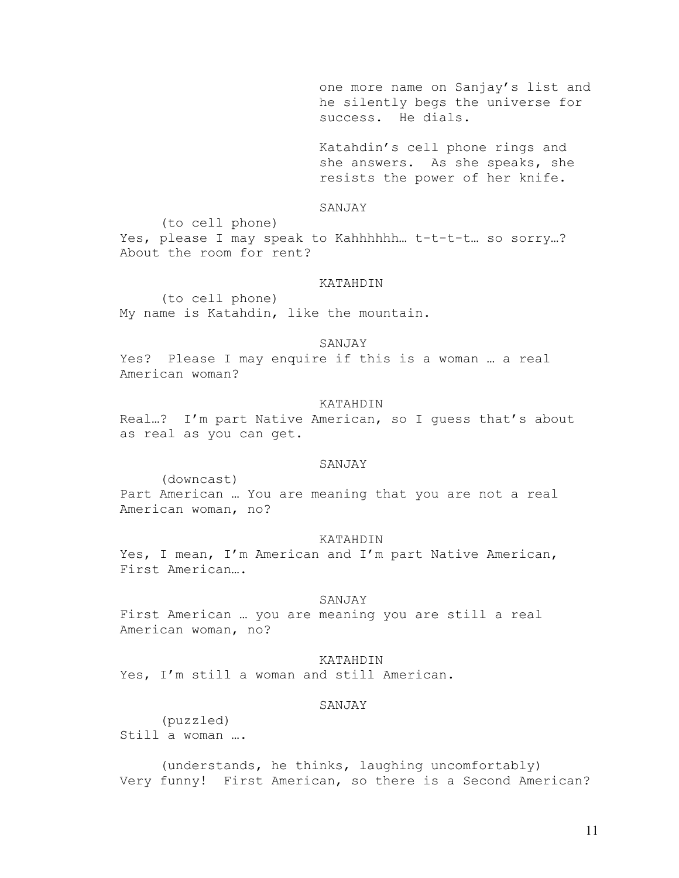one more name on Sanjay's list and he silently begs the universe for success. He dials.

Katahdin's cell phone rings and she answers. As she speaks, she resists the power of her knife.

# SANJAY

 (to cell phone) Yes, please I may speak to Kahhhhhh… t-t-t-t… so sorry…? About the room for rent?

#### KATAHDIN

 (to cell phone) My name is Katahdin, like the mountain.

#### SANJAY

Yes? Please I may enquire if this is a woman … a real American woman?

# KATAHDIN

Real…? I'm part Native American, so I guess that's about as real as you can get.

### SANJAY

 (downcast) Part American … You are meaning that you are not a real American woman, no?

#### KATAHDIN

Yes, I mean, I'm American and I'm part Native American, First American….

#### SANJAY

First American … you are meaning you are still a real American woman, no?

# KATAHDIN

Yes, I'm still a woman and still American.

#### SANJAY

 (puzzled) Still a woman ….

 (understands, he thinks, laughing uncomfortably) Very funny! First American, so there is a Second American?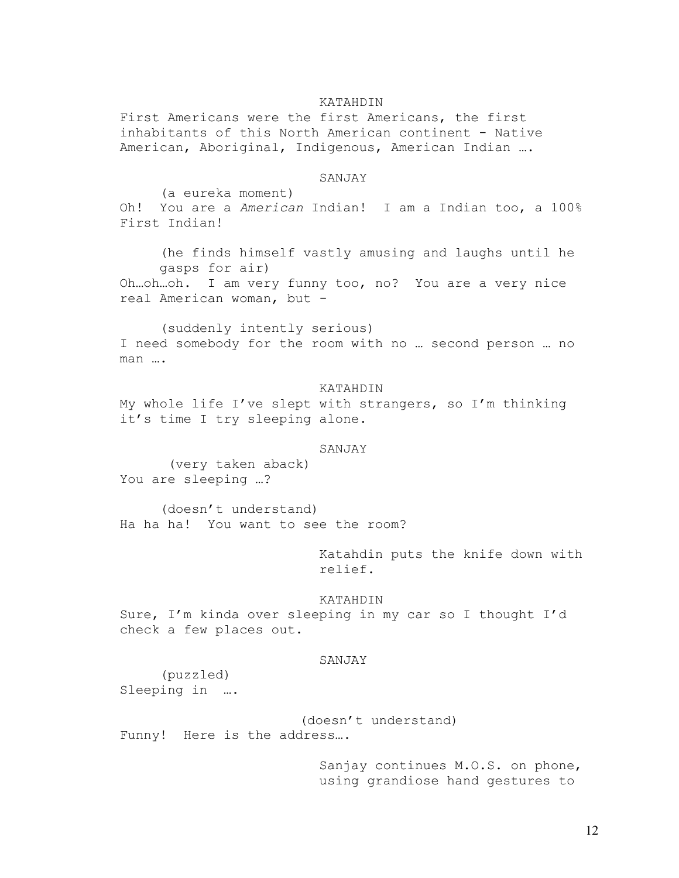### KATAHDIN

First Americans were the first Americans, the first inhabitants of this North American continent - Native American, Aboriginal, Indigenous, American Indian ….

# SANJAY

 (a eureka moment) Oh! You are a *American* Indian! I am a Indian too, a 100% First Indian!

(he finds himself vastly amusing and laughs until he gasps for air) Oh…oh…oh. I am very funny too, no? You are a very nice

real American woman, but -

(suddenly intently serious) I need somebody for the room with no … second person … no man ….

#### KATAHDIN

My whole life I've slept with strangers, so I'm thinking it's time I try sleeping alone.

### SANJAY

 (very taken aback) You are sleeping …?

(doesn't understand) Ha ha ha! You want to see the room?

> Katahdin puts the knife down with relief.

#### KATAHDIN

Sure, I'm kinda over sleeping in my car so I thought I'd check a few places out.

# SANJAY

 (puzzled) Sleeping in ….

 (doesn't understand) Funny! Here is the address….

> Sanjay continues M.O.S. on phone, using grandiose hand gestures to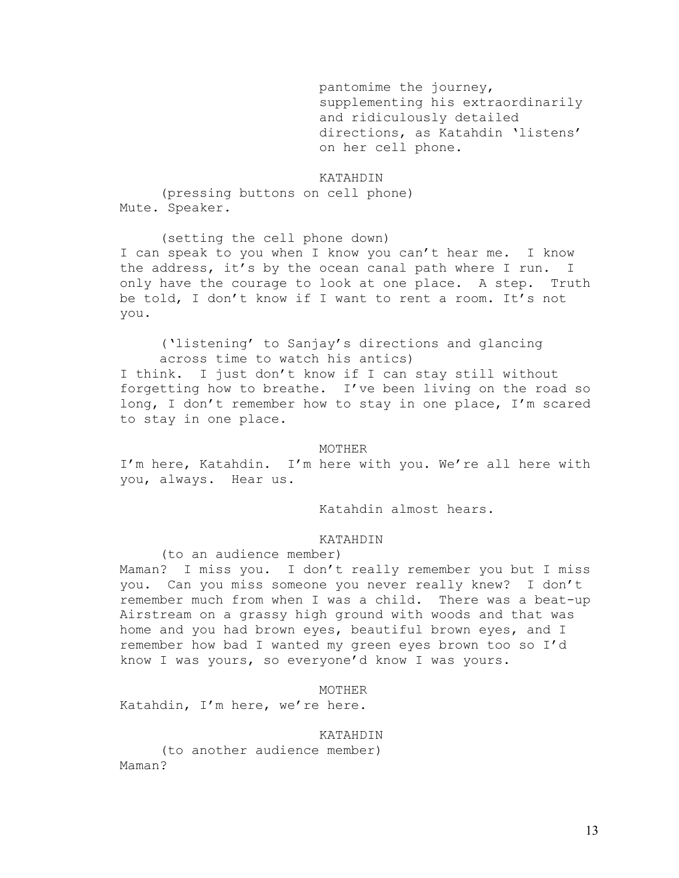pantomime the journey, supplementing his extraordinarily and ridiculously detailed directions, as Katahdin 'listens' on her cell phone.

# KATAHDIN

 (pressing buttons on cell phone) Mute. Speaker.

(setting the cell phone down) I can speak to you when I know you can't hear me. I know the address, it's by the ocean canal path where I run. I only have the courage to look at one place. A step. Truth be told, I don't know if I want to rent a room. It's not you.

('listening' to Sanjay's directions and glancing across time to watch his antics) I think. I just don't know if I can stay still without forgetting how to breathe. I've been living on the road so long, I don't remember how to stay in one place, I'm scared to stay in one place.

#### MOTHER

I'm here, Katahdin. I'm here with you. We're all here with you, always. Hear us.

Katahdin almost hears.

### KATAHDIN

(to an audience member)

Maman? I miss you. I don't really remember you but I miss you. Can you miss someone you never really knew? I don't remember much from when I was a child. There was a beat-up Airstream on a grassy high ground with woods and that was home and you had brown eyes, beautiful brown eyes, and I remember how bad I wanted my green eyes brown too so I'd know I was yours, so everyone'd know I was yours.

MOTHER

Katahdin, I'm here, we're here.

# KATAHDIN

 (to another audience member) Maman?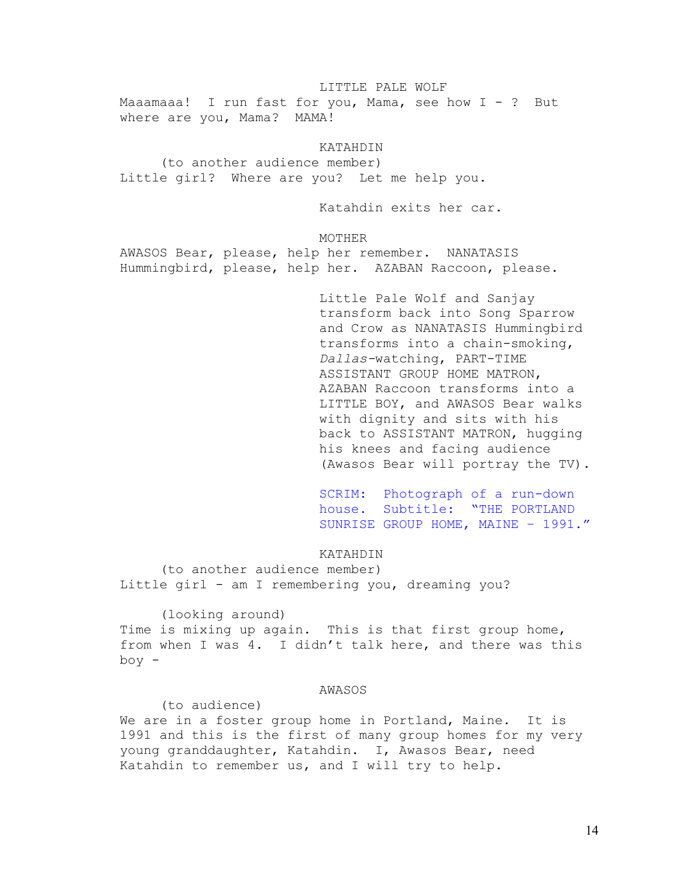### LITTLE PALE WOLF

Maaamaaa! I run fast for you, Mama, see how I - ? But where are you, Mama? MAMA!

# KATAHDIN

 (to another audience member) Little girl? Where are you? Let me help you.

Katahdin exits her car.

# MOTHER

AWASOS Bear, please, help her remember. NANATASIS Hummingbird, please, help her. AZABAN Raccoon, please.

> Little Pale Wolf and Sanjay transform back into Song Sparrow and Crow as NANATASIS Hummingbird transforms into a chain-smoking, *Dallas-*watching, PART-TIME ASSISTANT GROUP HOME MATRON, AZABAN Raccoon transforms into a LITTLE BOY, and AWASOS Bear walks with dignity and sits with his back to ASSISTANT MATRON, hugging his knees and facing audience (Awasos Bear will portray the TV).

> SCRIM: Photograph of a run-down house. Subtitle: "THE PORTLAND SUNRISE GROUP HOME, MAINE – 1991."

# KATAHDIN

 (to another audience member) Little girl - am I remembering you, dreaming you?

 (looking around) Time is mixing up again. This is that first group home, from when I was 4. I didn't talk here, and there was this boy -

### AWASOS

(to audience)

We are in a foster group home in Portland, Maine. It is 1991 and this is the first of many group homes for my very young granddaughter, Katahdin. I, Awasos Bear, need Katahdin to remember us, and I will try to help.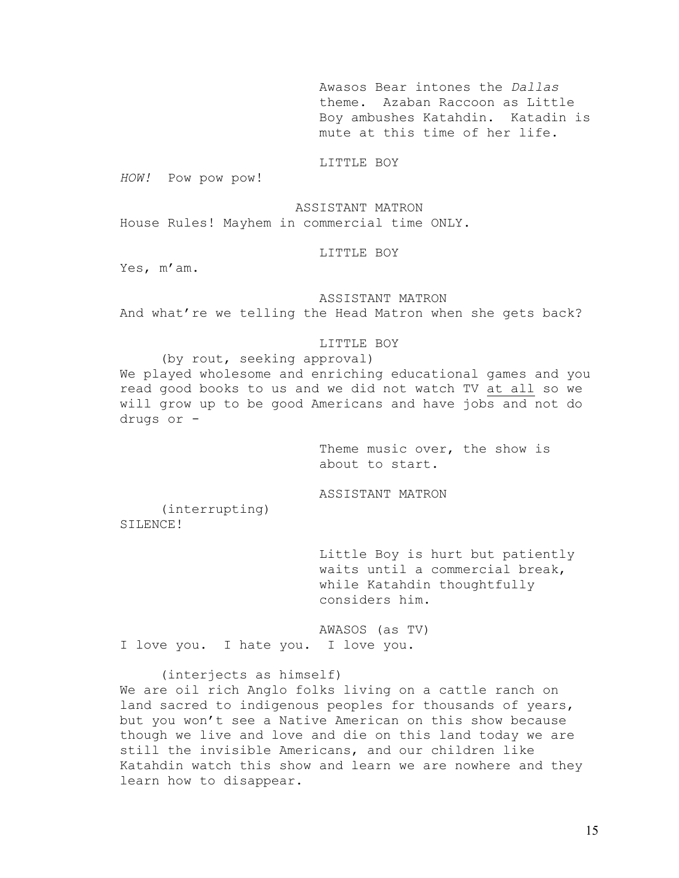Awasos Bear intones the *Dallas*  theme. Azaban Raccoon as Little Boy ambushes Katahdin. Katadin is mute at this time of her life.

# LITTLE BOY

*HOW!* Pow pow pow!

ASSISTANT MATRON House Rules! Mayhem in commercial time ONLY.

## LITTLE BOY

Yes, m'am.

### ASSISTANT MATRON

And what're we telling the Head Matron when she gets back?

#### LITTLE BOY

 (by rout, seeking approval) We played wholesome and enriching educational games and you read good books to us and we did not watch TV at all so we will grow up to be good Americans and have jobs and not do drugs or -

> Theme music over, the show is about to start.

ASSISTANT MATRON

 (interrupting) SILENCE!

> Little Boy is hurt but patiently waits until a commercial break, while Katahdin thoughtfully considers him.

AWASOS (as TV) I love you. I hate you. I love you.

#### (interjects as himself)

We are oil rich Anglo folks living on a cattle ranch on land sacred to indigenous peoples for thousands of years, but you won't see a Native American on this show because though we live and love and die on this land today we are still the invisible Americans, and our children like Katahdin watch this show and learn we are nowhere and they learn how to disappear.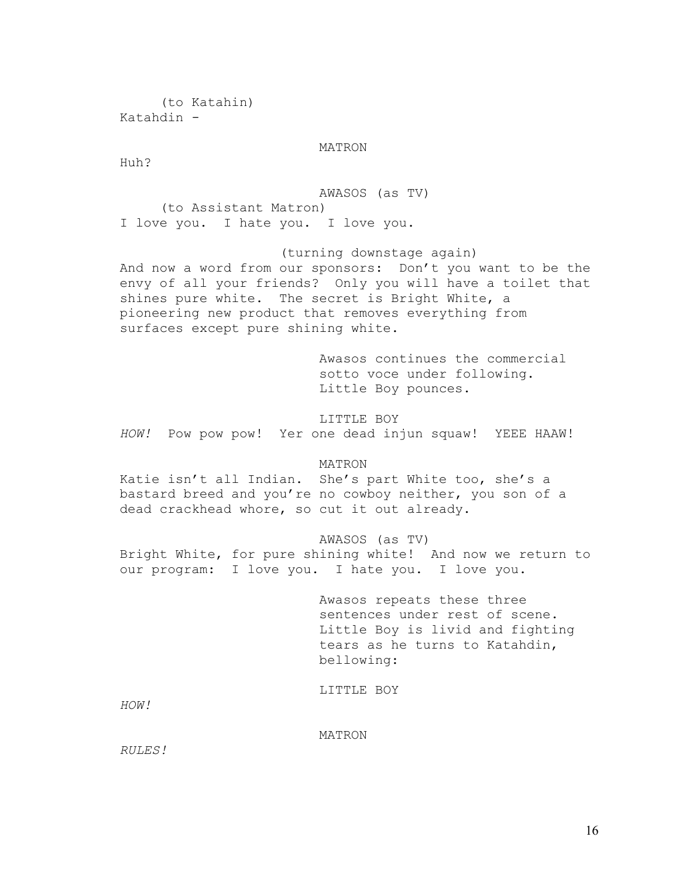(to Katahin) Katahdin -

# MATRON

Huh?

AWASOS (as TV) (to Assistant Matron) I love you. I hate you. I love you.

 (turning downstage again) And now a word from our sponsors: Don't you want to be the envy of all your friends? Only you will have a toilet that shines pure white. The secret is Bright White, a pioneering new product that removes everything from surfaces except pure shining white.

> Awasos continues the commercial sotto voce under following. Little Boy pounces.

LITTLE BOY *HOW!* Pow pow pow! Yer one dead injun squaw! YEEE HAAW!

# MATRON

Katie isn't all Indian. She's part White too, she's a bastard breed and you're no cowboy neither, you son of a dead crackhead whore, so cut it out already.

### AWASOS (as TV)

Bright White, for pure shining white! And now we return to our program: I love you. I hate you. I love you.

> Awasos repeats these three sentences under rest of scene. Little Boy is livid and fighting tears as he turns to Katahdin, bellowing:

LITTLE BOY

*HOW!* 

MATRON

*RULES!*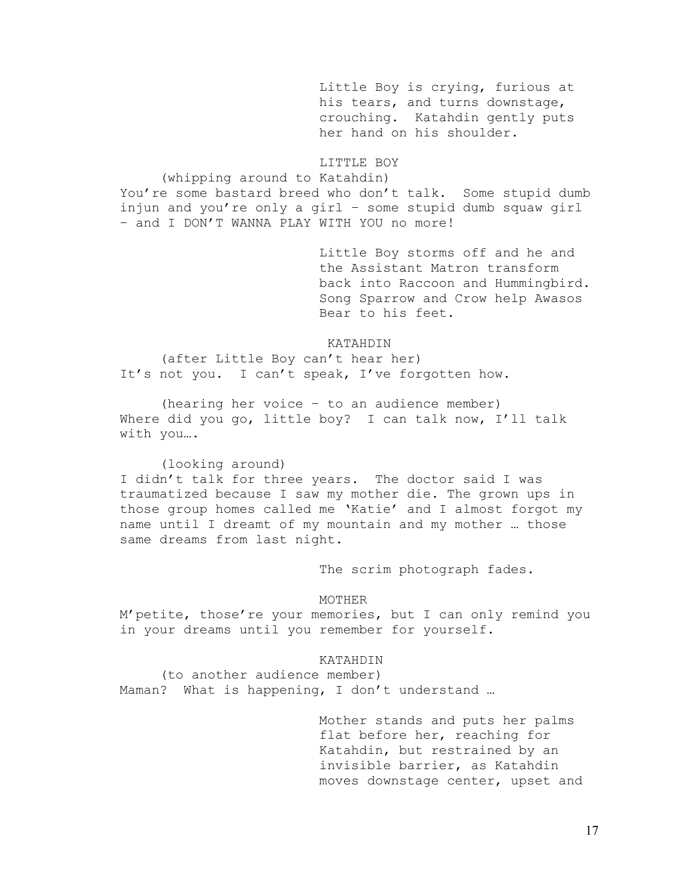Little Boy is crying, furious at his tears, and turns downstage, crouching. Katahdin gently puts her hand on his shoulder.

LITTLE BOY

(whipping around to Katahdin)

You're some bastard breed who don't talk. Some stupid dumb injun and you're only a girl – some stupid dumb squaw girl – and I DON'T WANNA PLAY WITH YOU no more!

> Little Boy storms off and he and the Assistant Matron transform back into Raccoon and Hummingbird. Song Sparrow and Crow help Awasos Bear to his feet.

KATAHDIN

(after Little Boy can't hear her) It's not you. I can't speak, I've forgotten how.

(hearing her voice – to an audience member) Where did you go, little boy? I can talk now, I'll talk with you….

(looking around)

I didn't talk for three years. The doctor said I was traumatized because I saw my mother die. The grown ups in those group homes called me 'Katie' and I almost forgot my name until I dreamt of my mountain and my mother … those same dreams from last night.

The scrim photograph fades.

#### MOTHER

M'petite, those're your memories, but I can only remind you in your dreams until you remember for yourself.

# KATAHDIN

 (to another audience member) Maman? What is happening, I don't understand ...

> Mother stands and puts her palms flat before her, reaching for Katahdin, but restrained by an invisible barrier, as Katahdin moves downstage center, upset and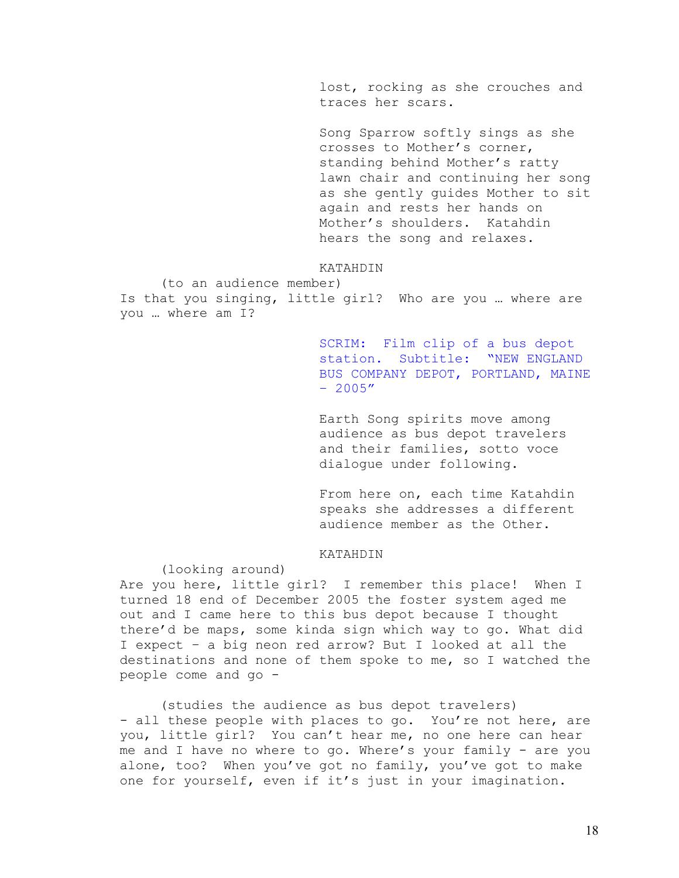lost, rocking as she crouches and traces her scars.

Song Sparrow softly sings as she crosses to Mother's corner, standing behind Mother's ratty lawn chair and continuing her song as she gently guides Mother to sit again and rests her hands on Mother's shoulders. Katahdin hears the song and relaxes.

# KATAHDIN

 (to an audience member) Is that you singing, little girl? Who are you … where are you … where am I?

> SCRIM: Film clip of a bus depot station. Subtitle: "NEW ENGLAND BUS COMPANY DEPOT, PORTLAND, MAINE  $-2005''$

Earth Song spirits move among audience as bus depot travelers and their families, sotto voce dialogue under following.

From here on, each time Katahdin speaks she addresses a different audience member as the Other.

# KATAHDIN

(looking around)

Are you here, little girl? I remember this place! When I turned 18 end of December 2005 the foster system aged me out and I came here to this bus depot because I thought there'd be maps, some kinda sign which way to go. What did I expect – a big neon red arrow? But I looked at all the destinations and none of them spoke to me, so I watched the people come and go -

(studies the audience as bus depot travelers) - all these people with places to go. You're not here, are you, little girl? You can't hear me, no one here can hear me and I have no where to go. Where's your family - are you alone, too? When you've got no family, you've got to make one for yourself, even if it's just in your imagination.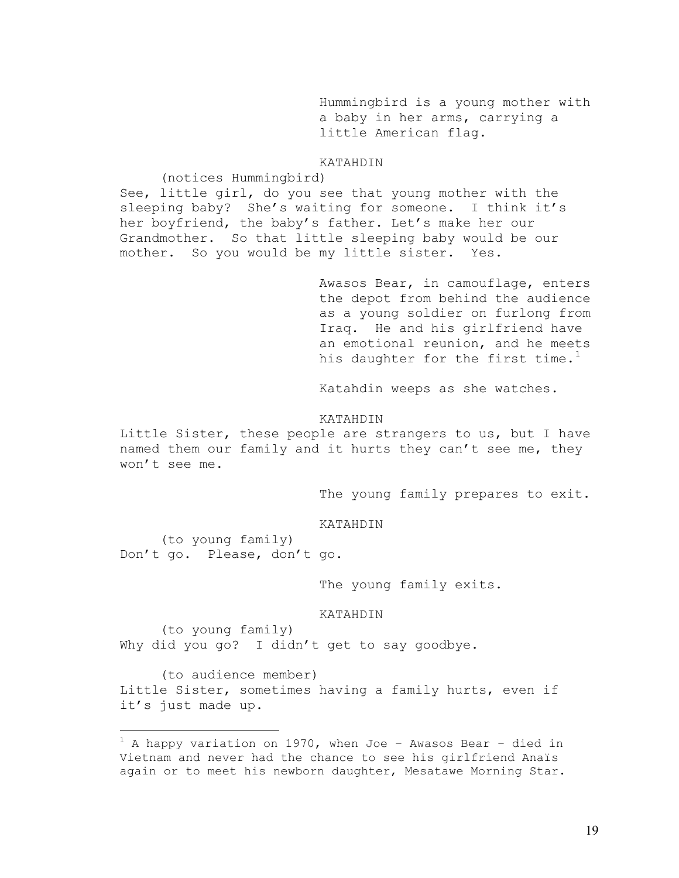Hummingbird is a young mother with a baby in her arms, carrying a little American flag.

# KATAHDIN

(notices Hummingbird)

See, little girl, do you see that young mother with the sleeping baby? She's waiting for someone. I think it's her boyfriend, the baby's father. Let's make her our Grandmother. So that little sleeping baby would be our mother. So you would be my little sister. Yes.

> Awasos Bear, in camouflage, enters the depot from behind the audience as a young soldier on furlong from Iraq. He and his girlfriend have an emotional reunion, and he meets his daughter for the first time. $^1$  $^1$

Katahdin weeps as she watches.

#### KATAHDIN

Little Sister, these people are strangers to us, but I have named them our family and it hurts they can't see me, they won't see me.

The young family prepares to exit.

KATAHDIN

 (to young family) Don't go. Please, don't go.

<u>.</u>

The young family exits.

KATAHDIN

 (to young family) Why did you go? I didn't get to say goodbye.

 (to audience member) Little Sister, sometimes having a family hurts, even if it's just made up.

<span id="page-30-0"></span> $1$  A happy variation on 1970, when Joe - Awasos Bear - died in Vietnam and never had the chance to see his girlfriend Anaïs again or to meet his newborn daughter, Mesatawe Morning Star.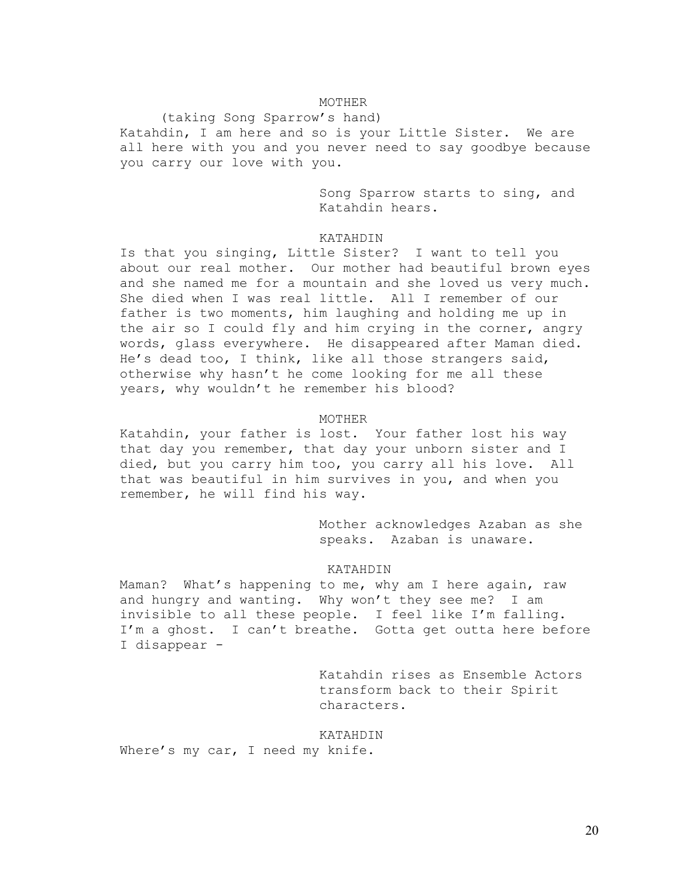# MOTHER

 (taking Song Sparrow's hand) Katahdin, I am here and so is your Little Sister. We are all here with you and you never need to say goodbye because you carry our love with you.

> Song Sparrow starts to sing, and Katahdin hears.

# KATAHDIN

Is that you singing, Little Sister? I want to tell you about our real mother. Our mother had beautiful brown eyes and she named me for a mountain and she loved us very much. She died when I was real little. All I remember of our father is two moments, him laughing and holding me up in the air so I could fly and him crying in the corner, angry words, glass everywhere. He disappeared after Maman died. He's dead too, I think, like all those strangers said, otherwise why hasn't he come looking for me all these years, why wouldn't he remember his blood?

#### MOTHER

Katahdin, your father is lost. Your father lost his way that day you remember, that day your unborn sister and I died, but you carry him too, you carry all his love. All that was beautiful in him survives in you, and when you remember, he will find his way.

> Mother acknowledges Azaban as she speaks. Azaban is unaware.

#### KATAHDIN

Maman? What's happening to me, why am I here again, raw and hungry and wanting. Why won't they see me? I am invisible to all these people. I feel like I'm falling. I'm a ghost. I can't breathe. Gotta get outta here before I disappear -

> Katahdin rises as Ensemble Actors transform back to their Spirit characters.

#### KATAHDIN

Where's my car, I need my knife.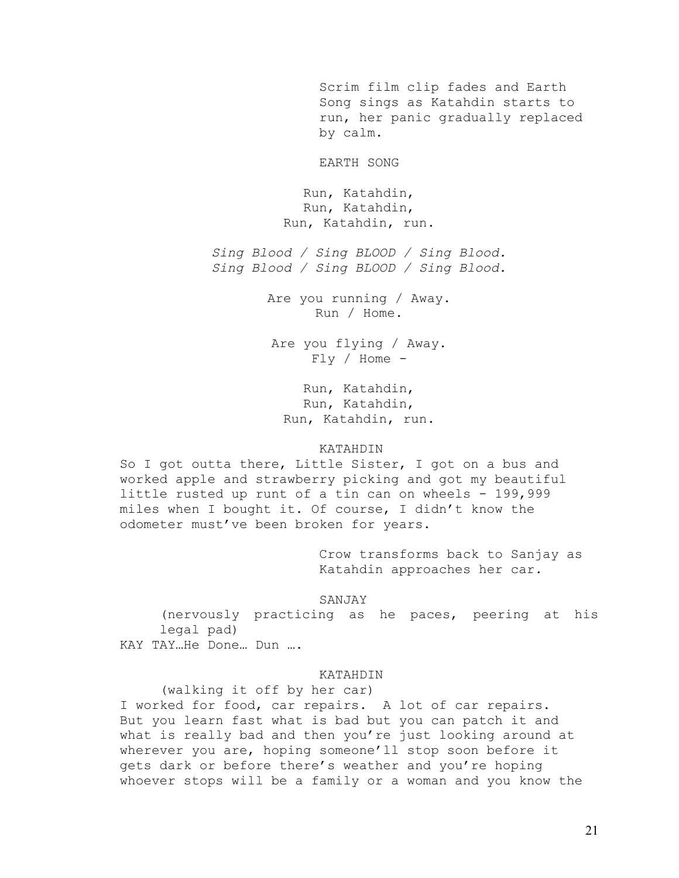Scrim film clip fades and Earth Song sings as Katahdin starts to run, her panic gradually replaced by calm.

EARTH SONG

Run, Katahdin, Run, Katahdin, Run, Katahdin, run.

*Sing Blood / Sing BLOOD / Sing Blood. Sing Blood / Sing BLOOD / Sing Blood.* 

> Are you running / Away. Run / Home.

Are you flying / Away. Fly / Home -

Run, Katahdin, Run, Katahdin, Run, Katahdin, run.

#### KATAHDIN

So I got outta there, Little Sister, I got on a bus and worked apple and strawberry picking and got my beautiful little rusted up runt of a tin can on wheels - 199,999 miles when I bought it. Of course, I didn't know the odometer must've been broken for years.

> Crow transforms back to Sanjay as Katahdin approaches her car.

# SANJAY

(nervously practicing as he paces, peering at his legal pad) KAY TAY…He Done… Dun ….

#### KATAHDIN

 (walking it off by her car) I worked for food, car repairs. A lot of car repairs. But you learn fast what is bad but you can patch it and what is really bad and then you're just looking around at wherever you are, hoping someone'll stop soon before it gets dark or before there's weather and you're hoping whoever stops will be a family or a woman and you know the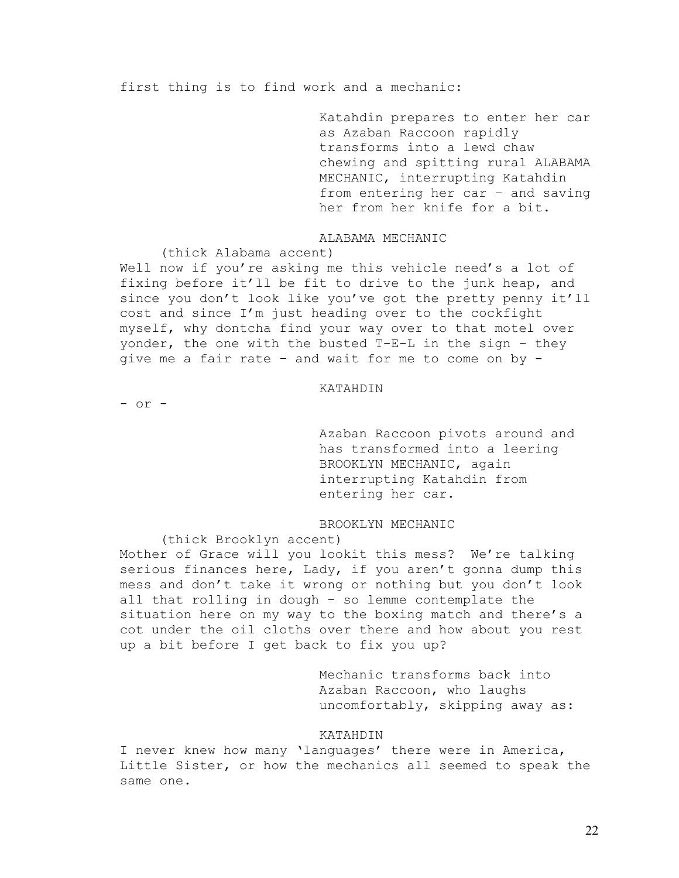first thing is to find work and a mechanic:

Katahdin prepares to enter her car as Azaban Raccoon rapidly transforms into a lewd chaw chewing and spitting rural ALABAMA MECHANIC, interrupting Katahdin from entering her car – and saving her from her knife for a bit.

# ALABAMA MECHANIC

(thick Alabama accent)

Well now if you're asking me this vehicle need's a lot of fixing before it'll be fit to drive to the junk heap, and since you don't look like you've got the pretty penny it'll cost and since I'm just heading over to the cockfight myself, why dontcha find your way over to that motel over yonder, the one with the busted T-E-L in the sign – they give me a fair rate – and wait for me to come on by -

#### KATAHDIN

- or -

Azaban Raccoon pivots around and has transformed into a leering BROOKLYN MECHANIC, again interrupting Katahdin from entering her car.

# BROOKLYN MECHANIC

(thick Brooklyn accent)

Mother of Grace will you lookit this mess? We're talking serious finances here, Lady, if you aren't gonna dump this mess and don't take it wrong or nothing but you don't look all that rolling in dough – so lemme contemplate the situation here on my way to the boxing match and there's a cot under the oil cloths over there and how about you rest up a bit before I get back to fix you up?

> Mechanic transforms back into Azaban Raccoon, who laughs uncomfortably, skipping away as:

# KATAHDIN

I never knew how many 'languages' there were in America, Little Sister, or how the mechanics all seemed to speak the same one.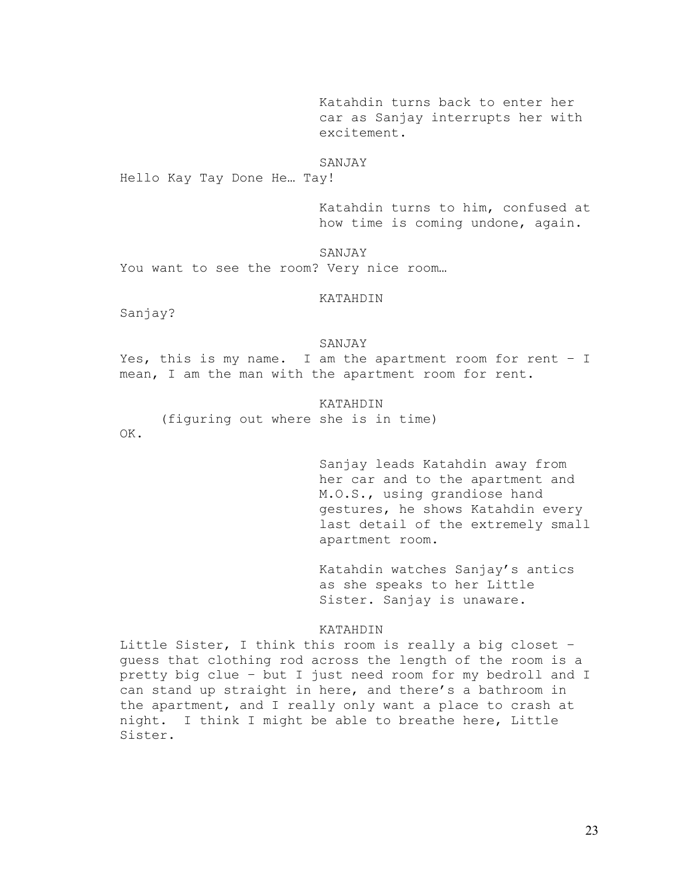Katahdin turns back to enter her car as Sanjay interrupts her with excitement.

#### SANJAY

Hello Kay Tay Done He… Tay!

Katahdin turns to him, confused at how time is coming undone, again.

SANJAY You want to see the room? Very nice room...

#### KATAHDIN

Sanjay?

#### SANJAY

Yes, this is my name. I am the apartment room for rent – I mean, I am the man with the apartment room for rent.

### KATAHDIN

(figuring out where she is in time)

OK.

Sanjay leads Katahdin away from her car and to the apartment and M.O.S., using grandiose hand gestures, he shows Katahdin every last detail of the extremely small apartment room.

Katahdin watches Sanjay's antics as she speaks to her Little Sister. Sanjay is unaware.

### KATAHDIN

Little Sister, I think this room is really a big closet – guess that clothing rod across the length of the room is a pretty big clue – but I just need room for my bedroll and I can stand up straight in here, and there's a bathroom in the apartment, and I really only want a place to crash at night. I think I might be able to breathe here, Little Sister.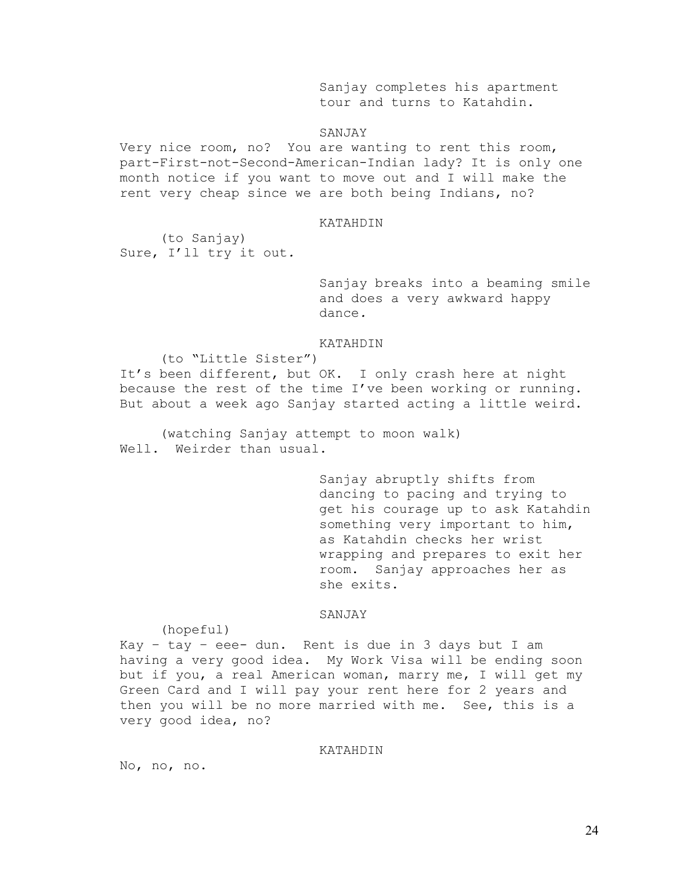Sanjay completes his apartment tour and turns to Katahdin.

### SANJAY

Very nice room, no? You are wanting to rent this room, part-First-not-Second-American-Indian lady? It is only one month notice if you want to move out and I will make the rent very cheap since we are both being Indians, no?

### KATAHDIN

 (to Sanjay) Sure, I'll try it out*.* 

> Sanjay breaks into a beaming smile and does a very awkward happy dance*.*

#### KATAHDIN

 (to "Little Sister") It's been different, but OK. I only crash here at night because the rest of the time I've been working or running. But about a week ago Sanjay started acting a little weird.

(watching Sanjay attempt to moon walk) Well. Weirder than usual.

> Sanjay abruptly shifts from dancing to pacing and trying to get his courage up to ask Katahdin something very important to him, as Katahdin checks her wrist wrapping and prepares to exit her room. Sanjay approaches her as she exits.

#### SANJAY

(hopeful)

Kay - tay - eee- dun. Rent is due in 3 days but I am having a very good idea. My Work Visa will be ending soon but if you, a real American woman, marry me, I will get my Green Card and I will pay your rent here for 2 years and then you will be no more married with me. See, this is a very good idea, no?

### KATAHDIN

No, no, no.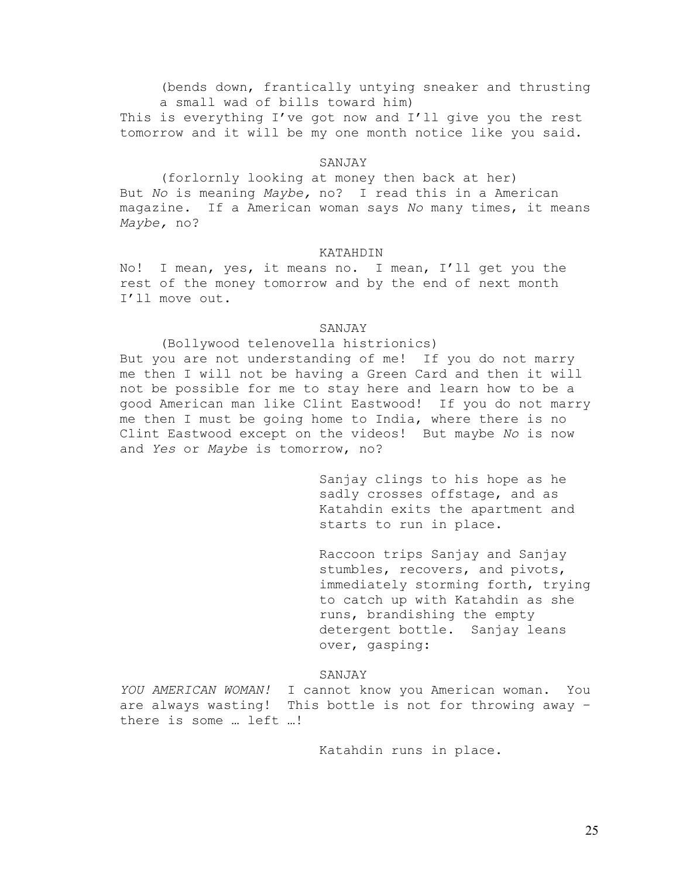(bends down, frantically untying sneaker and thrusting a small wad of bills toward him)

This is everything I've got now and I'll give you the rest tomorrow and it will be my one month notice like you said.

### SANJAY

 (forlornly looking at money then back at her) But *No* is meaning *Maybe,* no? I read this in a American magazine. If a American woman says *No* many times, it means *Maybe,* no?

#### KATAHDIN

No! I mean, yes, it means no. I mean, I'll get you the rest of the money tomorrow and by the end of next month I'll move out.

### SANJAY

#### (Bollywood telenovella histrionics)

But you are not understanding of me! If you do not marry me then I will not be having a Green Card and then it will not be possible for me to stay here and learn how to be a good American man like Clint Eastwood! If you do not marry me then I must be going home to India, where there is no Clint Eastwood except on the videos! But maybe *No* is now and *Yes* or *Maybe* is tomorrow, no?

> Sanjay clings to his hope as he sadly crosses offstage, and as Katahdin exits the apartment and starts to run in place.

Raccoon trips Sanjay and Sanjay stumbles, recovers, and pivots, immediately storming forth, trying to catch up with Katahdin as she runs, brandishing the empty detergent bottle. Sanjay leans over, gasping:

### SANJAY

*YOU AMERICAN WOMAN!* I cannot know you American woman. You are always wasting! This bottle is not for throwing away – there is some … left …!

Katahdin runs in place.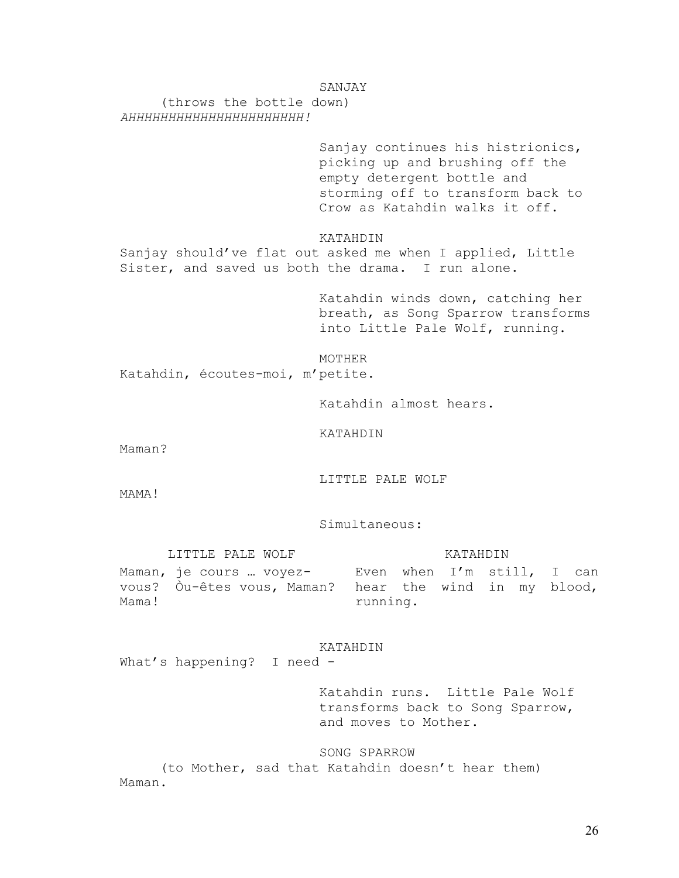### SANJAY

 (throws the bottle down) *AHHHHHHHHHHHHHHHHHHHHHH!*

> Sanjay continues his histrionics, picking up and brushing off the empty detergent bottle and storming off to transform back to Crow as Katahdin walks it off.

KATAHDIN

Sanjay should've flat out asked me when I applied, Little Sister, and saved us both the drama. I run alone.

> Katahdin winds down, catching her breath, as Song Sparrow transforms into Little Pale Wolf, running.

MOTHER Katahdin, écoutes-moi, m'petite.

Katahdin almost hears.

KATAHDIN

Maman?

LITTLE PALE WOLF

MAMA!

Simultaneous:

LITTLE PALE WOLF **KATAHDIN** Maman, je cours … voyezvous? Òu-êtes vous, Maman? hear the wind in my blood, Mama! Even when I'm still, I can running.

## KATAHDIN

What's happening? I need -

Katahdin runs. Little Pale Wolf transforms back to Song Sparrow, and moves to Mother.

### SONG SPARROW

 (to Mother, sad that Katahdin doesn't hear them) Maman.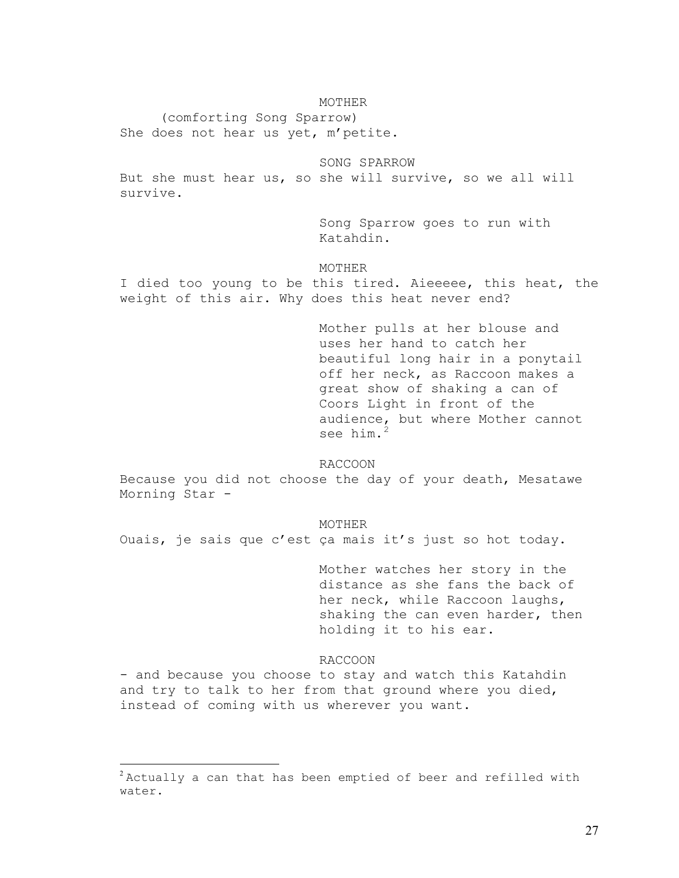### MOTHER

 (comforting Song Sparrow) She does not hear us yet, m'petite.

SONG SPARROW

But she must hear us, so she will survive, so we all will survive.

> Song Sparrow goes to run with Katahdin.

MOTHER

I died too young to be this tired. Aieeeee, this heat, the weight of this air. Why does this heat never end?

> Mother pulls at her blouse and uses her hand to catch her beautiful long hair in a ponytail off her neck, as Raccoon makes a great show of shaking a can of Coors Light in front of the audience, but where Mother cannot see him.<sup>[2](#page-38-0)</sup>

RACCOON

Because you did not choose the day of your death, Mesatawe Morning Star -

MOTHER

Ouais, je sais que c'est ça mais it's just so hot today.

Mother watches her story in the distance as she fans the back of her neck, while Raccoon laughs, shaking the can even harder, then holding it to his ear.

#### RACCOON

- and because you choose to stay and watch this Katahdin and try to talk to her from that ground where you died, instead of coming with us wherever you want.

 $\overline{a}$ 

<span id="page-38-0"></span> $2$ Actually a can that has been emptied of beer and refilled with water.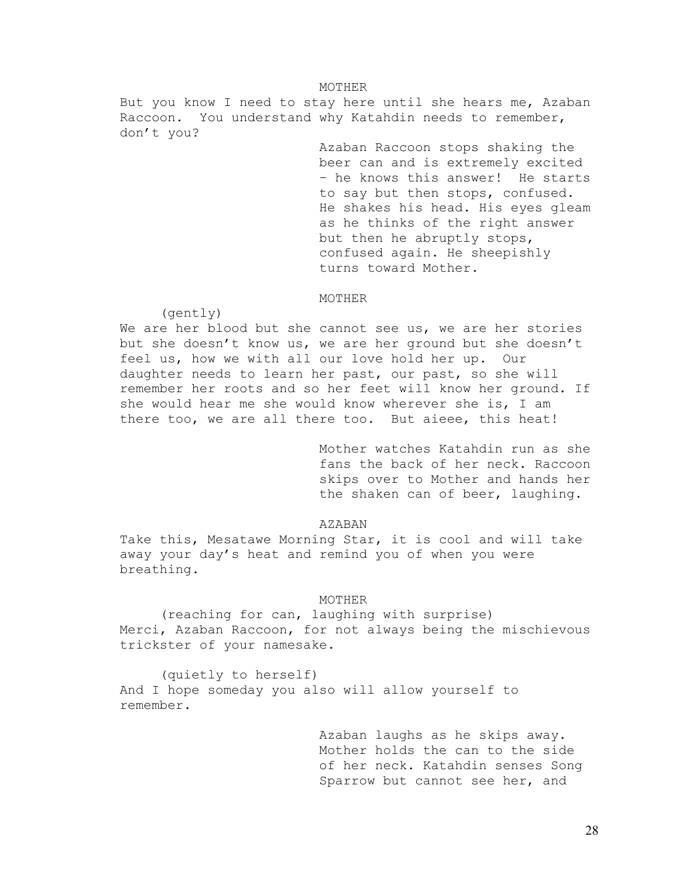#### MOTHER

But you know I need to stay here until she hears me, Azaban Raccoon. You understand why Katahdin needs to remember, don't you?

> Azaban Raccoon stops shaking the beer can and is extremely excited – he knows this answer! He starts to say but then stops, confused. He shakes his head. His eyes gleam as he thinks of the right answer but then he abruptly stops, confused again. He sheepishly turns toward Mother.

#### MOTHER

(gently)

We are her blood but she cannot see us, we are her stories but she doesn't know us, we are her ground but she doesn't feel us, how we with all our love hold her up*.* Our daughter needs to learn her past, our past, so she will remember her roots and so her feet will know her ground. If she would hear me she would know wherever she is, I am there too, we are all there too. But aieee, this heat!

> Mother watches Katahdin run as she fans the back of her neck. Raccoon skips over to Mother and hands her the shaken can of beer, laughing.

#### AZABAN

Take this, Mesatawe Morning Star, it is cool and will take away your day's heat and remind you of when you were breathing.

#### MOTHER

 (reaching for can, laughing with surprise) Merci, Azaban Raccoon, for not always being the mischievous trickster of your namesake.

 (quietly to herself) And I hope someday you also will allow yourself to remember.

> Azaban laughs as he skips away. Mother holds the can to the side of her neck. Katahdin senses Song Sparrow but cannot see her, and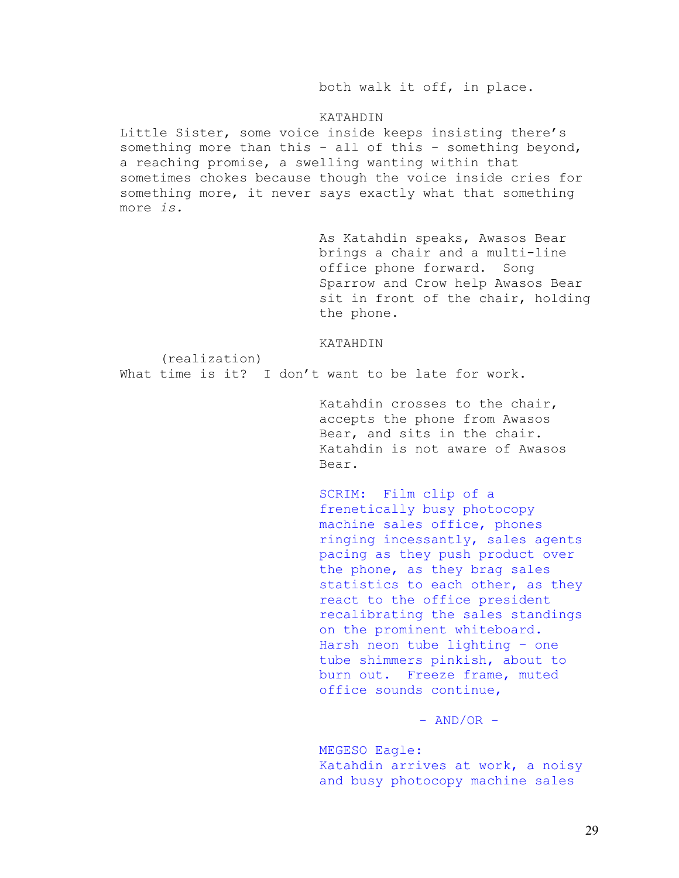both walk it off, in place.

### KATAHDIN

Little Sister, some voice inside keeps insisting there's something more than this - all of this - something beyond, a reaching promise, a swelling wanting within that sometimes chokes because though the voice inside cries for something more, it never says exactly what that something more *is.* 

> As Katahdin speaks, Awasos Bear brings a chair and a multi-line office phone forward. Song Sparrow and Crow help Awasos Bear sit in front of the chair, holding the phone.

#### KATAHDIN

What time is it? I don't want to be late for work.

(realization)

Katahdin crosses to the chair, accepts the phone from Awasos Bear, and sits in the chair. Katahdin is not aware of Awasos Bear.

SCRIM: Film clip of a frenetically busy photocopy machine sales office, phones ringing incessantly, sales agents pacing as they push product over the phone, as they brag sales statistics to each other, as they react to the office president recalibrating the sales standings on the prominent whiteboard. Harsh neon tube lighting – one tube shimmers pinkish, about to burn out. Freeze frame, muted office sounds continue,

 $-$  AND/OR  $-$ 

MEGESO Eagle: Katahdin arrives at work, a noisy and busy photocopy machine sales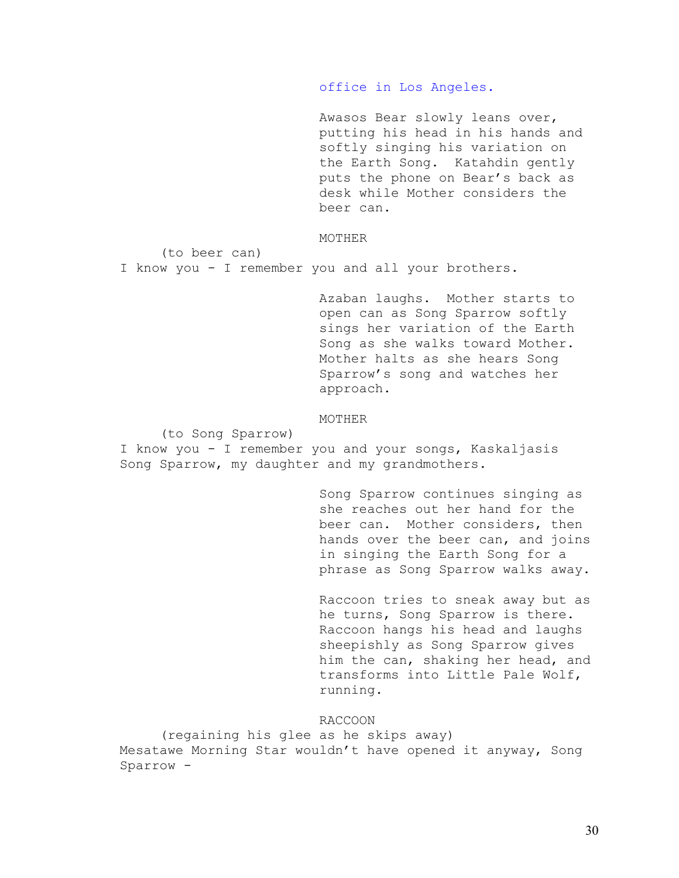office in Los Angeles.

Awasos Bear slowly leans over, putting his head in his hands and softly singing his variation on the Earth Song. Katahdin gently puts the phone on Bear's back as desk while Mother considers the beer can.

## MOTHER

(to beer can)

I know you - I remember you and all your brothers.

Azaban laughs. Mother starts to open can as Song Sparrow softly sings her variation of the Earth Song as she walks toward Mother. Mother halts as she hears Song Sparrow's song and watches her approach.

### MOTHER

(to Song Sparrow)

I know you - I remember you and your songs, Kaskaljasis Song Sparrow, my daughter and my grandmothers.

> Song Sparrow continues singing as she reaches out her hand for the beer can. Mother considers, then hands over the beer can, and joins in singing the Earth Song for a phrase as Song Sparrow walks away.

> Raccoon tries to sneak away but as he turns, Song Sparrow is there. Raccoon hangs his head and laughs sheepishly as Song Sparrow gives him the can, shaking her head, and transforms into Little Pale Wolf, running.

### RACCOON

 (regaining his glee as he skips away) Mesatawe Morning Star wouldn't have opened it anyway, Song Sparrow -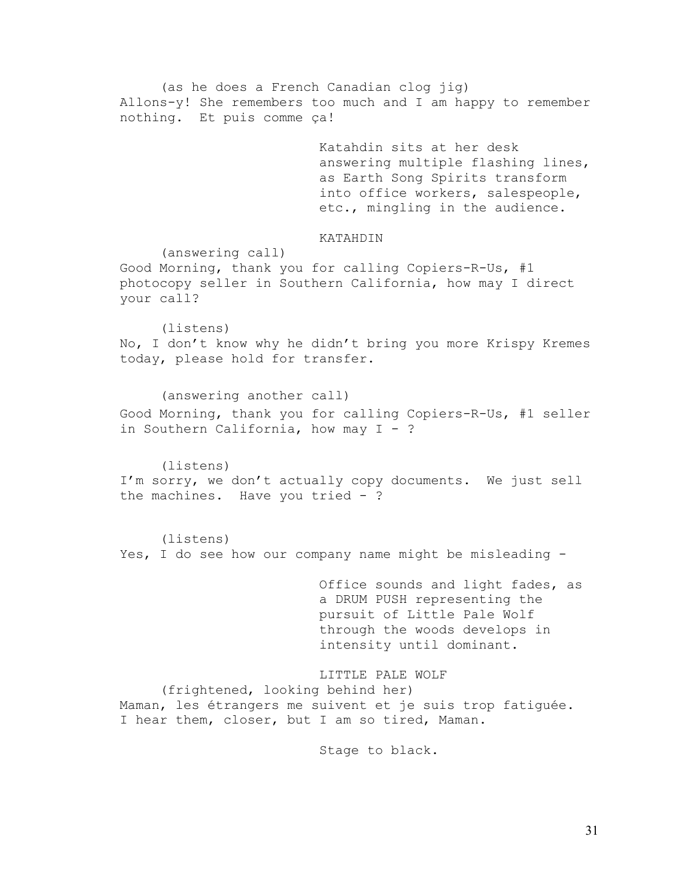(as he does a French Canadian clog jig) Allons-y! She remembers too much and I am happy to remember nothing. Et puis comme ça!

> Katahdin sits at her desk answering multiple flashing lines, as Earth Song Spirits transform into office workers, salespeople, etc., mingling in the audience.

## KATAHDIN

(answering call)

Good Morning, thank you for calling Copiers-R-Us, #1 photocopy seller in Southern California, how may I direct your call?

(listens) No, I don't know why he didn't bring you more Krispy Kremes today, please hold for transfer.

(answering another call) Good Morning, thank you for calling Copiers-R-Us, #1 seller in Southern California, how may  $I - ?$ 

(listens) I'm sorry, we don't actually copy documents. We just sell the machines. Have you tried - ?

(listens) Yes, I do see how our company name might be misleading -

> Office sounds and light fades, as a DRUM PUSH representing the pursuit of Little Pale Wolf through the woods develops in intensity until dominant.

LITTLE PALE WOLF (frightened, looking behind her) Maman, les étrangers me suivent et je suis trop fatiguée. I hear them, closer, but I am so tired, Maman.

Stage to black.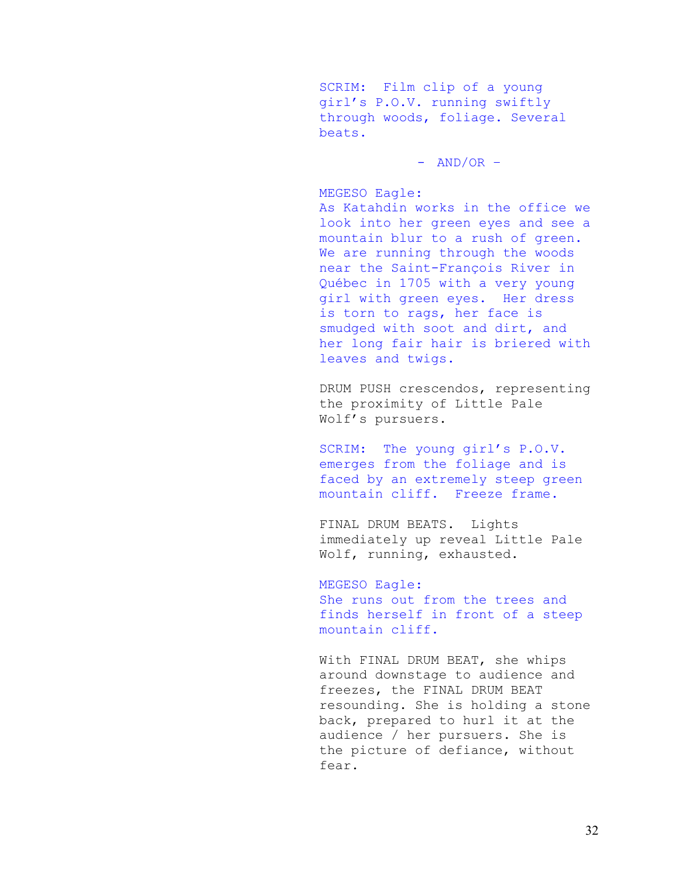SCRIM: Film clip of a young girl's P.O.V. running swiftly through woods, foliage. Several beats.

 $-$  AND/OR  $-$ 

MEGESO Eagle:

As Katahdin works in the office we look into her green eyes and see a mountain blur to a rush of green. We are running through the woods near the Saint-François River in Québec in 1705 with a very young girl with green eyes. Her dress is torn to rags, her face is smudged with soot and dirt, and her long fair hair is briered with leaves and twigs.

DRUM PUSH crescendos, representing the proximity of Little Pale Wolf's pursuers.

SCRIM: The young girl's P.O.V. emerges from the foliage and is faced by an extremely steep green mountain cliff. Freeze frame.

FINAL DRUM BEATS. Lights immediately up reveal Little Pale Wolf, running, exhausted.

MEGESO Eagle:

She runs out from the trees and finds herself in front of a steep mountain cliff.

With FINAL DRUM BEAT, she whips around downstage to audience and freezes, the FINAL DRUM BEAT resounding. She is holding a stone back, prepared to hurl it at the audience / her pursuers. She is the picture of defiance, without fear.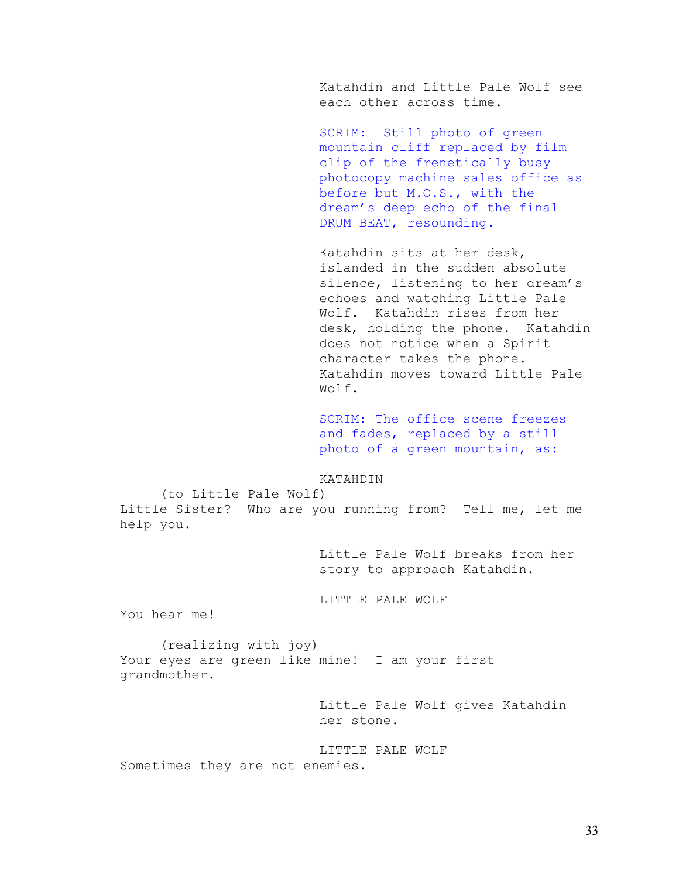Katahdin and Little Pale Wolf see each other across time.

SCRIM: Still photo of green mountain cliff replaced by film clip of the frenetically busy photocopy machine sales office as before but M.O.S., with the dream's deep echo of the final DRUM BEAT, resounding.

Katahdin sits at her desk, islanded in the sudden absolute silence, listening to her dream's echoes and watching Little Pale Wolf. Katahdin rises from her desk, holding the phone. Katahdin does not notice when a Spirit character takes the phone. Katahdin moves toward Little Pale Wolf.

SCRIM: The office scene freezes and fades, replaced by a still photo of a green mountain, as:

### KATAHDIN

 (to Little Pale Wolf) Little Sister? Who are you running from? Tell me, let me help you.

> Little Pale Wolf breaks from her story to approach Katahdin.

## LITTLE PALE WOLF

You hear me!

 (realizing with joy) Your eyes are green like mine! I am your first grandmother.

> Little Pale Wolf gives Katahdin her stone.

LITTLE PALE WOLF Sometimes they are not enemies.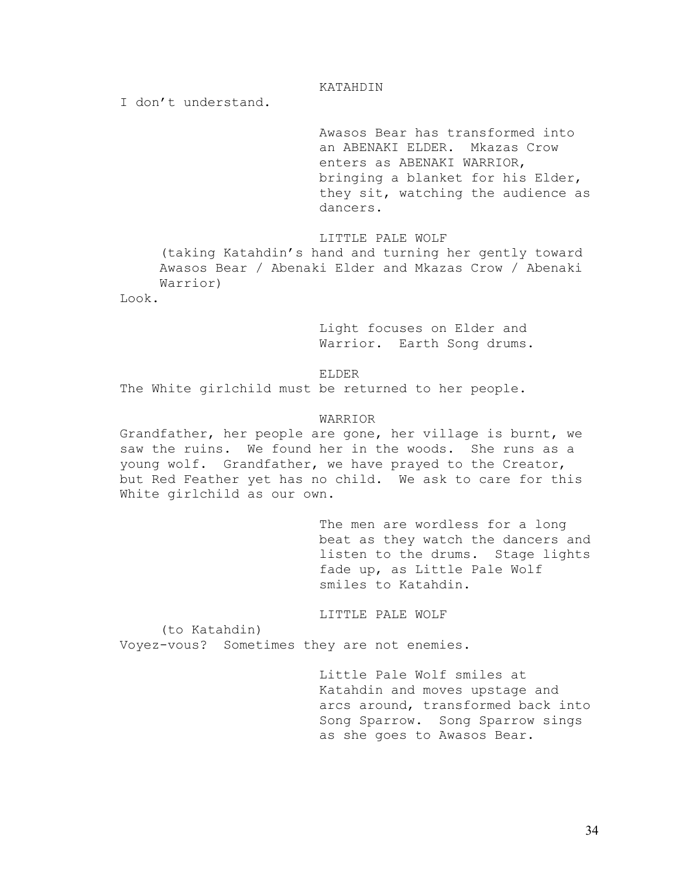### KATAHDIN

I don't understand.

Awasos Bear has transformed into an ABENAKI ELDER. Mkazas Crow enters as ABENAKI WARRIOR, bringing a blanket for his Elder, they sit, watching the audience as dancers.

LITTLE PALE WOLF

(taking Katahdin's hand and turning her gently toward Awasos Bear / Abenaki Elder and Mkazas Crow / Abenaki Warrior)

Look.

Light focuses on Elder and Warrior. Earth Song drums.

ELDER

The White girlchild must be returned to her people.

### WARRIOR

Grandfather, her people are gone, her village is burnt, we saw the ruins. We found her in the woods. She runs as a young wolf. Grandfather, we have prayed to the Creator, but Red Feather yet has no child. We ask to care for this White girlchild as our own.

> The men are wordless for a long beat as they watch the dancers and listen to the drums. Stage lights fade up, as Little Pale Wolf smiles to Katahdin.

LITTLE PALE WOLF

 (to Katahdin) Voyez-vous? Sometimes they are not enemies.

> Little Pale Wolf smiles at Katahdin and moves upstage and arcs around, transformed back into Song Sparrow. Song Sparrow sings as she goes to Awasos Bear.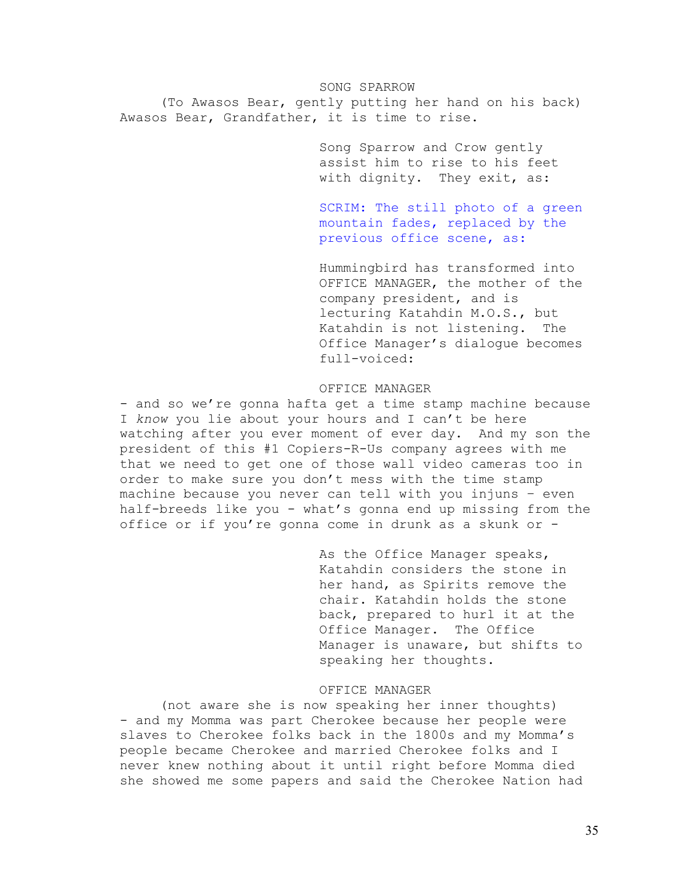SONG SPARROW (To Awasos Bear, gently putting her hand on his back) Awasos Bear, Grandfather, it is time to rise.

> Song Sparrow and Crow gently assist him to rise to his feet with dignity. They exit, as:

SCRIM: The still photo of a green mountain fades, replaced by the previous office scene, as:

Hummingbird has transformed into OFFICE MANAGER, the mother of the company president, and is lecturing Katahdin M.O.S., but Katahdin is not listening. The Office Manager's dialogue becomes full-voiced:

#### OFFICE MANAGER

- and so we're gonna hafta get a time stamp machine because I *know* you lie about your hours and I can't be here watching after you ever moment of ever day. And my son the president of this #1 Copiers-R-Us company agrees with me that we need to get one of those wall video cameras too in order to make sure you don't mess with the time stamp machine because you never can tell with you injuns – even half-breeds like you - what's gonna end up missing from the office or if you're gonna come in drunk as a skunk or -

> As the Office Manager speaks, Katahdin considers the stone in her hand, as Spirits remove the chair. Katahdin holds the stone back, prepared to hurl it at the Office Manager. The Office Manager is unaware, but shifts to speaking her thoughts.

# OFFICE MANAGER

 (not aware she is now speaking her inner thoughts) - and my Momma was part Cherokee because her people were slaves to Cherokee folks back in the 1800s and my Momma's people became Cherokee and married Cherokee folks and I never knew nothing about it until right before Momma died she showed me some papers and said the Cherokee Nation had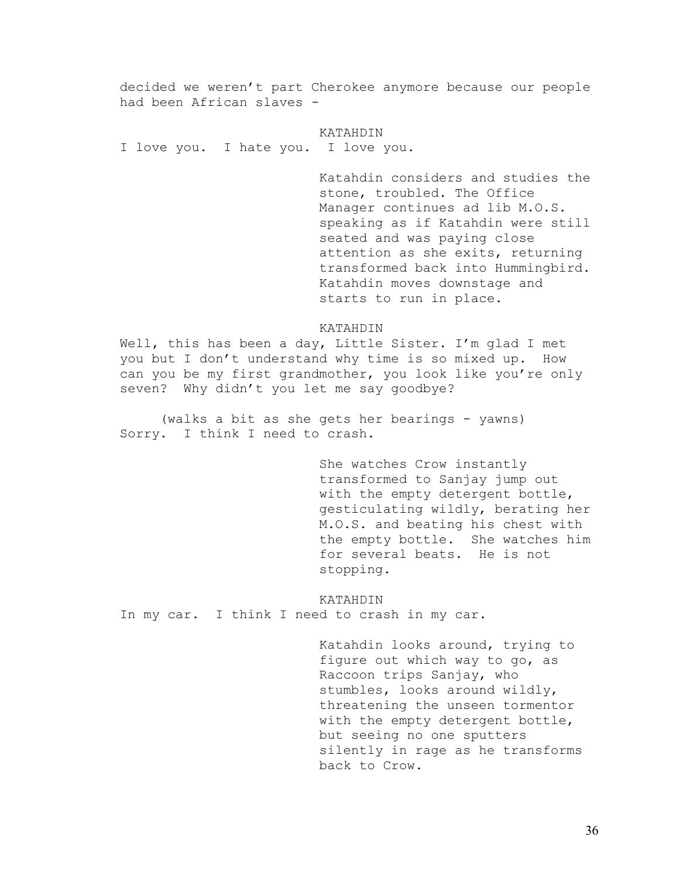decided we weren't part Cherokee anymore because our people had been African slaves -

KATAHDIN I love you. I hate you. I love you.

> Katahdin considers and studies the stone, troubled. The Office Manager continues ad lib M.O.S. speaking as if Katahdin were still seated and was paying close attention as she exits, returning transformed back into Hummingbird. Katahdin moves downstage and starts to run in place.

### KATAHDIN

Well, this has been a day, Little Sister. I'm glad I met you but I don't understand why time is so mixed up. How can you be my first grandmother, you look like you're only seven? Why didn't you let me say goodbye?

(walks a bit as she gets her bearings - yawns) Sorry. I think I need to crash.

> She watches Crow instantly transformed to Sanjay jump out with the empty detergent bottle, gesticulating wildly, berating her M.O.S. and beating his chest with the empty bottle. She watches him for several beats. He is not stopping.

KATAHDIN

In my car. I think I need to crash in my car.

Katahdin looks around, trying to figure out which way to go, as Raccoon trips Sanjay, who stumbles, looks around wildly, threatening the unseen tormentor with the empty detergent bottle, but seeing no one sputters silently in rage as he transforms back to Crow.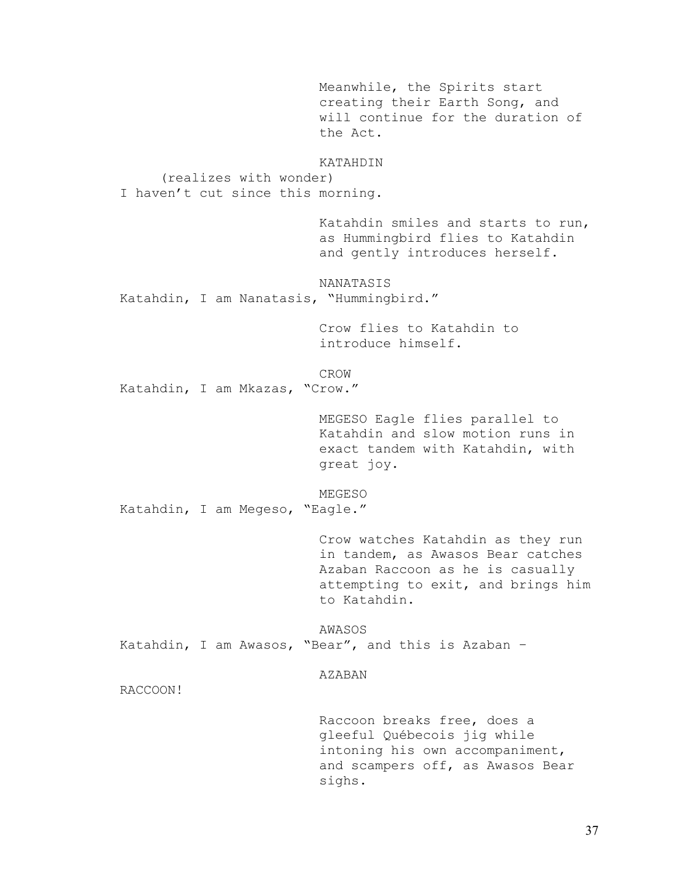Meanwhile, the Spirits start creating their Earth Song, and will continue for the duration of the Act. KATAHDIN (realizes with wonder) I haven't cut since this morning. Katahdin smiles and starts to run, as Hummingbird flies to Katahdin and gently introduces herself. NANATASIS Katahdin, I am Nanatasis, "Hummingbird." Crow flies to Katahdin to introduce himself. CROW Katahdin, I am Mkazas, "Crow." MEGESO Eagle flies parallel to Katahdin and slow motion runs in exact tandem with Katahdin, with great joy. MEGESO Katahdin, I am Megeso, "Eagle." Crow watches Katahdin as they run in tandem, as Awasos Bear catches Azaban Raccoon as he is casually attempting to exit, and brings him to Katahdin. AWASOS Katahdin, I am Awasos, "Bear", and this is Azaban – AZABAN RACCOON! Raccoon breaks free, does a gleeful Québecois jig while intoning his own accompaniment, and scampers off, as Awasos Bear sighs.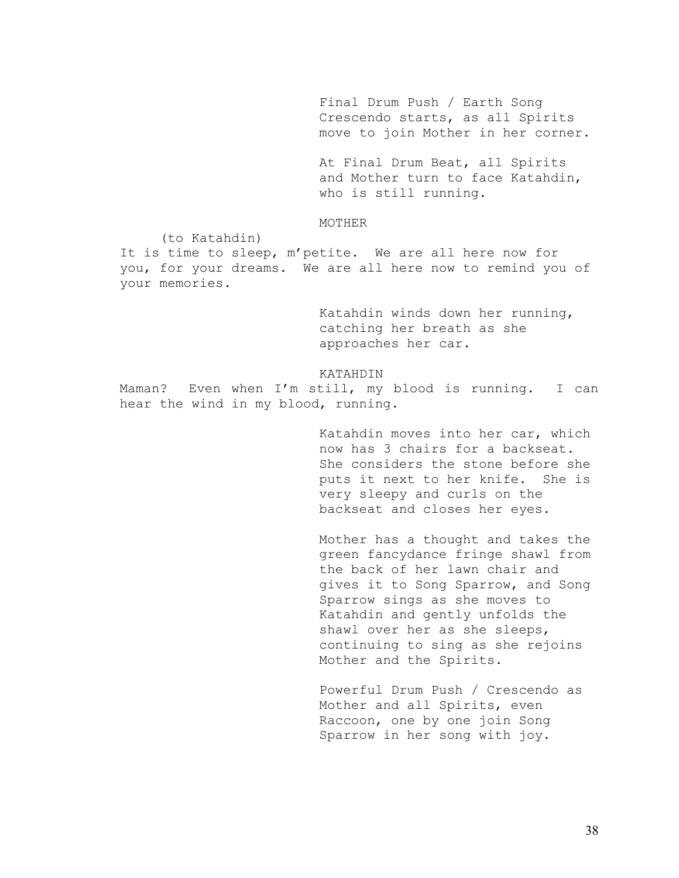Final Drum Push / Earth Song Crescendo starts, as all Spirits move to join Mother in her corner.

At Final Drum Beat, all Spirits and Mother turn to face Katahdin, who is still running.

### MOTHER

(to Katahdin)

It is time to sleep, m'petite. We are all here now for you, for your dreams. We are all here now to remind you of your memories.

> Katahdin winds down her running, catching her breath as she approaches her car.

KATAHDIN Maman? Even when I'm still, my blood is running. I can hear the wind in my blood, running.

> Katahdin moves into her car, which now has 3 chairs for a backseat. She considers the stone before she puts it next to her knife. She is very sleepy and curls on the backseat and closes her eyes.

> Mother has a thought and takes the green fancydance fringe shawl from the back of her lawn chair and gives it to Song Sparrow, and Song Sparrow sings as she moves to Katahdin and gently unfolds the shawl over her as she sleeps, continuing to sing as she rejoins Mother and the Spirits.

Powerful Drum Push / Crescendo as Mother and all Spirits, even Raccoon, one by one join Song Sparrow in her song with joy.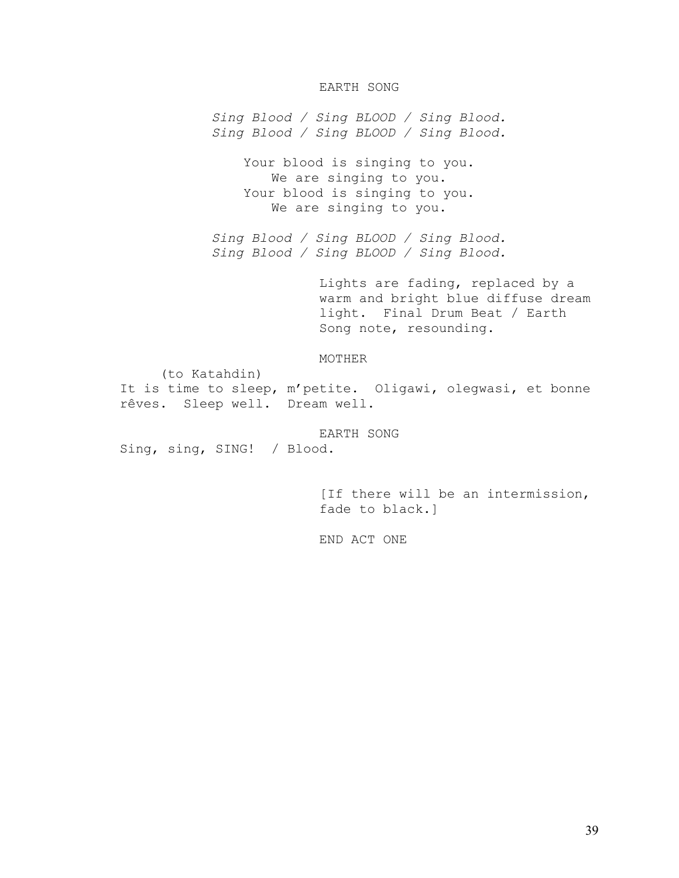## EARTH SONG

*Sing Blood / Sing BLOOD / Sing Blood. Sing Blood / Sing BLOOD / Sing Blood.* 

> Your blood is singing to you. We are singing to you. Your blood is singing to you. We are singing to you.

*Sing Blood / Sing BLOOD / Sing Blood. Sing Blood / Sing BLOOD / Sing Blood.* 

> Lights are fading, replaced by a warm and bright blue diffuse dream light. Final Drum Beat / Earth Song note, resounding.

### MOTHER

(to Katahdin) It is time to sleep, m'petite. Oligawi, olegwasi, et bonne rêves. Sleep well. Dream well.

EARTH SONG Sing, sing, SING! / Blood.

> [If there will be an intermission, fade to black.]

END ACT ONE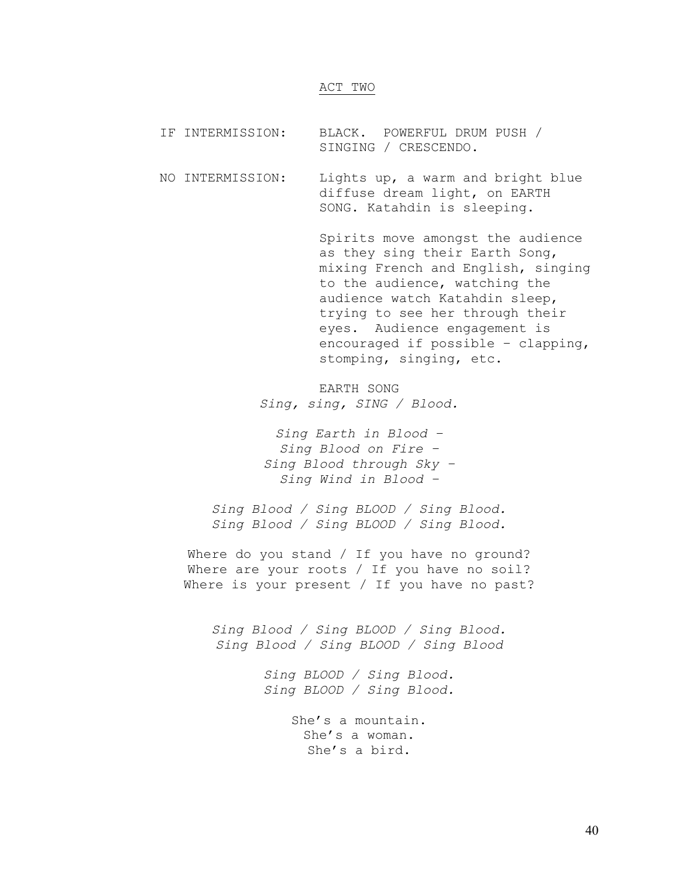### ACT TWO

IF INTERMISSION: BLACK. POWERFUL DRUM PUSH / SINGING / CRESCENDO.

NO INTERMISSION: Lights up, a warm and bright blue diffuse dream light, on EARTH SONG. Katahdin is sleeping.

> Spirits move amongst the audience as they sing their Earth Song, mixing French and English, singing to the audience, watching the audience watch Katahdin sleep, trying to see her through their eyes. Audience engagement is encouraged if possible – clapping, stomping, singing, etc.

EARTH SONG *Sing, sing, SING / Blood.* 

*Sing Earth in Blood – Sing Blood on Fire – Sing Blood through Sky – Sing Wind in Blood –* 

*Sing Blood / Sing BLOOD / Sing Blood. Sing Blood / Sing BLOOD / Sing Blood.* 

Where do you stand / If you have no ground? Where are your roots / If you have no soil? Where is your present / If you have no past?

*Sing Blood / Sing BLOOD / Sing Blood. Sing Blood / Sing BLOOD / Sing Blood* 

> *Sing BLOOD / Sing Blood. Sing BLOOD / Sing Blood.*

> > She's a mountain. She's a woman. She's a bird.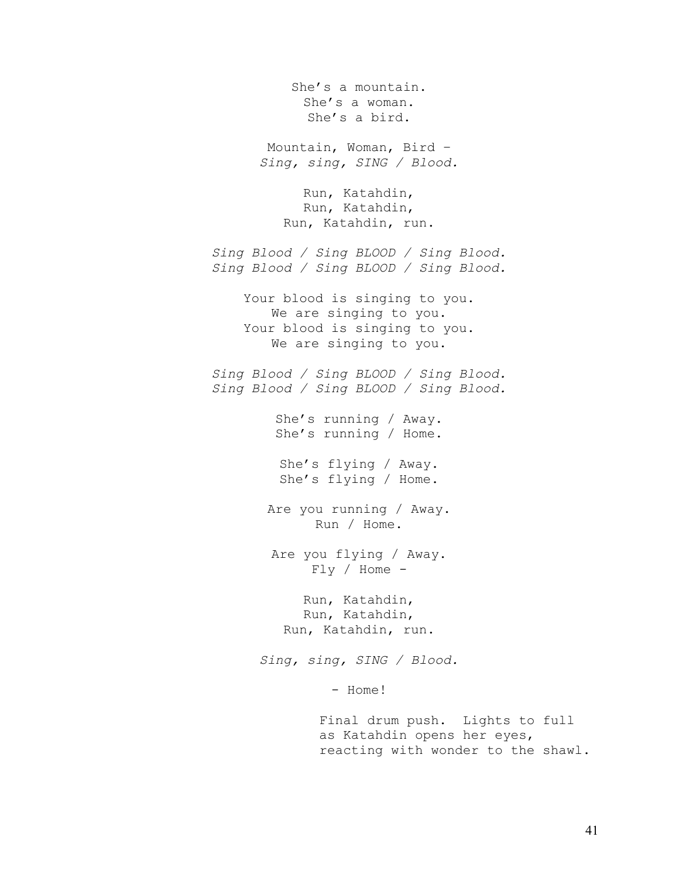She's a mountain. She's a woman. She's a bird. Mountain, Woman, Bird – *Sing, sing, SING / Blood.*  Run, Katahdin, Run, Katahdin, Run, Katahdin, run. *Sing Blood / Sing BLOOD / Sing Blood. Sing Blood / Sing BLOOD / Sing Blood.*  Your blood is singing to you. We are singing to you. Your blood is singing to you. We are singing to you. *Sing Blood / Sing BLOOD / Sing Blood. Sing Blood / Sing BLOOD / Sing Blood.*  She's running / Away. She's running / Home. She's flying / Away. She's flying / Home. Are you running / Away. Run / Home. Are you flying / Away. Fly / Home - Run, Katahdin, Run, Katahdin, Run, Katahdin, run. *Sing, sing, SING / Blood.*  - Home! Final drum push. Lights to full as Katahdin opens her eyes, reacting with wonder to the shawl.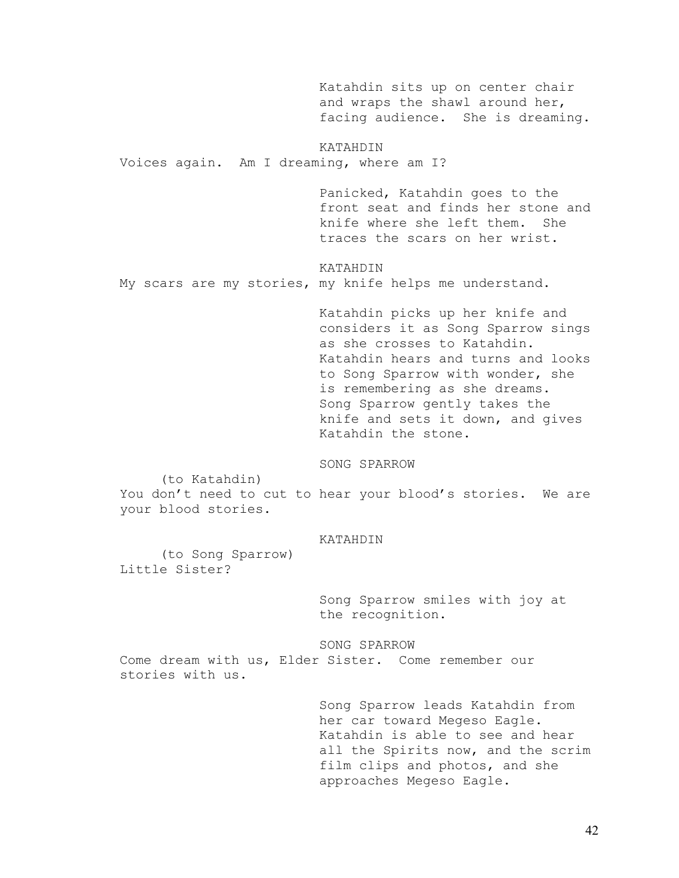Katahdin sits up on center chair and wraps the shawl around her, facing audience. She is dreaming.

KATAHDIN Voices again. Am I dreaming, where am I?

> Panicked, Katahdin goes to the front seat and finds her stone and<br>knife where she left them She knife where she left them. traces the scars on her wrist.

KATAHDIN My scars are my stories, my knife helps me understand.

> Katahdin picks up her knife and considers it as Song Sparrow sings as she crosses to Katahdin. Katahdin hears and turns and looks to Song Sparrow with wonder, she is remembering as she dreams. Song Sparrow gently takes the knife and sets it down, and gives Katahdin the stone.

SONG SPARROW

(to Katahdin)

You don't need to cut to hear your blood's stories. We are your blood stories.

#### KATAHDIN

 (to Song Sparrow) Little Sister?

> Song Sparrow smiles with joy at the recognition.

SONG SPARROW Come dream with us, Elder Sister. Come remember our stories with us.

> Song Sparrow leads Katahdin from her car toward Megeso Eagle. Katahdin is able to see and hear all the Spirits now, and the scrim film clips and photos, and she approaches Megeso Eagle.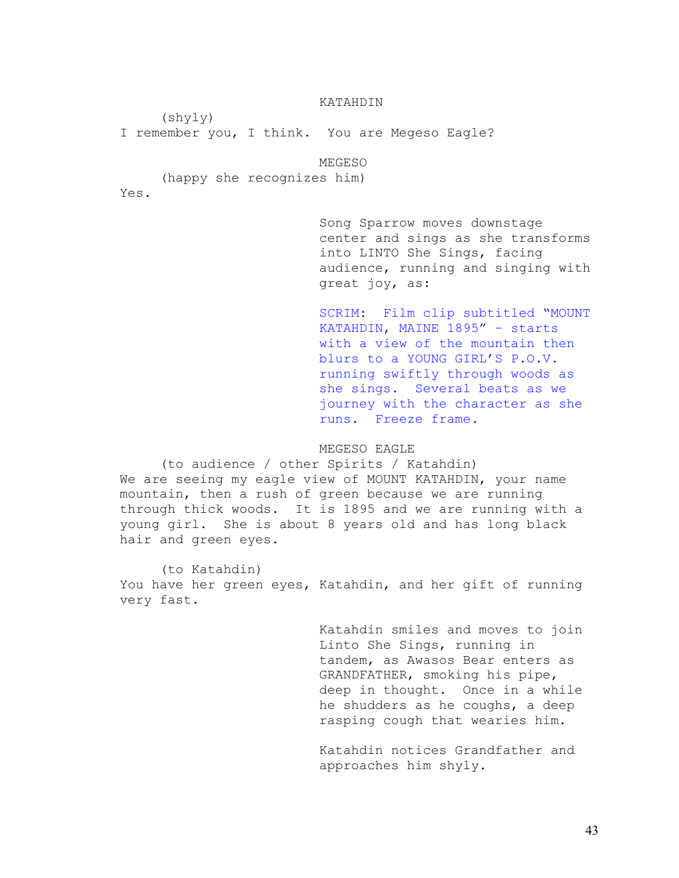### KATAHDIN

(shyly)

I remember you, I think. You are Megeso Eagle?

MEGESO

(happy she recognizes him)

Yes.

Song Sparrow moves downstage center and sings as she transforms into LINTO She Sings, facing audience, running and singing with great joy, as:

SCRIM: Film clip subtitled "MOUNT KATAHDIN, MAINE 1895" – starts with a view of the mountain then blurs to a YOUNG GIRL'S P.O.V. running swiftly through woods as she sings. Several beats as we journey with the character as she runs. Freeze frame.

MEGESO EAGLE

 (to audience / other Spirits / Katahdin) We are seeing my eagle view of MOUNT KATAHDIN, your name mountain, then a rush of green because we are running through thick woods. It is 1895 and we are running with a young girl. She is about 8 years old and has long black hair and green eyes.

 (to Katahdin) You have her green eyes, Katahdin, and her gift of running very fast.

> Katahdin smiles and moves to join Linto She Sings, running in tandem, as Awasos Bear enters as GRANDFATHER, smoking his pipe, deep in thought. Once in a while he shudders as he coughs, a deep rasping cough that wearies him.

Katahdin notices Grandfather and approaches him shyly.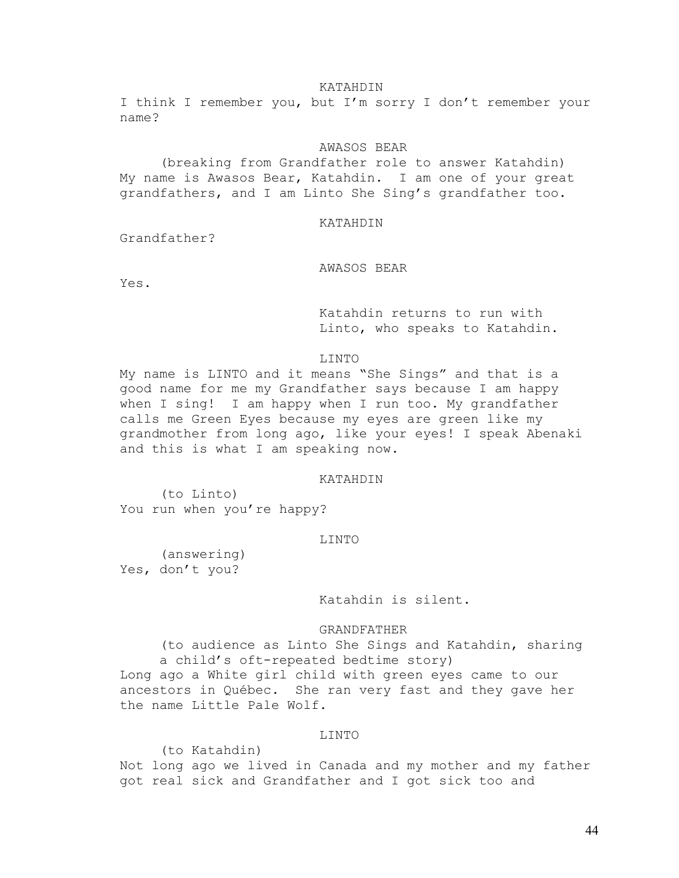#### KATAHDIN

I think I remember you, but I'm sorry I don't remember your name?

## AWASOS BEAR

 (breaking from Grandfather role to answer Katahdin) My name is Awasos Bear, Katahdin. I am one of your great grandfathers, and I am Linto She Sing's grandfather too.

### KATAHDIN

Grandfather?

## AWASOS BEAR

Yes.

Katahdin returns to run with Linto, who speaks to Katahdin.

#### LINTO

My name is LINTO and it means "She Sings" and that is a good name for me my Grandfather says because I am happy when I sing! I am happy when I run too. My grandfather calls me Green Eyes because my eyes are green like my grandmother from long ago, like your eyes! I speak Abenaki and this is what I am speaking now.

### KATAHDIN

 (to Linto) You run when you're happy?

# LINTO

 (answering) Yes, don't you?

Katahdin is silent.

#### GRANDFATHER

(to audience as Linto She Sings and Katahdin, sharing a child's oft-repeated bedtime story) Long ago a White girl child with green eyes came to our ancestors in Québec. She ran very fast and they gave her the name Little Pale Wolf.

## LINTO

 (to Katahdin) Not long ago we lived in Canada and my mother and my father got real sick and Grandfather and I got sick too and

44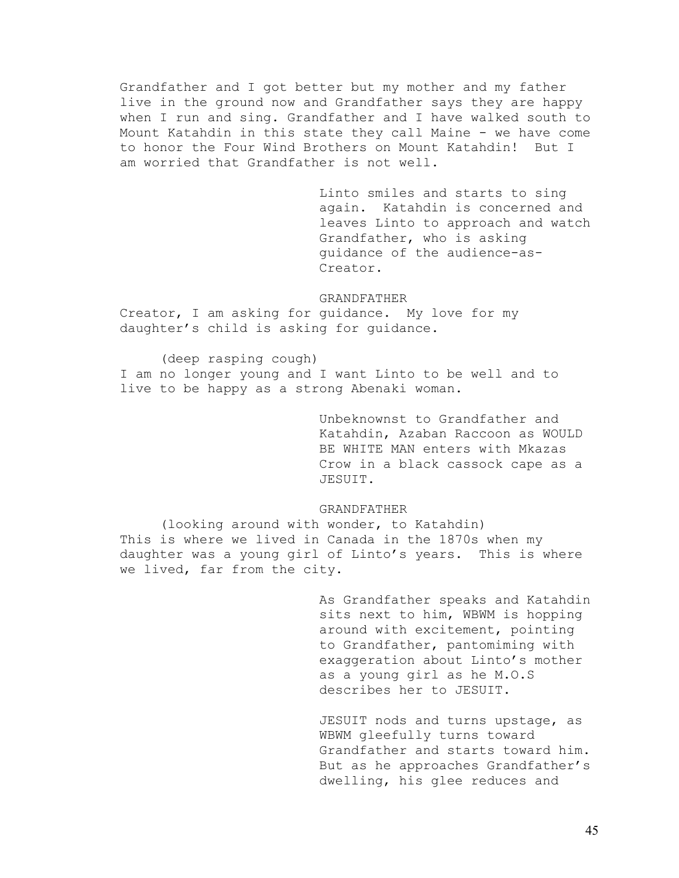Grandfather and I got better but my mother and my father live in the ground now and Grandfather says they are happy when I run and sing. Grandfather and I have walked south to Mount Katahdin in this state they call Maine - we have come to honor the Four Wind Brothers on Mount Katahdin! But I am worried that Grandfather is not well.

> Linto smiles and starts to sing again. Katahdin is concerned and leaves Linto to approach and watch Grandfather, who is asking guidance of the audience-as-Creator.

#### GRANDFATHER

Creator, I am asking for guidance. My love for my daughter's child is asking for guidance.

(deep rasping cough) I am no longer young and I want Linto to be well and to live to be happy as a strong Abenaki woman.

> Unbeknownst to Grandfather and Katahdin, Azaban Raccoon as WOULD BE WHITE MAN enters with Mkazas Crow in a black cassock cape as a JESUIT.

### GRANDFATHER

 (looking around with wonder, to Katahdin) This is where we lived in Canada in the 1870s when my daughter was a young girl of Linto's years. This is where we lived, far from the city.

> As Grandfather speaks and Katahdin sits next to him, WBWM is hopping around with excitement, pointing to Grandfather, pantomiming with exaggeration about Linto's mother as a young girl as he M.O.S describes her to JESUIT.

> JESUIT nods and turns upstage, as WBWM gleefully turns toward Grandfather and starts toward him. But as he approaches Grandfather's dwelling, his glee reduces and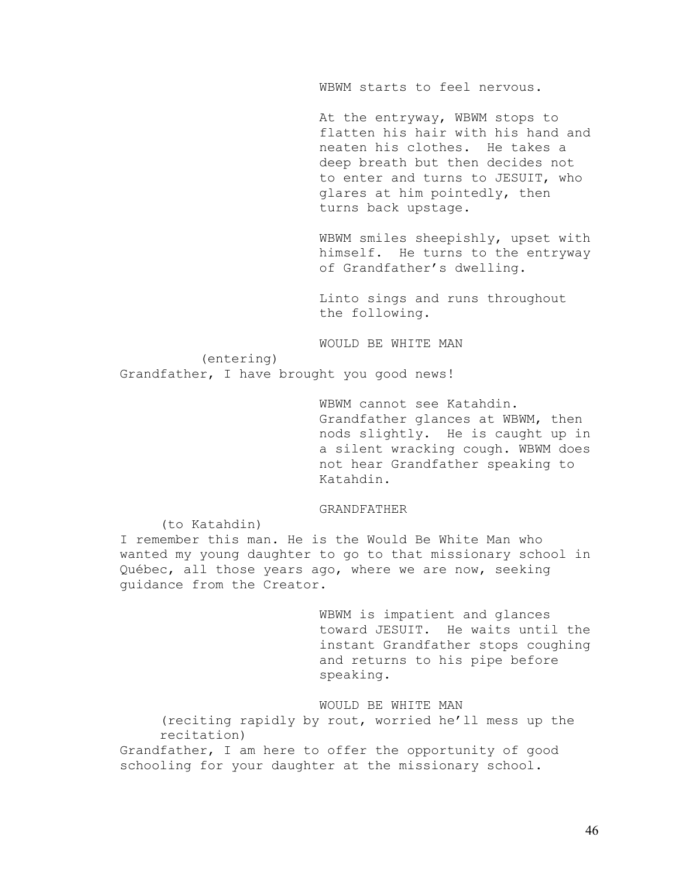WBWM starts to feel nervous.

At the entryway, WBWM stops to flatten his hair with his hand and neaten his clothes. He takes a deep breath but then decides not to enter and turns to JESUIT, who glares at him pointedly, then turns back upstage.

WBWM smiles sheepishly, upset with himself. He turns to the entryway of Grandfather's dwelling.

Linto sings and runs throughout the following.

WOULD BE WHITE MAN

(entering)

Grandfather, I have brought you good news!

WBWM cannot see Katahdin. Grandfather glances at WBWM, then nods slightly. He is caught up in a silent wracking cough. WBWM does not hear Grandfather speaking to Katahdin.

### GRANDFATHER

(to Katahdin)

I remember this man. He is the Would Be White Man who wanted my young daughter to go to that missionary school in Québec, all those years ago, where we are now, seeking guidance from the Creator.

> WBWM is impatient and glances toward JESUIT. He waits until the instant Grandfather stops coughing and returns to his pipe before speaking.

WOULD BE WHITE MAN

(reciting rapidly by rout, worried he'll mess up the recitation)

Grandfather, I am here to offer the opportunity of good schooling for your daughter at the missionary school.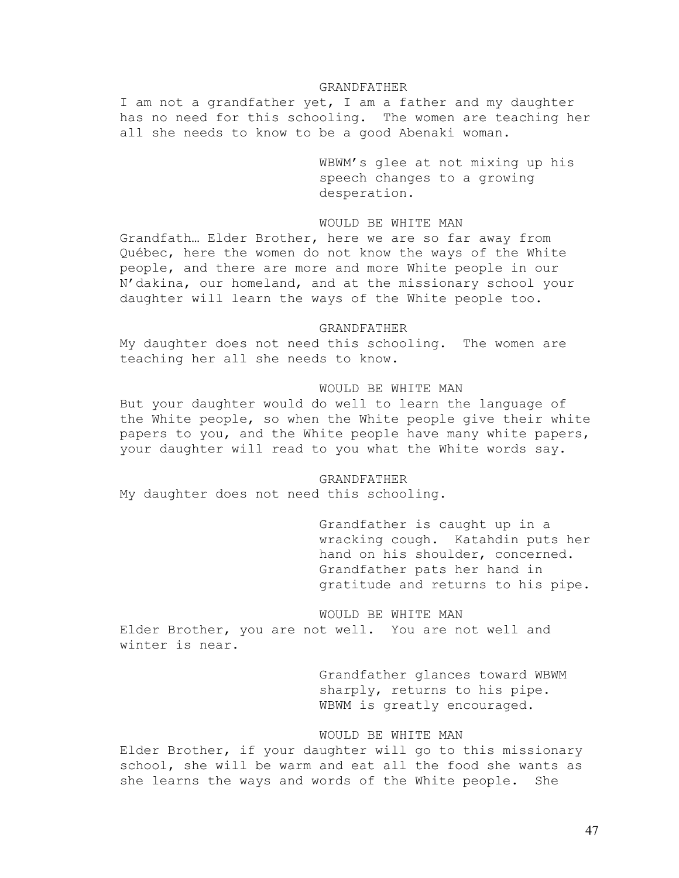#### GRANDFATHER

I am not a grandfather yet, I am a father and my daughter has no need for this schooling. The women are teaching her all she needs to know to be a good Abenaki woman.

> WBWM's glee at not mixing up his speech changes to a growing desperation.

### WOULD BE WHITE MAN

Grandfath… Elder Brother, here we are so far away from Québec, here the women do not know the ways of the White people, and there are more and more White people in our N'dakina, our homeland, and at the missionary school your daughter will learn the ways of the White people too.

### GRANDFATHER

My daughter does not need this schooling. The women are teaching her all she needs to know.

### WOULD BE WHITE MAN

But your daughter would do well to learn the language of the White people, so when the White people give their white papers to you, and the White people have many white papers, your daughter will read to you what the White words say.

#### GRANDFATHER

My daughter does not need this schooling.

Grandfather is caught up in a wracking cough. Katahdin puts her hand on his shoulder, concerned. Grandfather pats her hand in gratitude and returns to his pipe.

WOULD BE WHITE MAN Elder Brother, you are not well. You are not well and winter is near.

> Grandfather glances toward WBWM sharply, returns to his pipe. WBWM is greatly encouraged.

## WOULD BE WHITE MAN

Elder Brother, if your daughter will go to this missionary school, she will be warm and eat all the food she wants as she learns the ways and words of the White people. She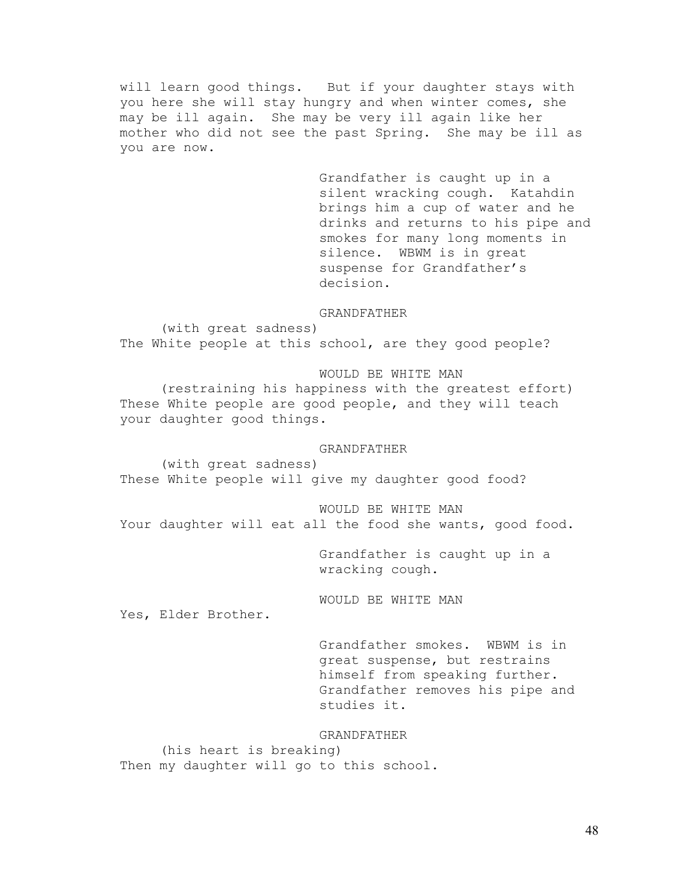will learn good things. But if your daughter stays with you here she will stay hungry and when winter comes, she may be ill again. She may be very ill again like her mother who did not see the past Spring. She may be ill as you are now.

> Grandfather is caught up in a silent wracking cough. Katahdin brings him a cup of water and he drinks and returns to his pipe and smokes for many long moments in silence. WBWM is in great suspense for Grandfather's decision.

#### GRANDFATHER

 (with great sadness) The White people at this school, are they good people?

WOULD BE WHITE MAN

 (restraining his happiness with the greatest effort) These White people are good people, and they will teach your daughter good things.

### GRANDFATHER

 (with great sadness) These White people will give my daughter good food?

WOULD BE WHITE MAN Your daughter will eat all the food she wants, good food.

> Grandfather is caught up in a wracking cough.

WOULD BE WHITE MAN

Yes, Elder Brother.

Grandfather smokes. WBWM is in great suspense, but restrains himself from speaking further. Grandfather removes his pipe and studies it.

### GRANDFATHER

 (his heart is breaking) Then my daughter will go to this school.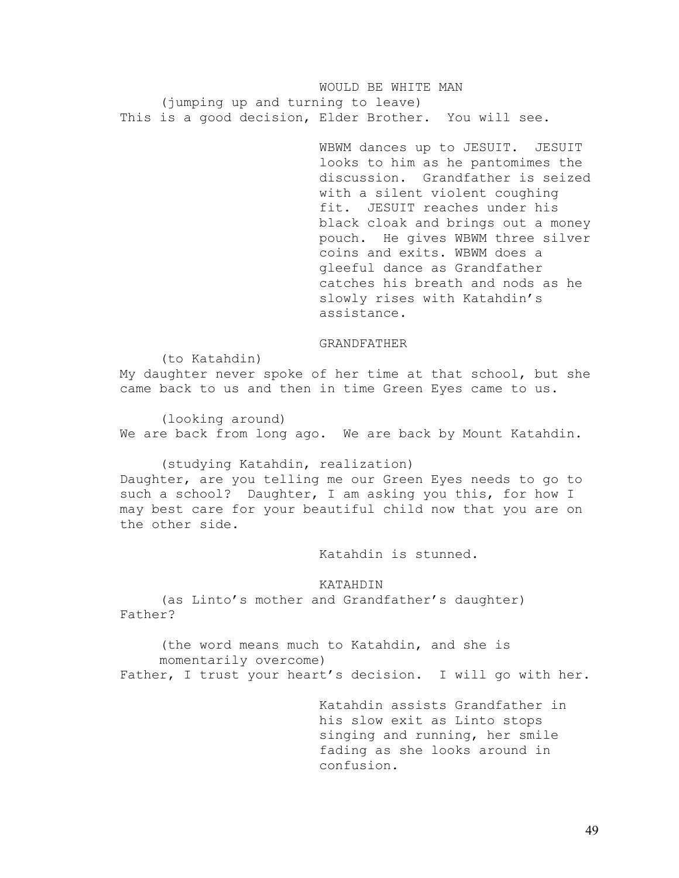WOULD BE WHITE MAN (jumping up and turning to leave) This is a good decision, Elder Brother. You will see.

> WBWM dances up to JESUIT. JESUIT looks to him as he pantomimes the discussion. Grandfather is seized with a silent violent coughing fit. JESUIT reaches under his black cloak and brings out a money pouch. He gives WBWM three silver coins and exits. WBWM does a gleeful dance as Grandfather catches his breath and nods as he slowly rises with Katahdin's assistance.

#### GRANDFATHER

My daughter never spoke of her time at that school, but she came back to us and then in time Green Eyes came to us.

(to Katahdin)

 (looking around) We are back from long ago. We are back by Mount Katahdin.

 (studying Katahdin, realization) Daughter, are you telling me our Green Eyes needs to go to such a school? Daughter, I am asking you this, for how I may best care for your beautiful child now that you are on the other side.

Katahdin is stunned.

KATAHDIN

 (as Linto's mother and Grandfather's daughter) Father?

(the word means much to Katahdin, and she is momentarily overcome) Father, I trust your heart's decision. I will go with her.

> Katahdin assists Grandfather in his slow exit as Linto stops singing and running, her smile fading as she looks around in confusion.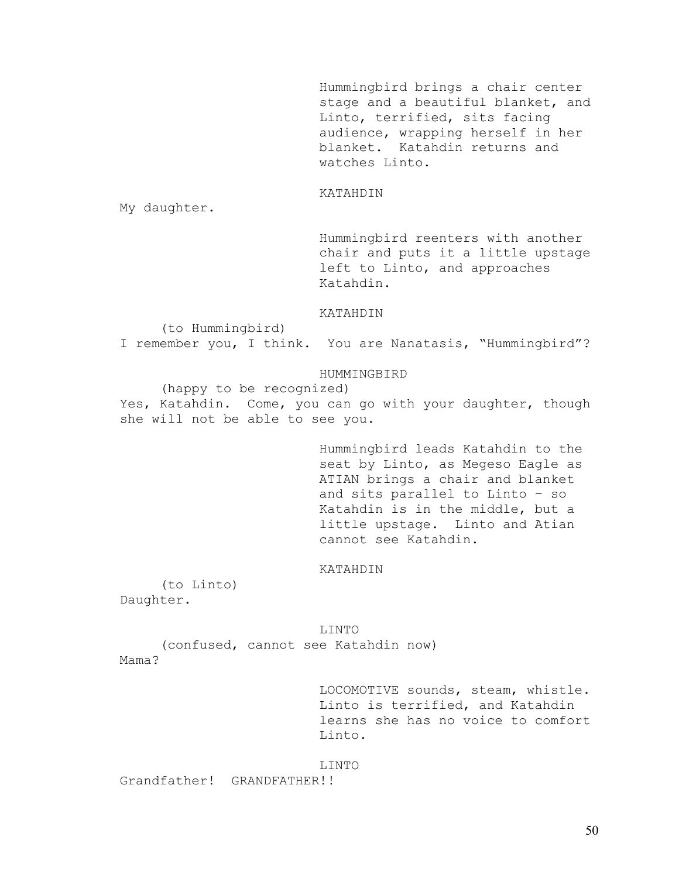Hummingbird brings a chair center stage and a beautiful blanket, and Linto, terrified, sits facing audience, wrapping herself in her blanket. Katahdin returns and watches Linto.

#### KATAHDIN

My daughter.

Hummingbird reenters with another chair and puts it a little upstage left to Linto, and approaches Katahdin.

#### KATAHDIN

(to Hummingbird)

I remember you, I think. You are Nanatasis, "Hummingbird"?

## HUMMINGBIRD

 (happy to be recognized) Yes, Katahdin. Come, you can go with your daughter, though she will not be able to see you.

> Hummingbird leads Katahdin to the seat by Linto, as Megeso Eagle as ATIAN brings a chair and blanket and sits parallel to Linto – so Katahdin is in the middle, but a little upstage. Linto and Atian cannot see Katahdin.

#### KATAHDIN

 (to Linto) Daughter.

LINTO

 (confused, cannot see Katahdin now) Mama?

LOCOMOTIVE sounds, steam, whistle. Linto is terrified, and Katahdin learns she has no voice to comfort Linto.

### LINTO

Grandfather! GRANDFATHER!!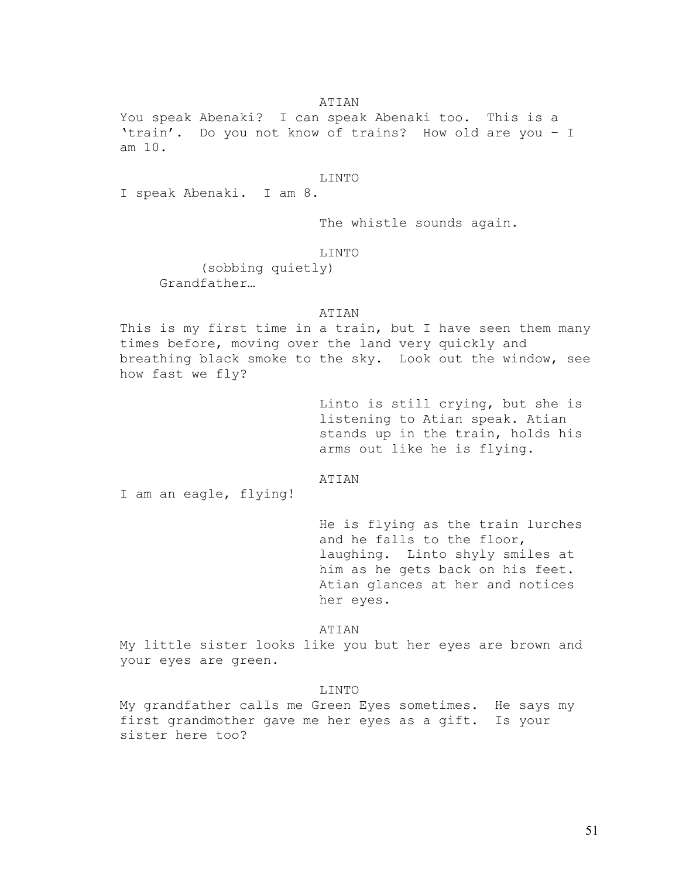### ATIAN

You speak Abenaki? I can speak Abenaki too. This is a 'train'. Do you not know of trains? How old are you – I am 10.

#### LINTO

I speak Abenaki. I am 8.

The whistle sounds again.

### LINTO

(sobbing quietly) Grandfather…

### ATIAN

This is my first time in a train, but I have seen them many times before, moving over the land very quickly and breathing black smoke to the sky. Look out the window, see how fast we fly?

> Linto is still crying, but she is listening to Atian speak. Atian stands up in the train, holds his arms out like he is flying.

## ATIAN

I am an eagle, flying!

He is flying as the train lurches and he falls to the floor, laughing. Linto shyly smiles at him as he gets back on his feet. Atian glances at her and notices her eyes.

### ATIAN

My little sister looks like you but her eyes are brown and your eyes are green.

#### LINTO

My grandfather calls me Green Eyes sometimes. He says my first grandmother gave me her eyes as a gift. Is your sister here too?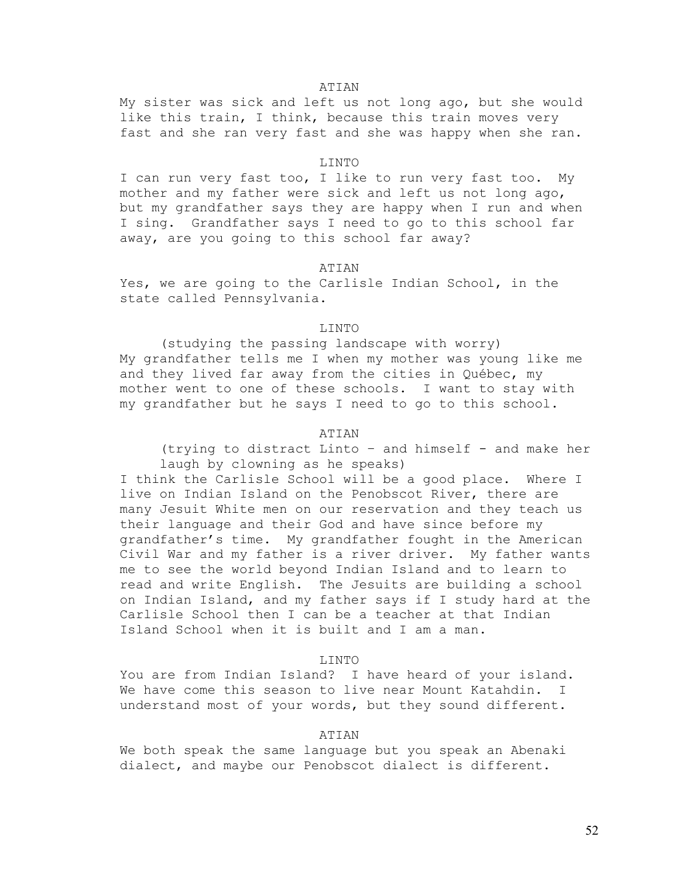#### ATIAN

My sister was sick and left us not long ago, but she would like this train, I think, because this train moves very fast and she ran very fast and she was happy when she ran.

#### LINTO

I can run very fast too, I like to run very fast too. My mother and my father were sick and left us not long ago, but my grandfather says they are happy when I run and when I sing. Grandfather says I need to go to this school far away, are you going to this school far away?

#### ATIAN

Yes, we are going to the Carlisle Indian School, in the state called Pennsylvania.

#### LINTO

 (studying the passing landscape with worry) My grandfather tells me I when my mother was young like me and they lived far away from the cities in Québec, my mother went to one of these schools. I want to stay with my grandfather but he says I need to go to this school.

### ATIAN

(trying to distract Linto – and himself - and make her laugh by clowning as he speaks)

I think the Carlisle School will be a good place. Where I live on Indian Island on the Penobscot River, there are many Jesuit White men on our reservation and they teach us their language and their God and have since before my grandfather's time. My grandfather fought in the American Civil War and my father is a river driver. My father wants me to see the world beyond Indian Island and to learn to read and write English. The Jesuits are building a school on Indian Island, and my father says if I study hard at the Carlisle School then I can be a teacher at that Indian Island School when it is built and I am a man.

# LINTO

You are from Indian Island? I have heard of your island. We have come this season to live near Mount Katahdin. I understand most of your words, but they sound different.

## ATIAN

We both speak the same language but you speak an Abenaki dialect, and maybe our Penobscot dialect is different.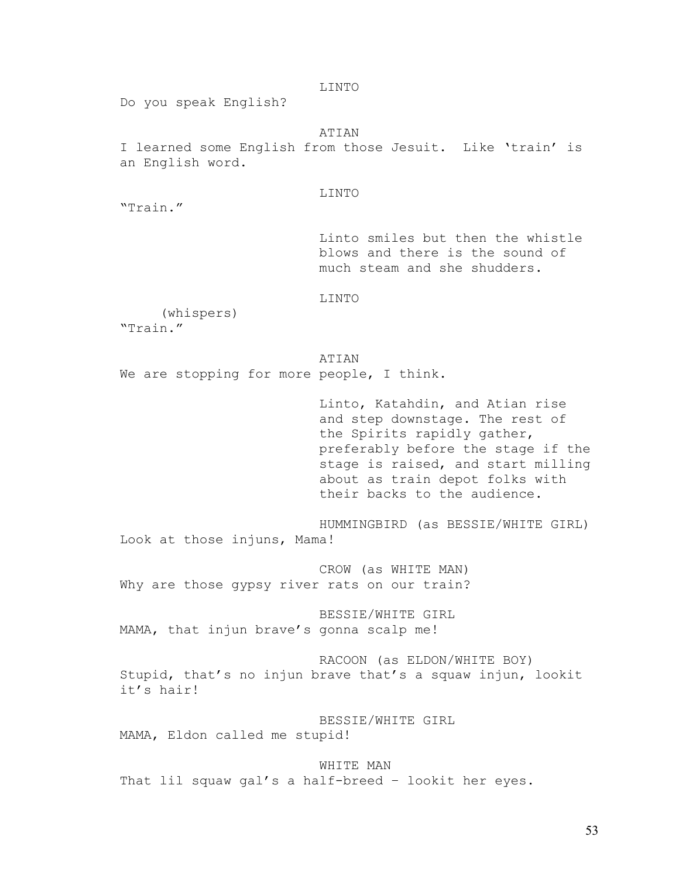Do you speak English? ATIAN I learned some English from those Jesuit. Like 'train' is an English word. LINTO "Train." Linto smiles but then the whistle blows and there is the sound of much steam and she shudders. LINTO (whispers) "Train." ATIAN We are stopping for more people, I think. Linto, Katahdin, and Atian rise and step downstage. The rest of the Spirits rapidly gather, preferably before the stage if the stage is raised, and start milling about as train depot folks with their backs to the audience. HUMMINGBIRD (as BESSIE/WHITE GIRL) Look at those injuns, Mama! CROW (as WHITE MAN) Why are those gypsy river rats on our train? BESSIE/WHITE GIRL MAMA, that injun brave's gonna scalp me! RACOON (as ELDON/WHITE BOY) Stupid, that's no injun brave that's a squaw injun, lookit it's hair! BESSIE/WHITE GIRL MAMA, Eldon called me stupid!

LINTO

 WHITE MAN That lil squaw gal's a half-breed – lookit her eyes.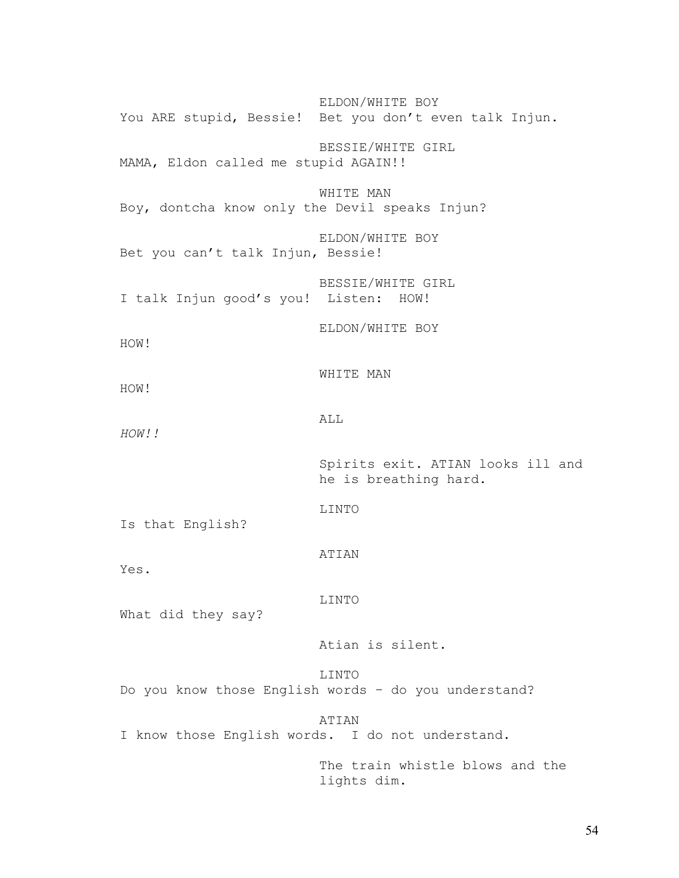ELDON/WHITE BOY You ARE stupid, Bessie! Bet you don't even talk Injun. BESSIE/WHITE GIRL MAMA, Eldon called me stupid AGAIN!! WHITE MAN Boy, dontcha know only the Devil speaks Injun? ELDON/WHITE BOY Bet you can't talk Injun, Bessie! BESSIE/WHITE GIRL I talk Injun good's you! Listen: HOW! ELDON/WHITE BOY HOW! WHITE MAN HOW! ALL *HOW!!*  Spirits exit. ATIAN looks ill and he is breathing hard. LINTO Is that English? ATIAN Yes. LINTO What did they say? Atian is silent. LINTO Do you know those English words – do you understand? ATIAN I know those English words. I do not understand. The train whistle blows and the lights dim.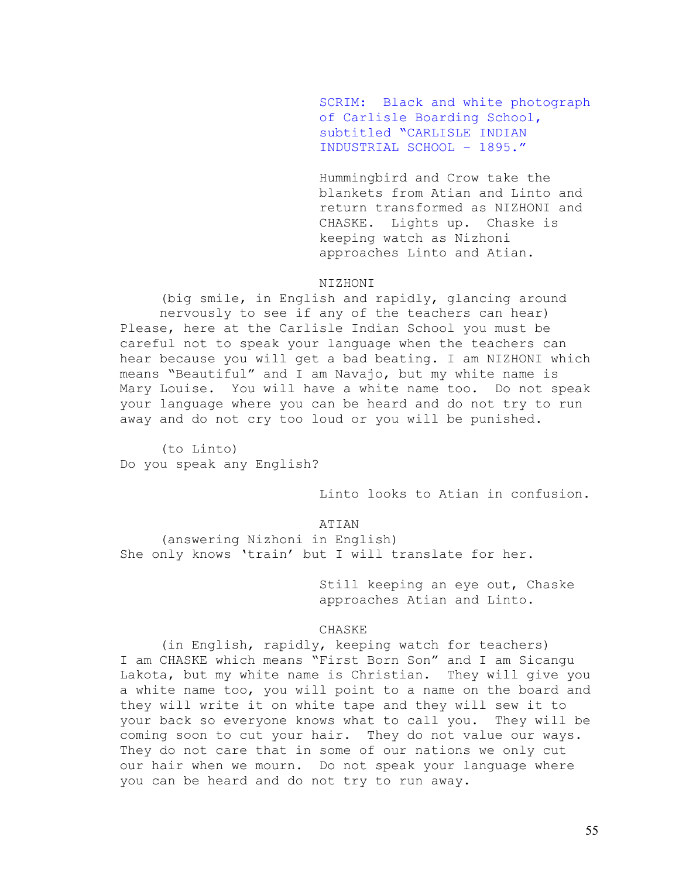SCRIM: Black and white photograph of Carlisle Boarding School, subtitled "CARLISLE INDIAN INDUSTRIAL SCHOOL – 1895."

Hummingbird and Crow take the blankets from Atian and Linto and return transformed as NIZHONI and CHASKE. Lights up. Chaske is keeping watch as Nizhoni approaches Linto and Atian.

### NIZHONI

(big smile, in English and rapidly, glancing around nervously to see if any of the teachers can hear) Please, here at the Carlisle Indian School you must be careful not to speak your language when the teachers can hear because you will get a bad beating. I am NIZHONI which means "Beautiful" and I am Navajo, but my white name is Mary Louise. You will have a white name too. Do not speak your language where you can be heard and do not try to run away and do not cry too loud or you will be punished.

 (to Linto) Do you speak any English?

Linto looks to Atian in confusion.

### ATIAN

 (answering Nizhoni in English) She only knows 'train' but I will translate for her.

> Still keeping an eye out, Chaske approaches Atian and Linto.

### CHASKE

 (in English, rapidly, keeping watch for teachers) I am CHASKE which means "First Born Son" and I am Sicangu Lakota, but my white name is Christian. They will give you a white name too, you will point to a name on the board and they will write it on white tape and they will sew it to your back so everyone knows what to call you. They will be coming soon to cut your hair. They do not value our ways. They do not care that in some of our nations we only cut our hair when we mourn. Do not speak your language where you can be heard and do not try to run away.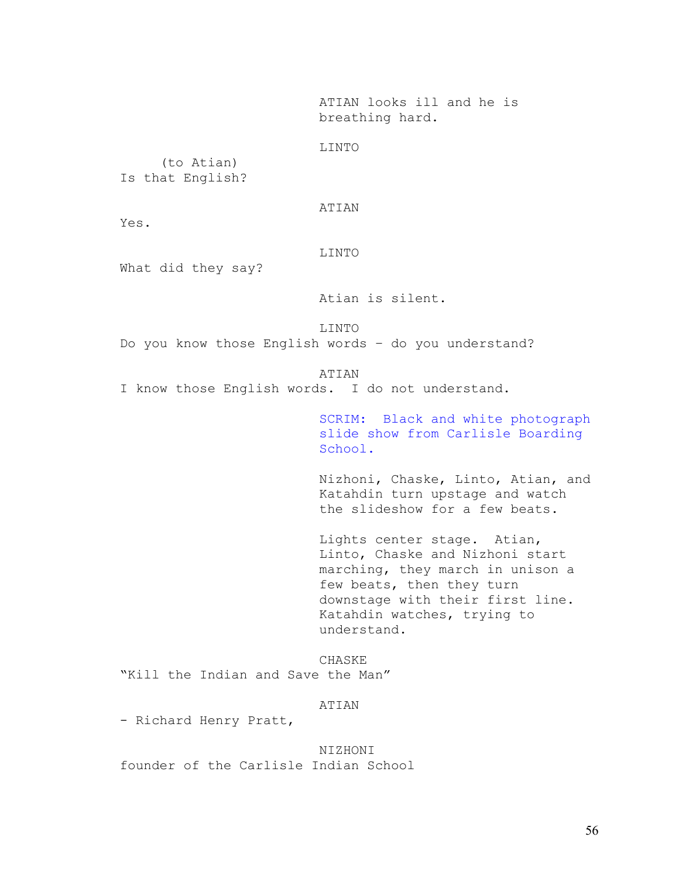ATIAN looks ill and he is breathing hard.

LINTO

 (to Atian) Is that English?

ATIAN

Yes.

LINTO

What did they say?

Atian is silent.

LINTO

Do you know those English words – do you understand?

ATIAN

I know those English words. I do not understand.

SCRIM: Black and white photograph slide show from Carlisle Boarding School.

Nizhoni, Chaske, Linto, Atian, and Katahdin turn upstage and watch the slideshow for a few beats.

Lights center stage. Atian, Linto, Chaske and Nizhoni start marching, they march in unison a few beats, then they turn downstage with their first line. Katahdin watches, trying to understand.

CHASKE "Kill the Indian and Save the Man"

ATIAN

- Richard Henry Pratt,

NIZHONI founder of the Carlisle Indian School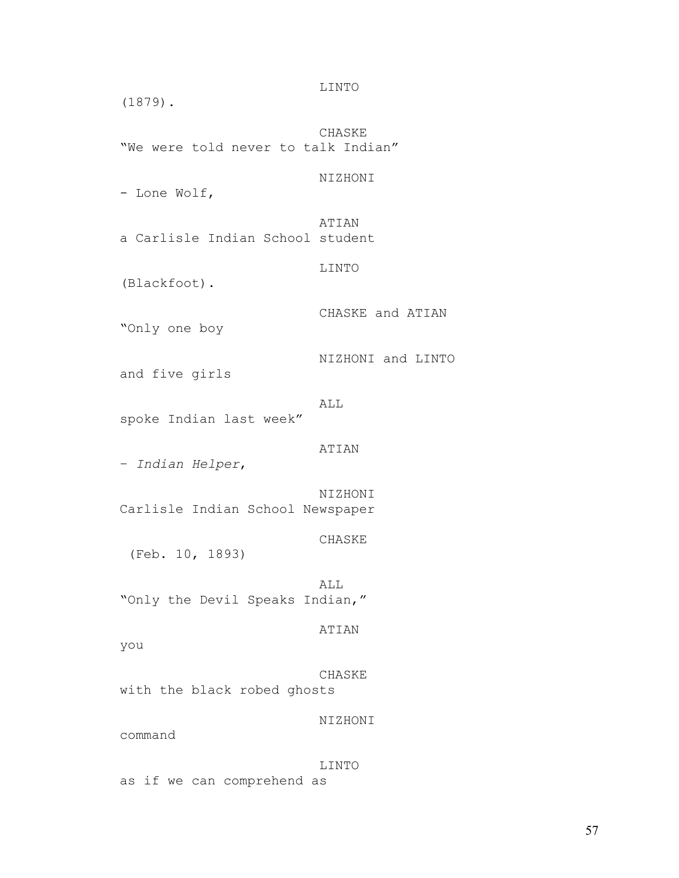LINTO (1879). CHASKE "We were told never to talk Indian" NIZHONI - Lone Wolf, ATIAN a Carlisle Indian School student LINTO (Blackfoot). CHASKE and ATIAN "Only one boy NIZHONI and LINTO and five girls ALL spoke Indian last week" ATIAN – *Indian Helper*, NIZHONI Carlisle Indian School Newspaper CHASKE (Feb. 10, 1893) ALL "Only the Devil Speaks Indian," ATIAN you CHASKE with the black robed ghosts NIZHONI command LINTO as if we can comprehend as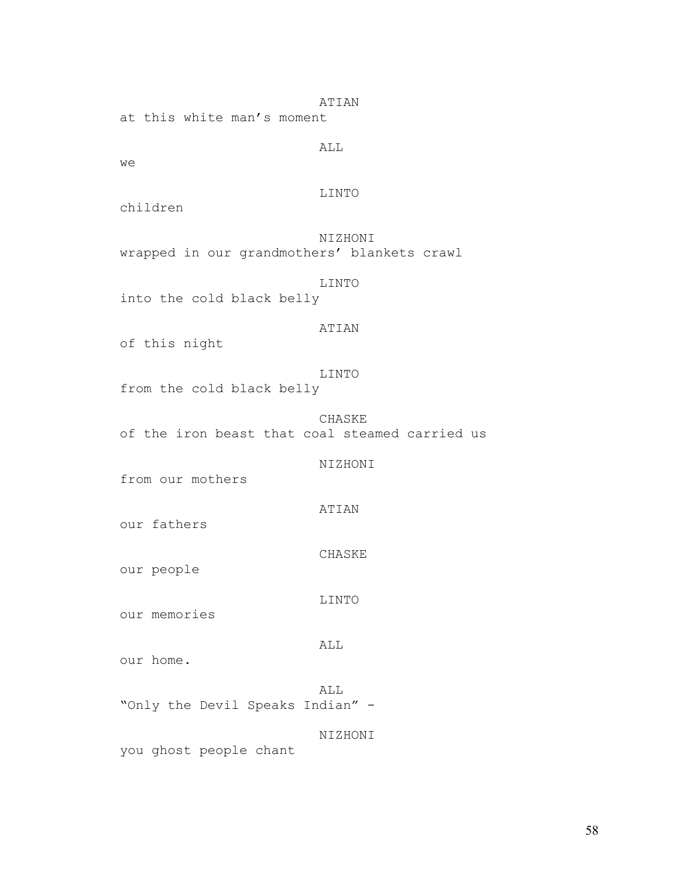ATIAN

at this white man's moment

ALL

we

LINTO

children

NIZHONI wrapped in our grandmothers' blankets crawl

LINTO

into the cold black belly

# ATIAN

of this night

LINTO

from the cold black belly

CHASKE of the iron beast that coal steamed carried us

NIZHONI

from our mothers

ATIAN

our fathers

CHASKE

our people

LINTO

our memories

ALL

our home.

ALL "Only the Devil Speaks Indian" -

NIZHONI

you ghost people chant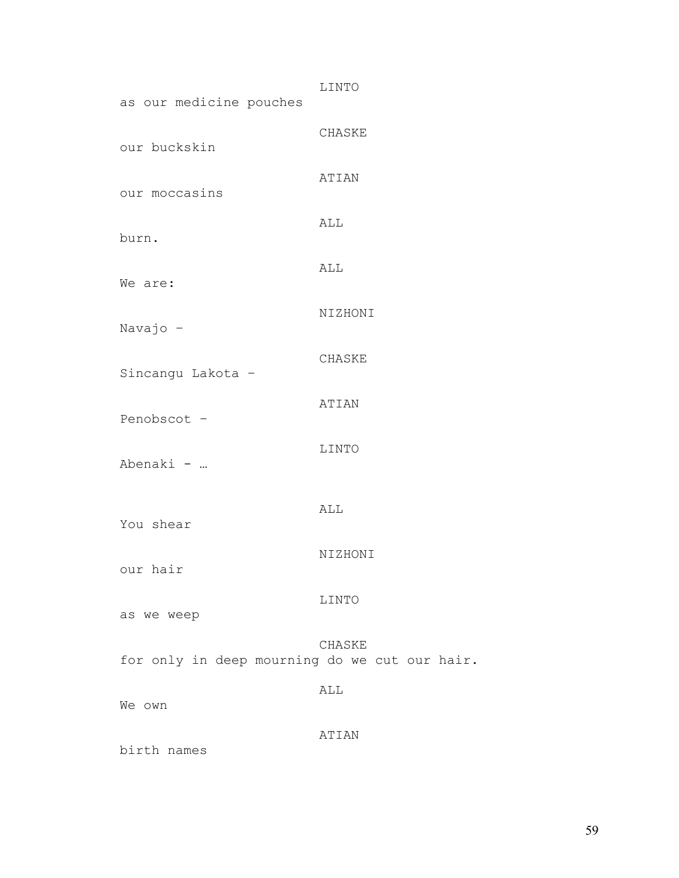| as our medicine pouches                       | LINTO   |
|-----------------------------------------------|---------|
| our buckskin                                  | CHASKE  |
| our moccasins                                 | ATIAN   |
| burn.                                         | ALL     |
| We are:                                       | ALL     |
| Navajo -                                      | NIZHONI |
| Sincangu Lakota -                             | CHASKE  |
| Penobscot -                                   | ATIAN   |
| Abenaki -                                     | LINTO   |
| You shear                                     | ALL     |
| our hair                                      | NIZHONI |
| as we weep                                    | LINTO   |
| for only in deep mourning do we cut our hair. | CHASKE  |
| We own                                        | ALL     |
| birth names                                   | ATIAN   |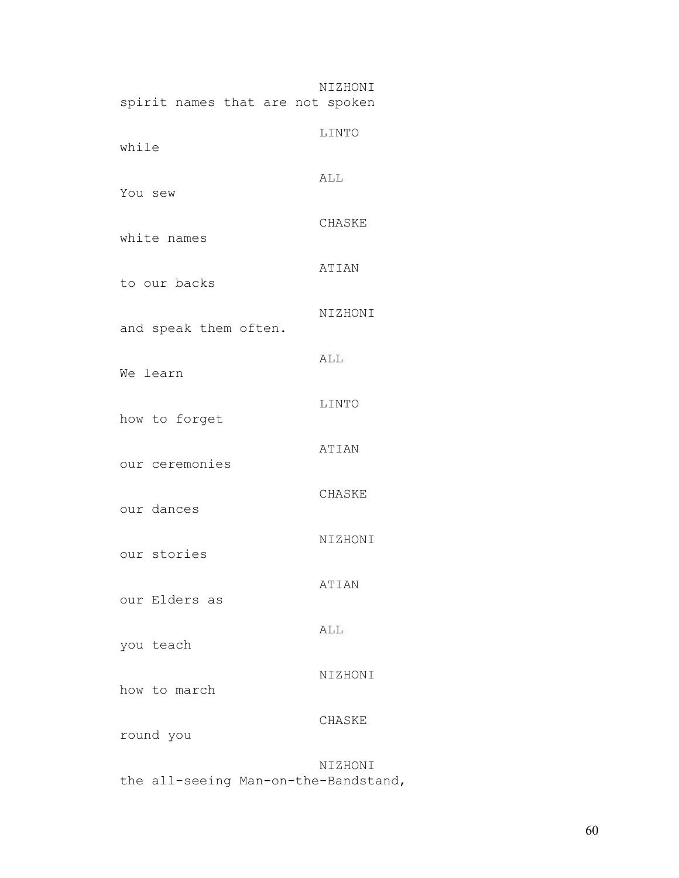| spirit names that are not spoken | NIZHONI      |
|----------------------------------|--------------|
| while                            | LINTO        |
| You sew                          | ALL          |
| white names                      | CHASKE       |
| to our backs                     | <b>ATIAN</b> |
| and speak them often.            | NIZHONI      |
| We learn                         | ALL          |
| how to forget                    | LINTO        |
| our ceremonies                   | ATIAN        |
| our dances                       | CHASKE       |
| our stories                      | NIZHONI      |
| our Elders as                    | ATIAN        |
| you teach                        | ALL          |
| how to march                     | NIZHONI      |
| round you                        | CHASKE       |
|                                  | NIZHONI      |

the all-seeing Man-on-the-Bandstand,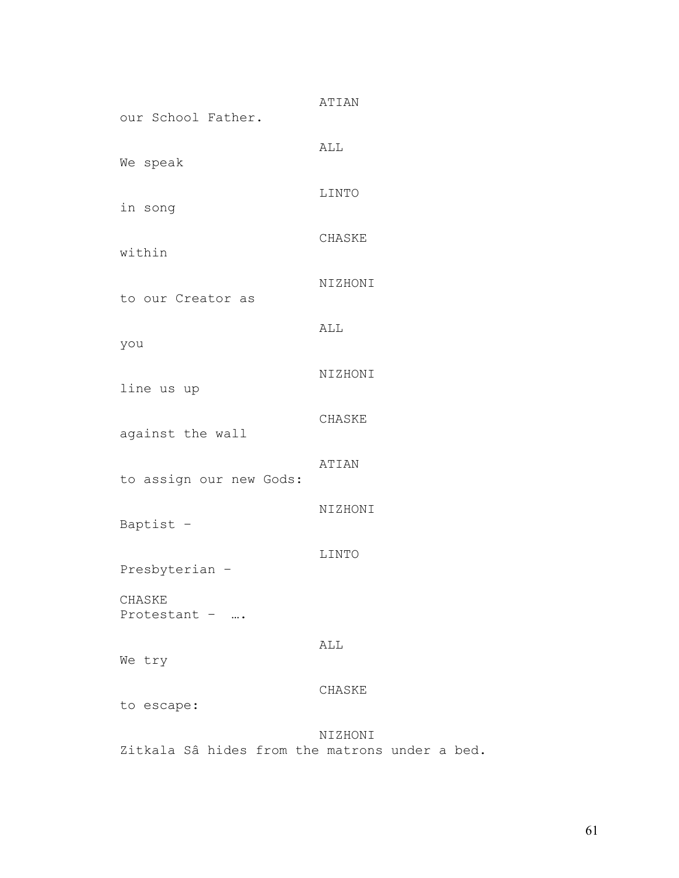| our School Father.      | ATIAN        |
|-------------------------|--------------|
| We speak                | ALL          |
| in song                 | LINTO        |
| within                  | CHASKE       |
|                         | NIZHONI      |
| to our Creator as       |              |
| you                     | ALL          |
| line us up              | NIZHONI      |
| against the wall        | CHASKE       |
| to assign our new Gods: | <b>ATIAN</b> |
| Baptist -               | NIZHONI      |
| Presbyterian -          | LINTO        |
| CHASKE<br>Protestant -  |              |
| We try                  | ALL          |
| to escape:              | CHASKE       |
|                         | NIZHONI      |

Zitkala Sâ hides from the matrons under a bed.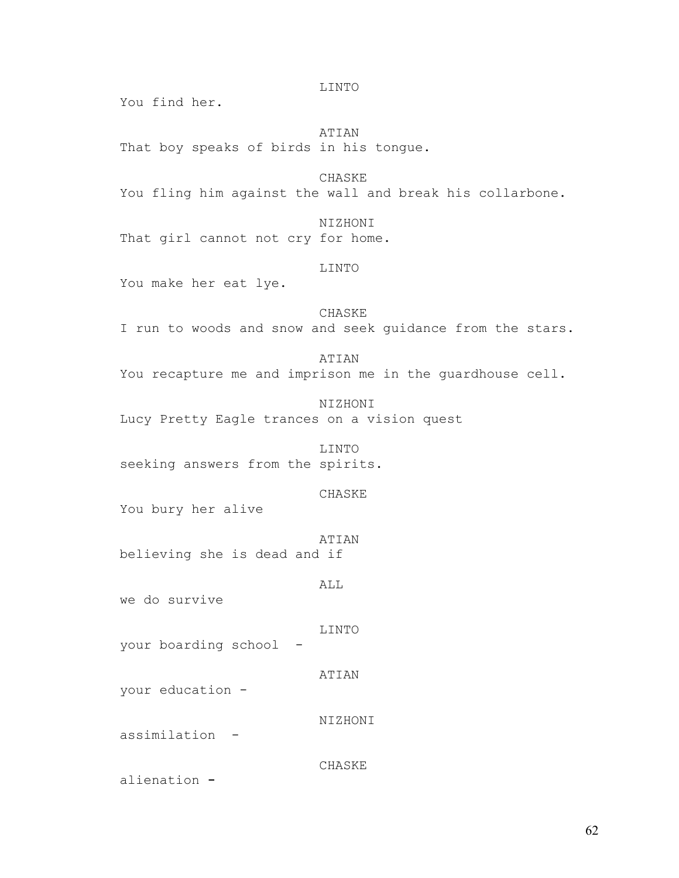You find her. ATIAN That boy speaks of birds in his tongue. CHASKE You fling him against the wall and break his collarbone. NIZHONI That girl cannot not cry for home. LINTO You make her eat lye. CHASKE I run to woods and snow and seek guidance from the stars. ATIAN You recapture me and imprison me in the quardhouse cell. NIZHONI Lucy Pretty Eagle trances on a vision quest LINTO seeking answers from the spirits. CHASKE You bury her alive ATIAN believing she is dead and if ALL we do survive LINTO your boarding school - ATIAN your education - NIZHONI assimilation - CHASKE alienation **-** 

LINTO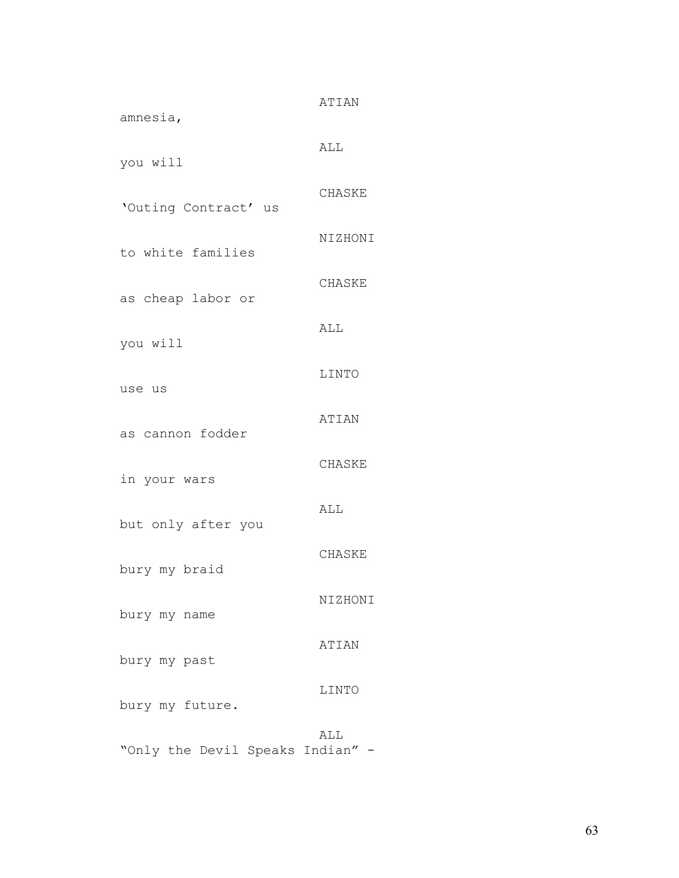| amnesia,             | ATIAN   |
|----------------------|---------|
| you will             | ALL     |
| 'Outing Contract' us | CHASKE  |
| to white families    | NIZHONI |
| as cheap labor or    | CHASKE  |
| you will             | ALL     |
| use us               | LINTO   |
| as cannon fodder     | ATIAN   |
| in your wars         | CHASKE  |
|                      | ALL     |
| but only after you   | CHASKE  |
| bury my braid        | NIZHONI |
| bury my name         | ATIAN   |
| bury my past         | LINTO   |
| bury my future.      | ALL     |

"Only the Devil Speaks Indian" -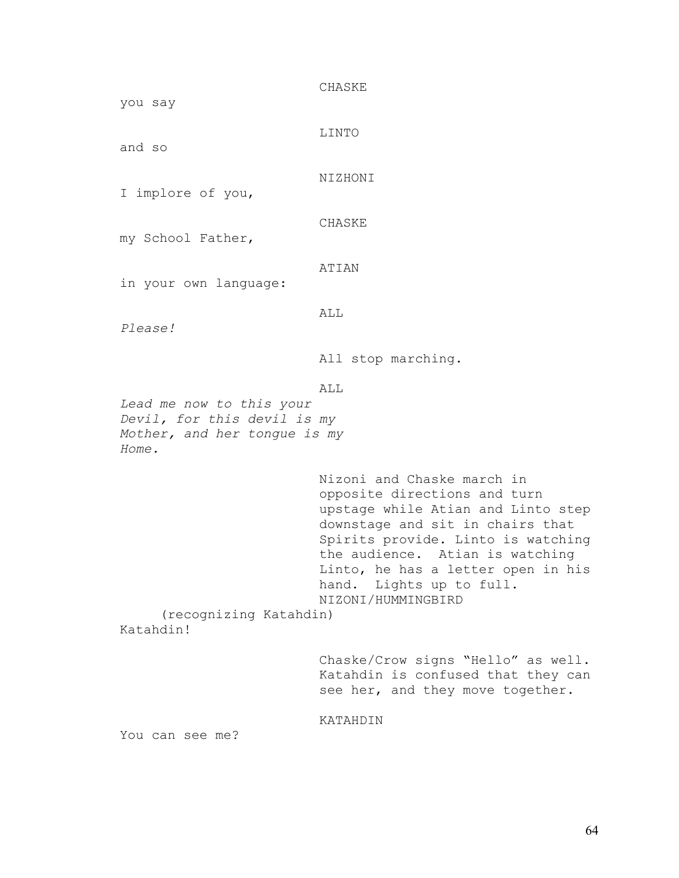CHASKE you say LINTO and so NIZHONI I implore of you, CHASKE my School Father, ATIAN in your own language: ALL *Please!*  All stop marching. ALL *Lead me now to this your Devil, for this devil is my Mother, and her tongue is my Home.*  Nizoni and Chaske march in opposite directions and turn upstage while Atian and Linto step downstage and sit in chairs that Spirits provide. Linto is watching the audience. Atian is watching Linto, he has a letter open in his hand. Lights up to full. NIZONI/HUMMINGBIRD (recognizing Katahdin) Katahdin! Chaske/Crow signs "Hello" as well. Katahdin is confused that they can see her, and they move together. KATAHDIN

You can see me?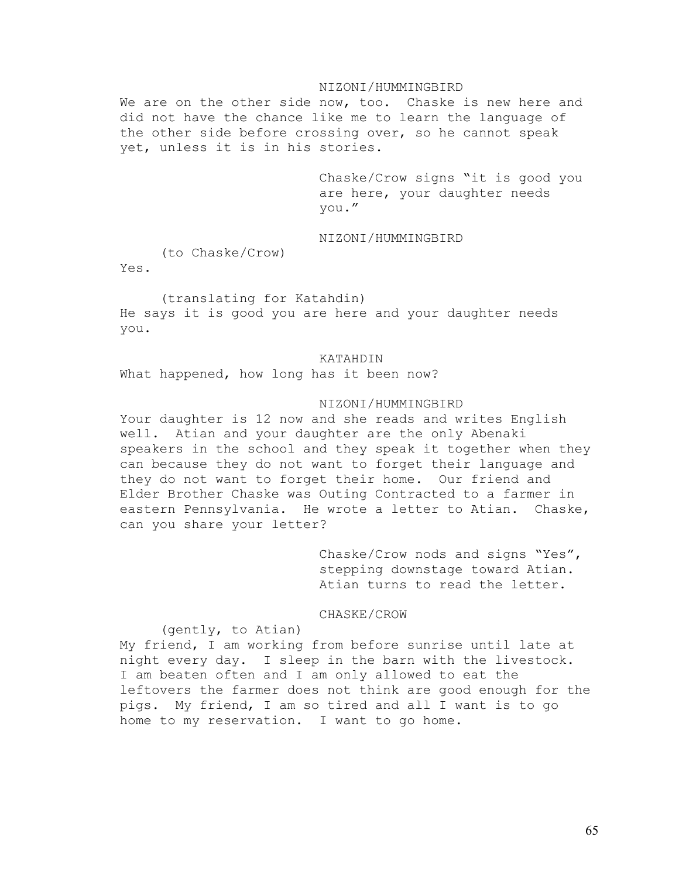## NIZONI/HUMMINGBIRD

We are on the other side now, too. Chaske is new here and did not have the chance like me to learn the language of the other side before crossing over, so he cannot speak yet, unless it is in his stories.

> Chaske/Crow signs "it is good you are here, your daughter needs you."

# NIZONI/HUMMINGBIRD

(to Chaske/Crow)

Yes.

## (translating for Katahdin)

He says it is good you are here and your daughter needs you.

## KATAHDIN

What happened, how long has it been now?

## NIZONI/HUMMINGBIRD

Your daughter is 12 now and she reads and writes English well. Atian and your daughter are the only Abenaki speakers in the school and they speak it together when they can because they do not want to forget their language and they do not want to forget their home. Our friend and Elder Brother Chaske was Outing Contracted to a farmer in eastern Pennsylvania. He wrote a letter to Atian. Chaske, can you share your letter?

> Chaske/Crow nods and signs "Yes", stepping downstage toward Atian. Atian turns to read the letter.

## CHASKE/CROW

## (gently, to Atian)

My friend, I am working from before sunrise until late at night every day. I sleep in the barn with the livestock. I am beaten often and I am only allowed to eat the leftovers the farmer does not think are good enough for the pigs. My friend, I am so tired and all I want is to go home to my reservation. I want to go home.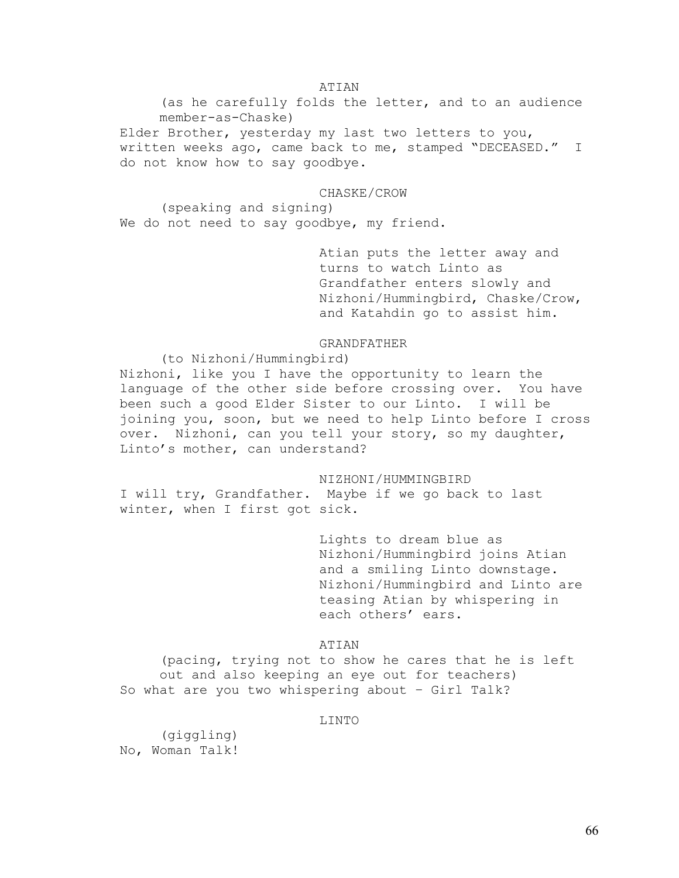## ATIAN

(as he carefully folds the letter, and to an audience member-as-Chaske) Elder Brother, yesterday my last two letters to you, written weeks ago, came back to me, stamped "DECEASED." I do not know how to say goodbye.

## CHASKE/CROW

 (speaking and signing) We do not need to say goodbye, my friend.

> Atian puts the letter away and turns to watch Linto as Grandfather enters slowly and Nizhoni/Hummingbird, Chaske/Crow, and Katahdin go to assist him.

# GRANDFATHER

(to Nizhoni/Hummingbird)

Nizhoni, like you I have the opportunity to learn the language of the other side before crossing over. You have been such a good Elder Sister to our Linto. I will be joining you, soon, but we need to help Linto before I cross over. Nizhoni, can you tell your story, so my daughter, Linto's mother, can understand?

NIZHONI/HUMMINGBIRD

I will try, Grandfather. Maybe if we go back to last winter, when I first got sick.

> Lights to dream blue as Nizhoni/Hummingbird joins Atian and a smiling Linto downstage. Nizhoni/Hummingbird and Linto are teasing Atian by whispering in each others' ears.

## ATIAN

(pacing, trying not to show he cares that he is left out and also keeping an eye out for teachers) So what are you two whispering about – Girl Talk?

## LINTO

 (giggling) No, Woman Talk!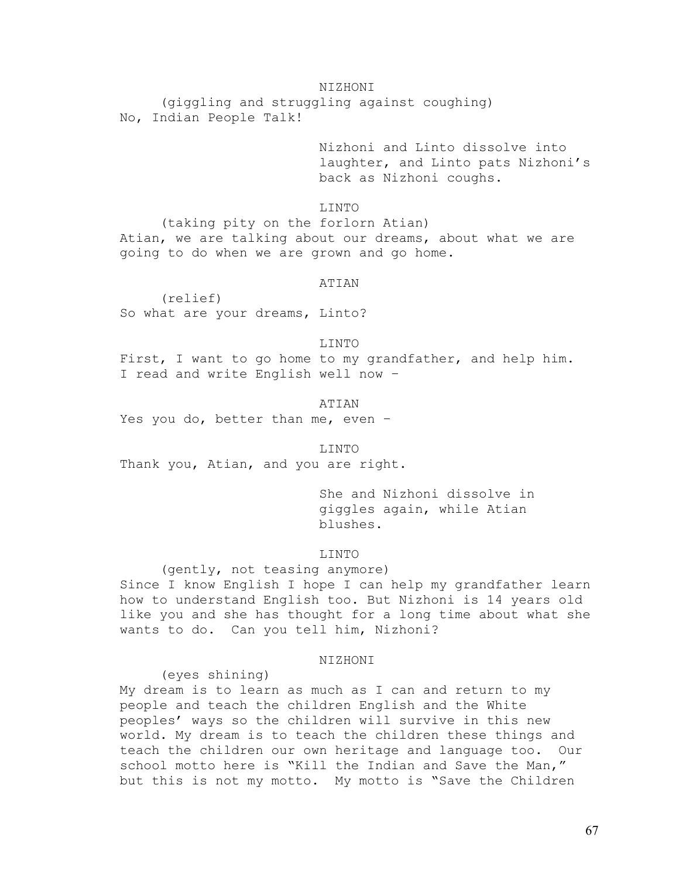## NIZHONI

 (giggling and struggling against coughing) No, Indian People Talk!

> Nizhoni and Linto dissolve into laughter, and Linto pats Nizhoni's back as Nizhoni coughs.

LINTO

 (taking pity on the forlorn Atian) Atian, we are talking about our dreams, about what we are going to do when we are grown and go home.

# ATIAN

 (relief) So what are your dreams, Linto?

#### LINTO

First, I want to go home to my grandfather, and help him. I read and write English well now –

ATIAN

Yes you do, better than me, even –

LINTO

Thank you, Atian, and you are right.

She and Nizhoni dissolve in giggles again, while Atian blushes.

## LINTO

 (gently, not teasing anymore) Since I know English I hope I can help my grandfather learn how to understand English too. But Nizhoni is 14 years old like you and she has thought for a long time about what she wants to do. Can you tell him, Nizhoni?

## NIZHONI

(eyes shining)

My dream is to learn as much as I can and return to my people and teach the children English and the White peoples' ways so the children will survive in this new world. My dream is to teach the children these things and teach the children our own heritage and language too. Our school motto here is "Kill the Indian and Save the Man," but this is not my motto. My motto is "Save the Children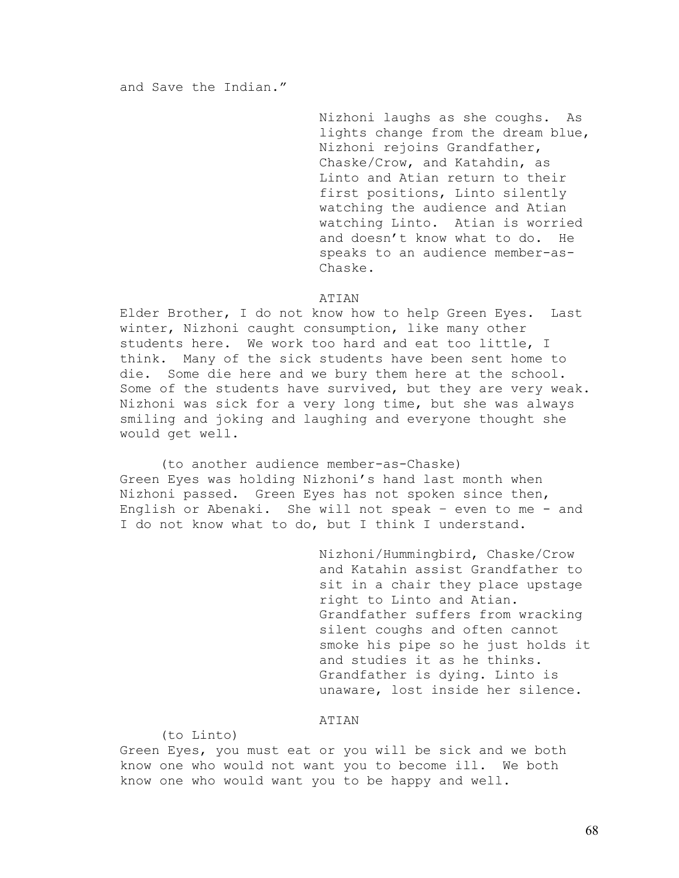Nizhoni laughs as she coughs. As lights change from the dream blue, Nizhoni rejoins Grandfather, Chaske/Crow, and Katahdin, as Linto and Atian return to their first positions, Linto silently watching the audience and Atian watching Linto. Atian is worried and doesn't know what to do. He speaks to an audience member-as-Chaske.

## ATIAN

Elder Brother, I do not know how to help Green Eyes. Last winter, Nizhoni caught consumption, like many other students here. We work too hard and eat too little, I think. Many of the sick students have been sent home to die. Some die here and we bury them here at the school. Some of the students have survived, but they are very weak. Nizhoni was sick for a very long time, but she was always smiling and joking and laughing and everyone thought she would get well.

 (to another audience member-as-Chaske) Green Eyes was holding Nizhoni's hand last month when Nizhoni passed. Green Eyes has not spoken since then, English or Abenaki. She will not speak – even to me - and I do not know what to do, but I think I understand.

> Nizhoni/Hummingbird, Chaske/Crow and Katahin assist Grandfather to sit in a chair they place upstage right to Linto and Atian. Grandfather suffers from wracking silent coughs and often cannot smoke his pipe so he just holds it and studies it as he thinks. Grandfather is dying. Linto is unaware, lost inside her silence.

## ATIAN

## (to Linto)

Green Eyes, you must eat or you will be sick and we both know one who would not want you to become ill. We both know one who would want you to be happy and well.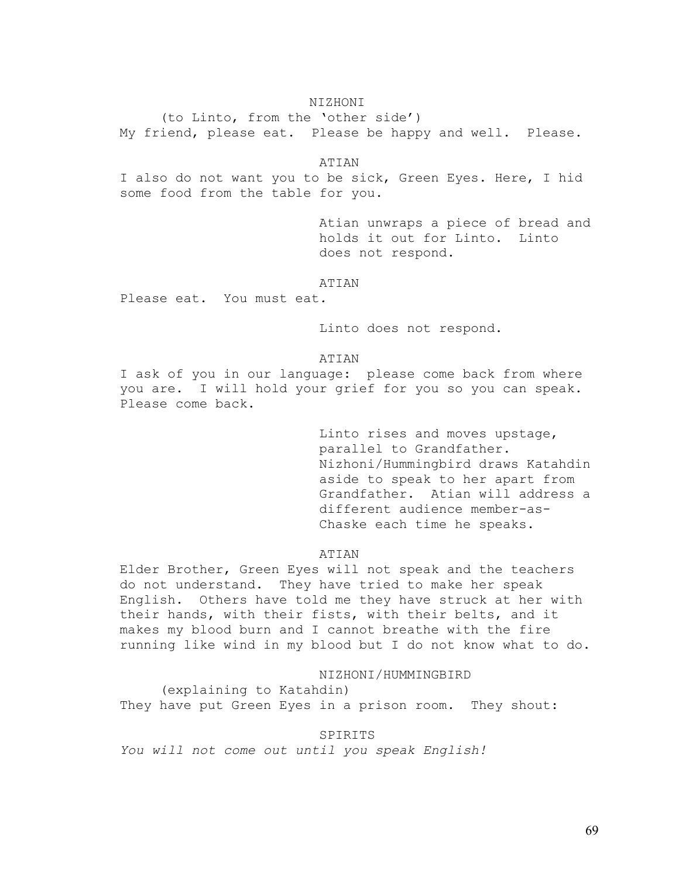## NIZHONI

 (to Linto, from the 'other side') My friend, please eat. Please be happy and well. Please.

ATIAN

I also do not want you to be sick, Green Eyes. Here, I hid some food from the table for you.

> Atian unwraps a piece of bread and holds it out for Linto. Linto does not respond.

### ATIAN

Please eat. You must eat*.* 

Linto does not respond.

### ATIAN

I ask of you in our language: please come back from where you are. I will hold your grief for you so you can speak. Please come back.

> Linto rises and moves upstage, parallel to Grandfather. Nizhoni/Hummingbird draws Katahdin aside to speak to her apart from Grandfather. Atian will address a different audience member-as-Chaske each time he speaks.

ATIAN

Elder Brother, Green Eyes will not speak and the teachers do not understand. They have tried to make her speak English. Others have told me they have struck at her with their hands, with their fists, with their belts, and it makes my blood burn and I cannot breathe with the fire running like wind in my blood but I do not know what to do.

## NIZHONI/HUMMINGBIRD

 (explaining to Katahdin) They have put Green Eyes in a prison room. They shout:

## **SPIRITS**

*You will not come out until you speak English!*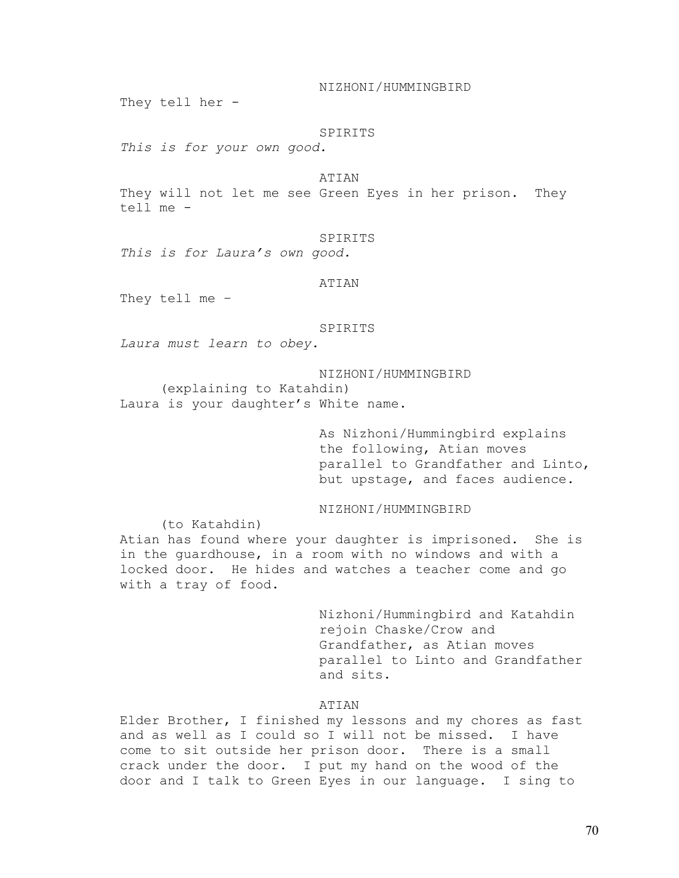NIZHONI/HUMMINGBIRD

They tell her -

## SPIRITS

*This is for your own good.* 

## ATIAN

They will not let me see Green Eyes in her prison. They tell me -

### SPIRITS

*This is for Laura's own good.* 

### ATIAN

They tell me –

### SPIRITS

*Laura must learn to obey.* 

NIZHONI/HUMMINGBIRD (explaining to Katahdin) Laura is your daughter's White name.

> As Nizhoni/Hummingbird explains the following, Atian moves parallel to Grandfather and Linto, but upstage, and faces audience.

NIZHONI/HUMMINGBIRD

 (to Katahdin) Atian has found where your daughter is imprisoned. She is in the guardhouse, in a room with no windows and with a locked door. He hides and watches a teacher come and go with a tray of food.

> Nizhoni/Hummingbird and Katahdin rejoin Chaske/Crow and Grandfather, as Atian moves parallel to Linto and Grandfather and sits.

# ATIAN

Elder Brother, I finished my lessons and my chores as fast and as well as I could so I will not be missed. I have come to sit outside her prison door. There is a small crack under the door. I put my hand on the wood of the door and I talk to Green Eyes in our language. I sing to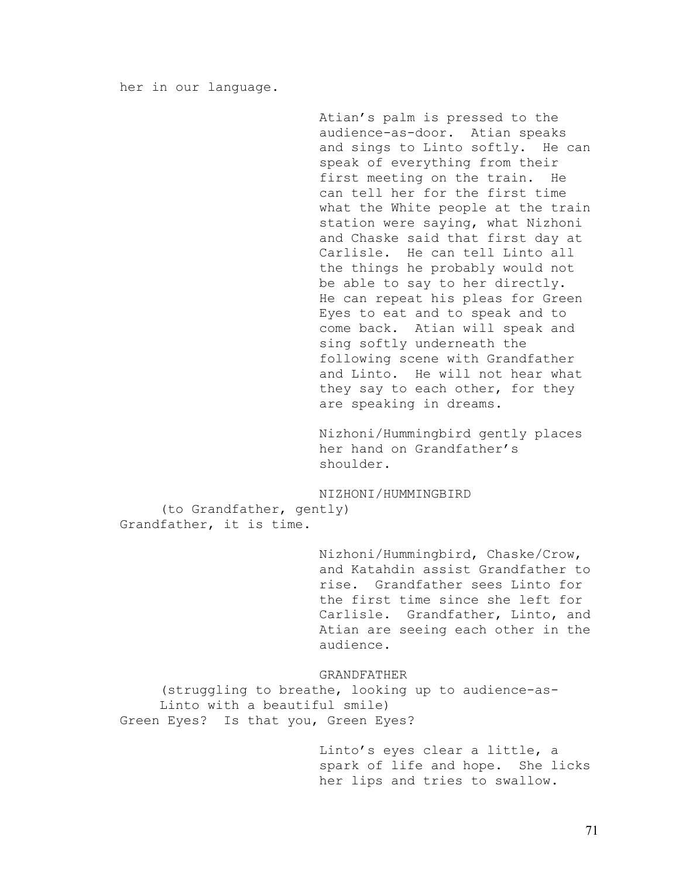her in our language.

Atian's palm is pressed to the audience-as-door. Atian speaks and sings to Linto softly. He can speak of everything from their<br>first meeting on the train. He first meeting on the train. can tell her for the first time what the White people at the train station were saying, what Nizhoni and Chaske said that first day at Carlisle. He can tell Linto all the things he probably would not be able to say to her directly. He can repeat his pleas for Green Eyes to eat and to speak and to come back. Atian will speak and sing softly underneath the following scene with Grandfather and Linto. He will not hear what they say to each other, for they are speaking in dreams.

Nizhoni/Hummingbird gently places her hand on Grandfather's shoulder.

NIZHONI/HUMMINGBIRD (to Grandfather, gently) Grandfather, it is time.

> Nizhoni/Hummingbird, Chaske/Crow, and Katahdin assist Grandfather to rise. Grandfather sees Linto for the first time since she left for Carlisle. Grandfather, Linto, and Atian are seeing each other in the audience.

GRANDFATHER

 (struggling to breathe, looking up to audience-as-Linto with a beautiful smile) Green Eyes? Is that you, Green Eyes?

> Linto's eyes clear a little, a<br>spark of life and hope. She licks spark of life and hope. her lips and tries to swallow.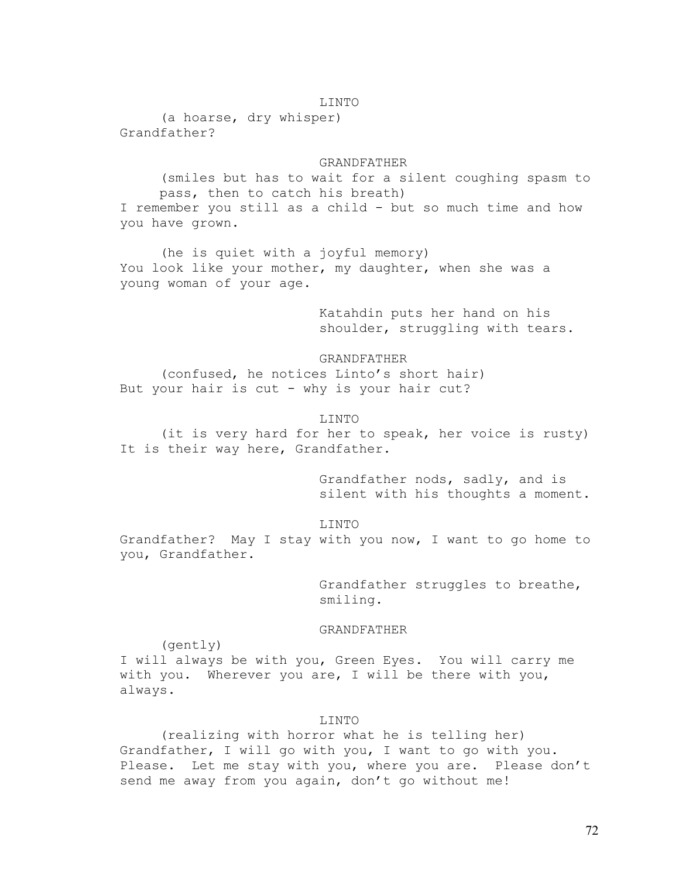## LINTO

 (a hoarse, dry whisper) Grandfather?

## GRANDFATHER

(smiles but has to wait for a silent coughing spasm to pass, then to catch his breath) I remember you still as a child - but so much time and how you have grown.

 (he is quiet with a joyful memory) You look like your mother, my daughter, when she was a young woman of your age.

> Katahdin puts her hand on his shoulder, struggling with tears.

### GRANDFATHER

 (confused, he notices Linto's short hair) But your hair is cut - why is your hair cut?

## LINTO

 (it is very hard for her to speak, her voice is rusty) It is their way here, Grandfather.

> Grandfather nods, sadly, and is silent with his thoughts a moment.

### LINTO

Grandfather? May I stay with you now, I want to go home to you, Grandfather.

> Grandfather struggles to breathe, smiling.

## GRANDFATHER

(gently)

I will always be with you, Green Eyes. You will carry me with you. Wherever you are, I will be there with you, always.

### LINTO

 (realizing with horror what he is telling her) Grandfather, I will go with you, I want to go with you. Please. Let me stay with you, where you are. Please don't send me away from you again, don't go without me!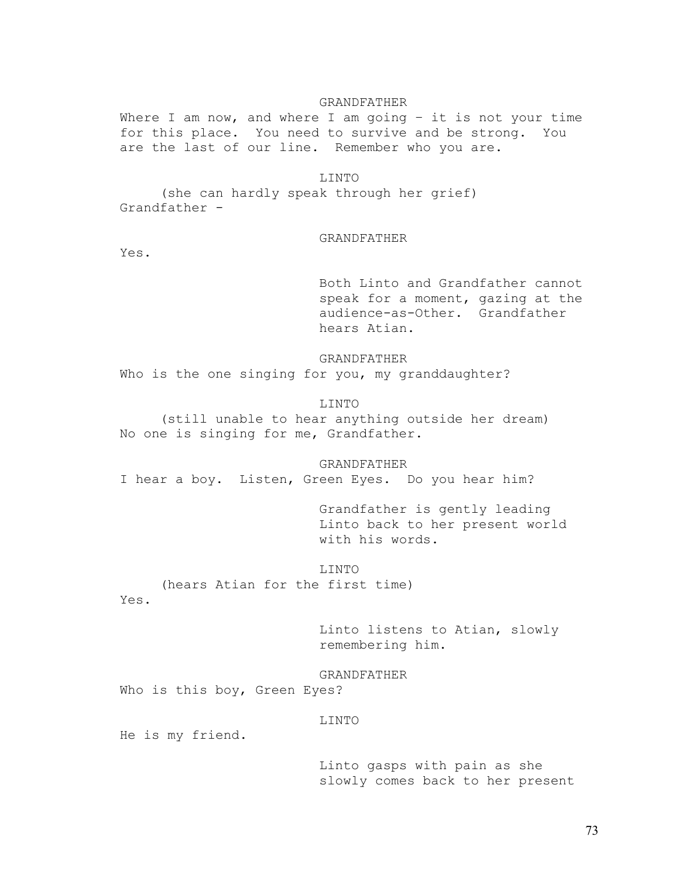### GRANDFATHER

Where I am now, and where I am going  $-$  it is not your time for this place. You need to survive and be strong. You are the last of our line. Remember who you are.

# LINTO

 (she can hardly speak through her grief) Grandfather -

## GRANDFATHER

Yes.

Both Linto and Grandfather cannot speak for a moment, gazing at the audience-as-Other. Grandfather hears Atian.

### GRANDFATHER

Who is the one singing for you, my granddaughter?

# LINTO

 (still unable to hear anything outside her dream) No one is singing for me, Grandfather.

 GRANDFATHER I hear a boy. Listen, Green Eyes. Do you hear him?

> Grandfather is gently leading Linto back to her present world with his words.

#### LINTO

 (hears Atian for the first time) Yes.

> Linto listens to Atian, slowly remembering him.

GRANDFATHER

Who is this boy, Green Eyes?

### LINTO

He is my friend.

Linto gasps with pain as she slowly comes back to her present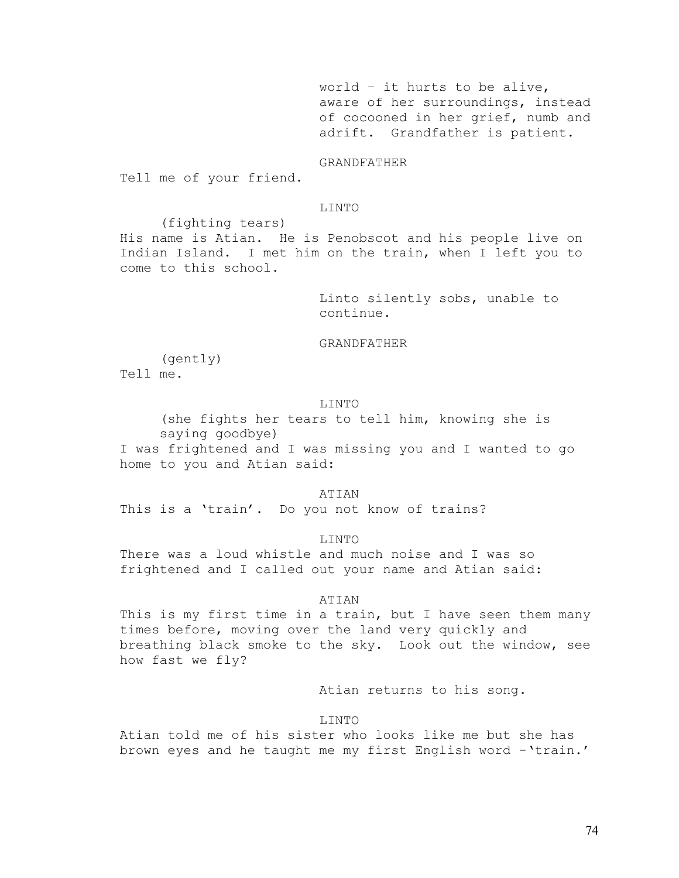world – it hurts to be alive, aware of her surroundings, instead of cocooned in her grief, numb and adrift. Grandfather is patient.

GRANDFATHER

Tell me of your friend.

## LINTO

(fighting tears)

His name is Atian. He is Penobscot and his people live on Indian Island. I met him on the train, when I left you to come to this school.

> Linto silently sobs, unable to continue.

### GRANDFATHER

(gently)

Tell me.

## LINTO

(she fights her tears to tell him, knowing she is saying goodbye)

I was frightened and I was missing you and I wanted to go home to you and Atian said:

ATIAN

This is a 'train'. Do you not know of trains?

LINTO

There was a loud whistle and much noise and I was so frightened and I called out your name and Atian said:

#### ATIAN

This is my first time in a train, but I have seen them many times before, moving over the land very quickly and breathing black smoke to the sky. Look out the window, see how fast we fly?

Atian returns to his song.

## LINTO

Atian told me of his sister who looks like me but she has brown eyes and he taught me my first English word -'train.'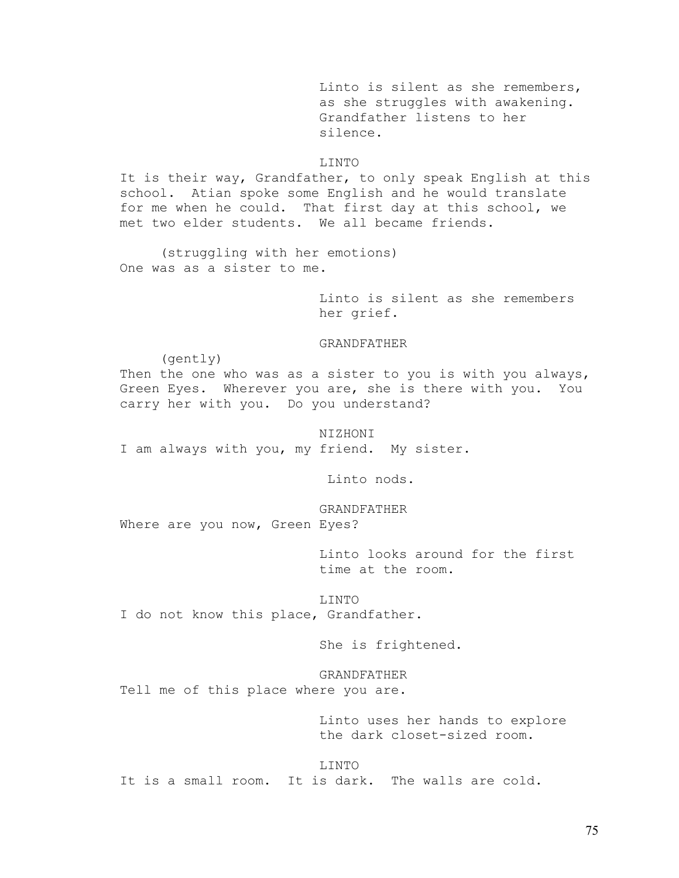Linto is silent as she remembers, as she struggles with awakening. Grandfather listens to her silence.

# LINTO

It is their way, Grandfather, to only speak English at this school. Atian spoke some English and he would translate for me when he could. That first day at this school, we met two elder students. We all became friends.

 (struggling with her emotions) One was as a sister to me.

> Linto is silent as she remembers her grief.

## GRANDFATHER

(gently)

Then the one who was as a sister to you is with you always, Green Eyes. Wherever you are, she is there with you. You carry her with you. Do you understand?

NIZHONI I am always with you, my friend. My sister.

Linto nods.

GRANDFATHER Where are you now, Green Eyes?

> Linto looks around for the first time at the room.

LINTO I do not know this place, Grandfather.

She is frightened.

 GRANDFATHER Tell me of this place where you are.

> Linto uses her hands to explore the dark closet-sized room.

LINTO It is a small room. It is dark. The walls are cold.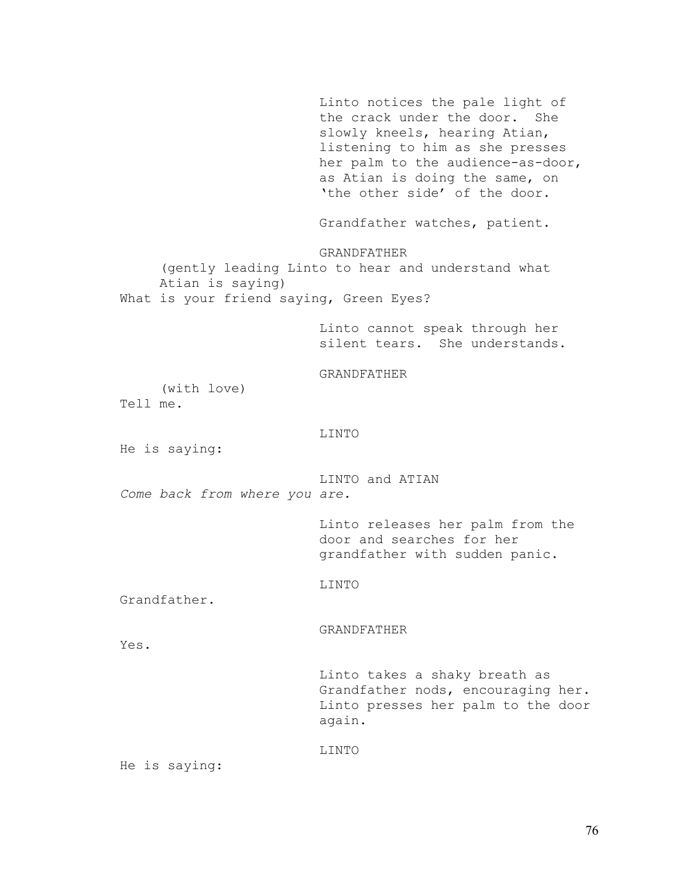Linto notices the pale light of the crack under the door. She slowly kneels, hearing Atian, listening to him as she presses her palm to the audience-as-door, as Atian is doing the same, on 'the other side' of the door. Grandfather watches, patient. GRANDFATHER (gently leading Linto to hear and understand what Atian is saying) What is your friend saying, Green Eyes? Linto cannot speak through her silent tears. She understands. GRANDFATHER (with love) Tell me. LINTO He is saying: LINTO and ATIAN *Come back from where you are.*  Linto releases her palm from the door and searches for her grandfather with sudden panic. LINTO Grandfather. GRANDFATHER Yes. Linto takes a shaky breath as Grandfather nods, encouraging her. Linto presses her palm to the door again. LINTO

He is saying: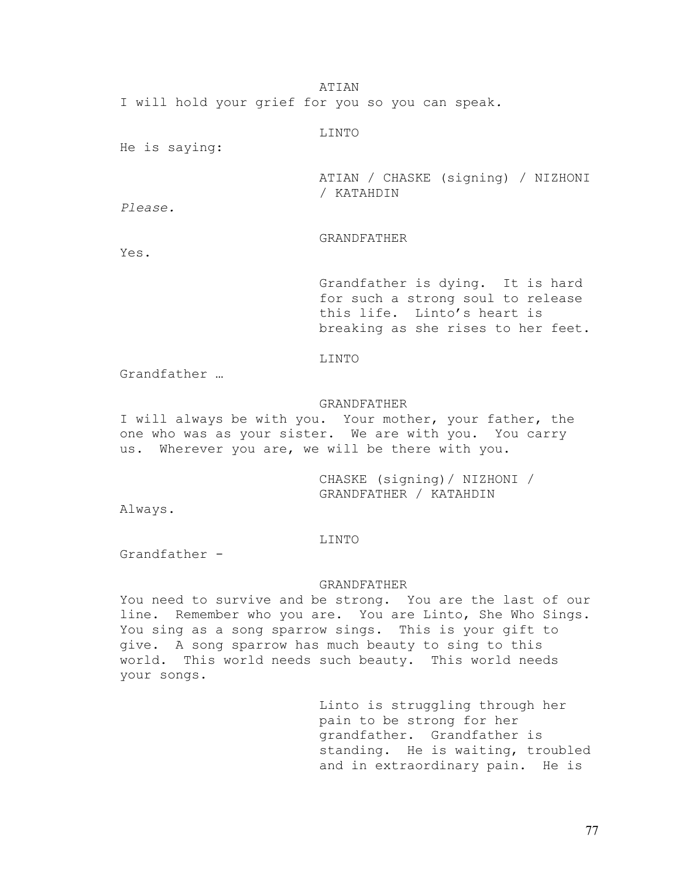ATIAN

I will hold your grief for you so you can speak*.* 

LINTO

He is saying:

ATIAN / CHASKE (signing) / NIZHONI / KATAHDIN

*Please.* 

# GRANDFATHER

Yes.

Grandfather is dying. It is hard for such a strong soul to release this life. Linto's heart is breaking as she rises to her feet.

## LINTO

Grandfather …

# GRANDFATHER

I will always be with you. Your mother, your father, the one who was as your sister. We are with you. You carry us. Wherever you are, we will be there with you.

> CHASKE (signing)/ NIZHONI / GRANDFATHER / KATAHDIN

Always.

### LINTO

Grandfather -

## GRANDFATHER

You need to survive and be strong. You are the last of our line. Remember who you are. You are Linto, She Who Sings. You sing as a song sparrow sings. This is your gift to give. A song sparrow has much beauty to sing to this world. This world needs such beauty. This world needs your songs.

> Linto is struggling through her pain to be strong for her grandfather. Grandfather is standing. He is waiting, troubled and in extraordinary pain. He is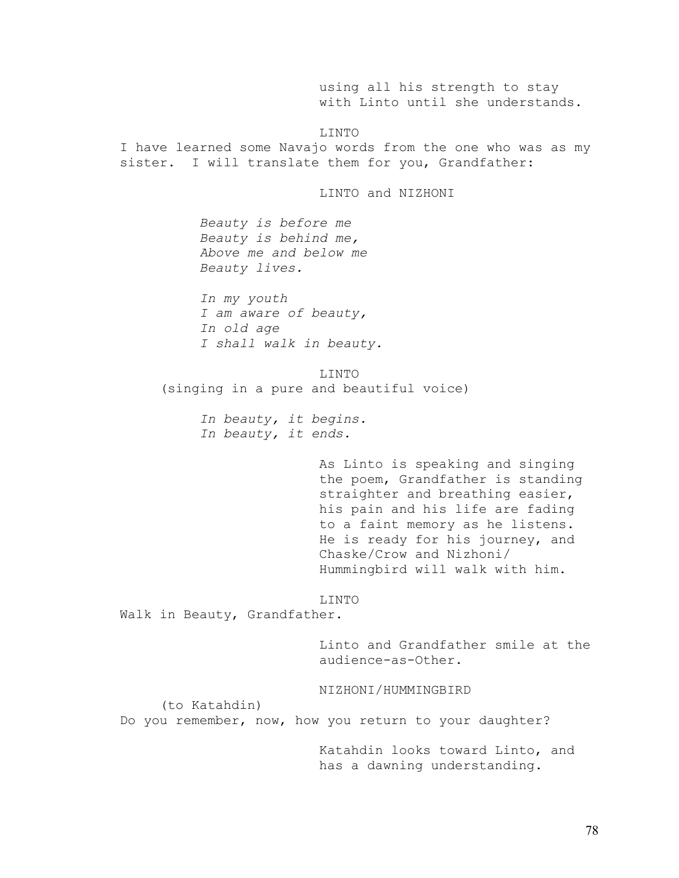using all his strength to stay with Linto until she understands.

LINTO

I have learned some Navajo words from the one who was as my sister. I will translate them for you, Grandfather:

LINTO and NIZHONI

*Beauty is before me Beauty is behind me, Above me and below me Beauty lives.* 

*In my youth I am aware of beauty, In old age I shall walk in beauty.* 

LINTO (singing in a pure and beautiful voice)

> *In beauty, it begins. In beauty, it ends.*

> > As Linto is speaking and singing the poem, Grandfather is standing straighter and breathing easier, his pain and his life are fading to a faint memory as he listens. He is ready for his journey, and Chaske/Crow and Nizhoni/ Hummingbird will walk with him.

### LINTO

Walk in Beauty, Grandfather.

Linto and Grandfather smile at the audience-as-Other.

NIZHONI/HUMMINGBIRD

(to Katahdin)

Do you remember, now, how you return to your daughter?

Katahdin looks toward Linto, and has a dawning understanding.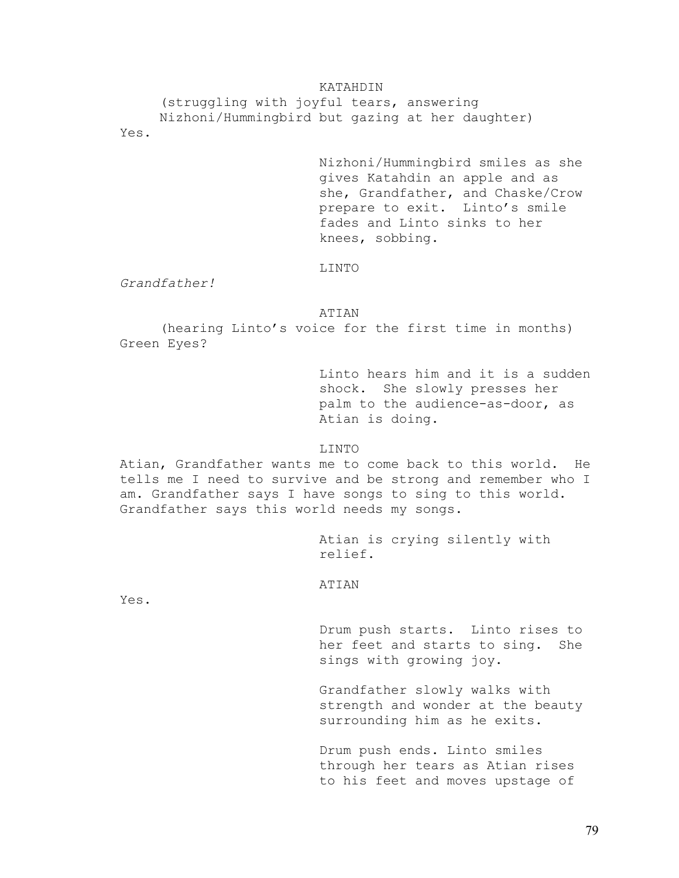## KATAHDIN

(struggling with joyful tears, answering Nizhoni/Hummingbird but gazing at her daughter) Yes.

> Nizhoni/Hummingbird smiles as she gives Katahdin an apple and as she, Grandfather, and Chaske/Crow prepare to exit. Linto's smile fades and Linto sinks to her knees, sobbing.

## LINTO

*Grandfather!* 

ATIAN

 (hearing Linto's voice for the first time in months) Green Eyes?

> Linto hears him and it is a sudden shock. She slowly presses her palm to the audience-as-door, as Atian is doing.

LINTO

Atian, Grandfather wants me to come back to this world. He tells me I need to survive and be strong and remember who I am. Grandfather says I have songs to sing to this world. Grandfather says this world needs my songs.

> Atian is crying silently with relief.

ATIAN

Yes.

Drum push starts. Linto rises to her feet and starts to sing. She sings with growing joy.

Grandfather slowly walks with strength and wonder at the beauty surrounding him as he exits.

Drum push ends. Linto smiles through her tears as Atian rises to his feet and moves upstage of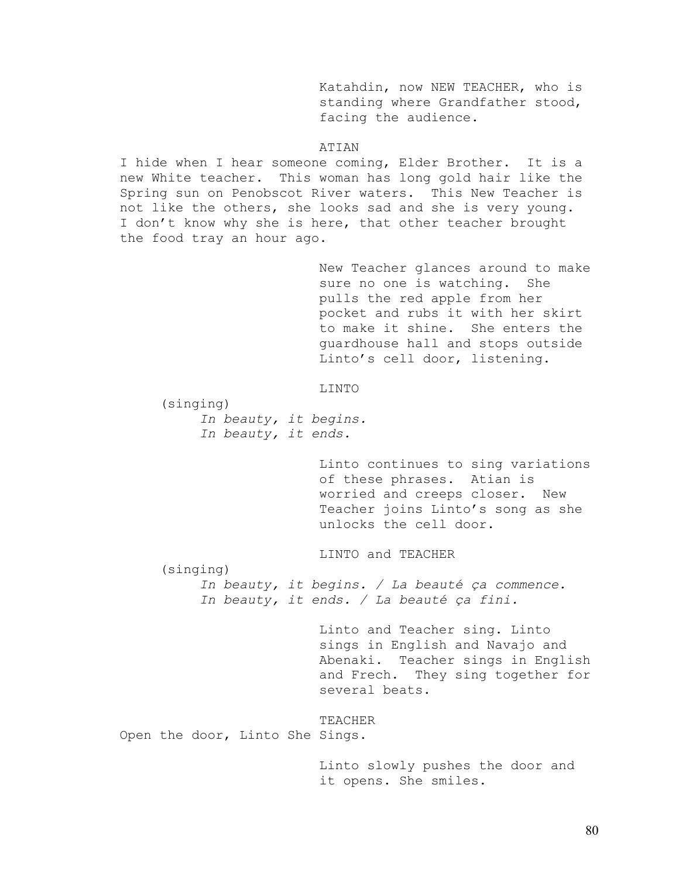Katahdin, now NEW TEACHER, who is standing where Grandfather stood, facing the audience.

## ATIAN

I hide when I hear someone coming, Elder Brother. It is a new White teacher. This woman has long gold hair like the Spring sun on Penobscot River waters. This New Teacher is not like the others, she looks sad and she is very young. I don't know why she is here, that other teacher brought the food tray an hour ago.

> New Teacher glances around to make sure no one is watching. She pulls the red apple from her pocket and rubs it with her skirt to make it shine. She enters the guardhouse hall and stops outside Linto's cell door, listening.

LINTO

 (singing) *In beauty, it begins. In beauty, it ends.* 

> Linto continues to sing variations of these phrases. Atian is worried and creeps closer. New Teacher joins Linto's song as she unlocks the cell door.

LINTO and TEACHER

 (singing) *In beauty, it begins. / La beauté ça commence.* 

*In beauty, it ends. / La beauté ça fini.* 

Linto and Teacher sing. Linto sings in English and Navajo and Abenaki. Teacher sings in English and Frech. They sing together for several beats.

TEACHER

Open the door, Linto She Sings.

Linto slowly pushes the door and it opens. She smiles.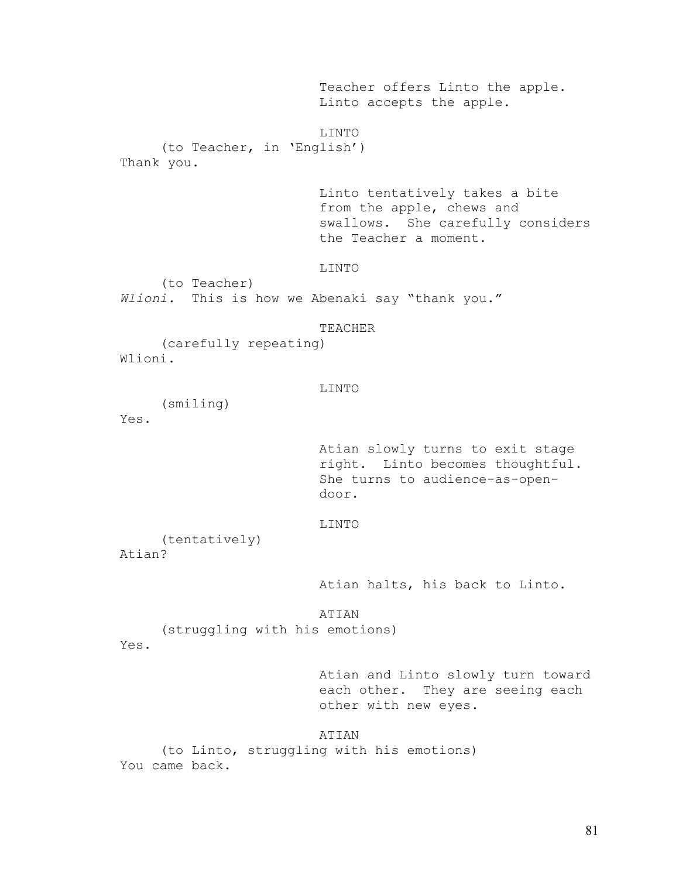Teacher offers Linto the apple. Linto accepts the apple. LINTO (to Teacher, in 'English') Thank you. Linto tentatively takes a bite from the apple, chews and swallows. She carefully considers the Teacher a moment. LINTO (to Teacher) *Wlioni.* This is how we Abenaki say "thank you." TEACHER (carefully repeating) Wlioni. LINTO (smiling) Yes. Atian slowly turns to exit stage right. Linto becomes thoughtful. She turns to audience-as-opendoor. LINTO (tentatively) Atian? Atian halts, his back to Linto. ATIAN (struggling with his emotions) Yes. Atian and Linto slowly turn toward each other. They are seeing each other with new eyes. ATIAN (to Linto, struggling with his emotions) You came back.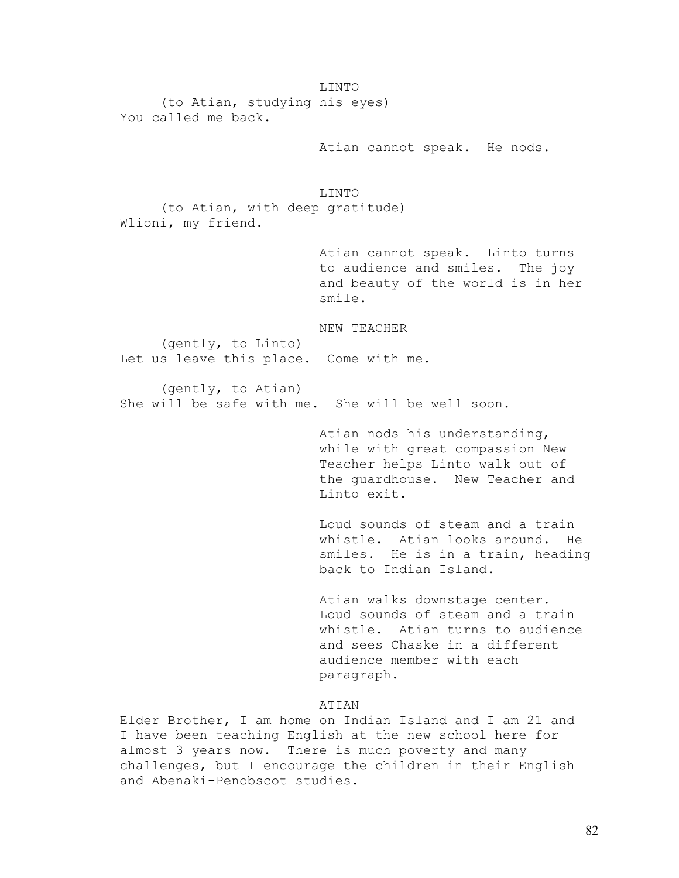LINTO (to Atian, studying his eyes) You called me back.

Atian cannot speak. He nods.

LINTO

 (to Atian, with deep gratitude) Wlioni, my friend.

> Atian cannot speak. Linto turns to audience and smiles. The joy and beauty of the world is in her smile.

NEW TEACHER

 (gently, to Linto) Let us leave this place. Come with me.

 (gently, to Atian) She will be safe with me. She will be well soon.

> Atian nods his understanding, while with great compassion New Teacher helps Linto walk out of the guardhouse. New Teacher and Linto exit.

Loud sounds of steam and a train whistle. Atian looks around. He smiles. He is in a train, heading back to Indian Island.

Atian walks downstage center. Loud sounds of steam and a train whistle. Atian turns to audience and sees Chaske in a different audience member with each paragraph.

## ATIAN

Elder Brother, I am home on Indian Island and I am 21 and I have been teaching English at the new school here for almost 3 years now. There is much poverty and many challenges, but I encourage the children in their English and Abenaki-Penobscot studies.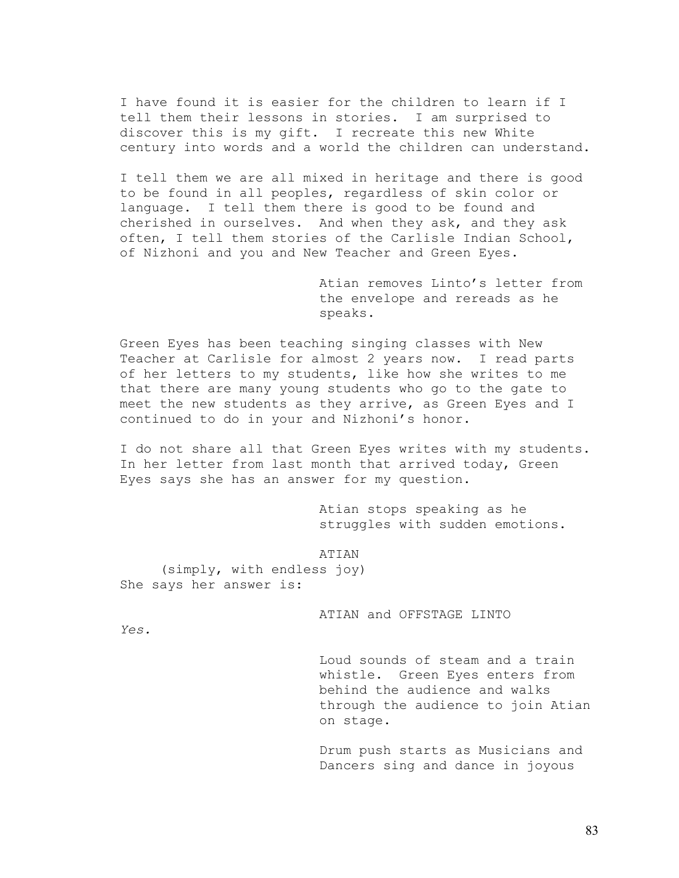I have found it is easier for the children to learn if I tell them their lessons in stories. I am surprised to discover this is my gift. I recreate this new White century into words and a world the children can understand.

I tell them we are all mixed in heritage and there is good to be found in all peoples, regardless of skin color or language. I tell them there is good to be found and cherished in ourselves. And when they ask, and they ask often, I tell them stories of the Carlisle Indian School, of Nizhoni and you and New Teacher and Green Eyes.

> Atian removes Linto's letter from the envelope and rereads as he speaks.

Green Eyes has been teaching singing classes with New Teacher at Carlisle for almost 2 years now. I read parts of her letters to my students, like how she writes to me that there are many young students who go to the gate to meet the new students as they arrive, as Green Eyes and I continued to do in your and Nizhoni's honor.

I do not share all that Green Eyes writes with my students. In her letter from last month that arrived today, Green Eyes says she has an answer for my question.

> Atian stops speaking as he struggles with sudden emotions.

ATIAN (simply, with endless joy) She says her answer is:

ATIAN and OFFSTAGE LINTO

*Yes.* 

Loud sounds of steam and a train whistle. Green Eyes enters from behind the audience and walks through the audience to join Atian on stage.

Drum push starts as Musicians and Dancers sing and dance in joyous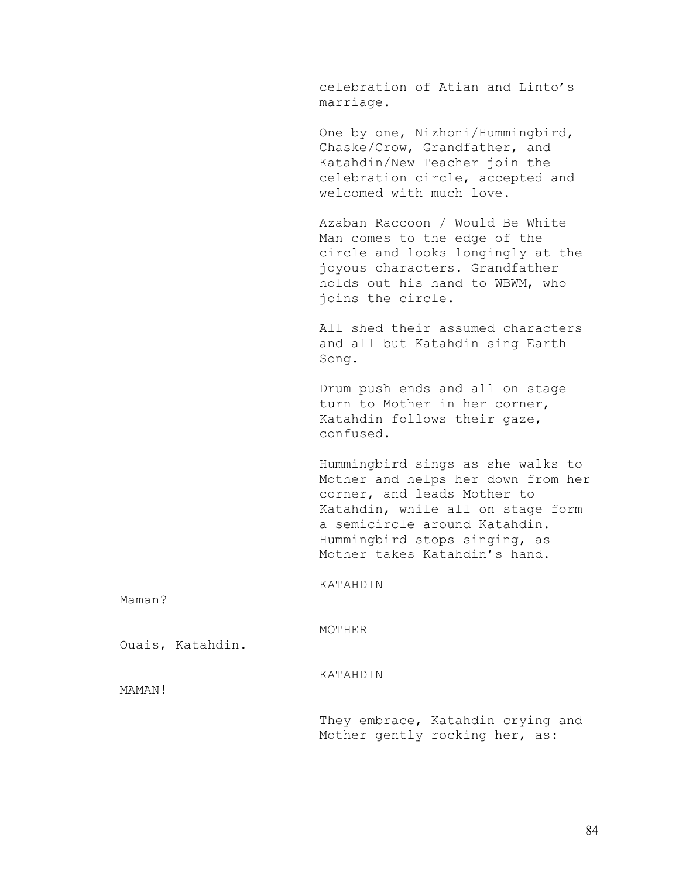celebration of Atian and Linto's marriage.

One by one, Nizhoni/Hummingbird, Chaske/Crow, Grandfather, and Katahdin/New Teacher join the celebration circle, accepted and welcomed with much love.

Azaban Raccoon / Would Be White Man comes to the edge of the circle and looks longingly at the joyous characters. Grandfather holds out his hand to WBWM, who joins the circle.

All shed their assumed characters and all but Katahdin sing Earth Song.

Drum push ends and all on stage turn to Mother in her corner, Katahdin follows their gaze, confused.

Hummingbird sings as she walks to Mother and helps her down from her corner, and leads Mother to Katahdin, while all on stage form a semicircle around Katahdin. Hummingbird stops singing, as Mother takes Katahdin's hand.

KATAHDIN

Maman?

MOTHER

KATAHDIN

Ouais, Katahdin.

MAMAN!

They embrace, Katahdin crying and Mother gently rocking her, as: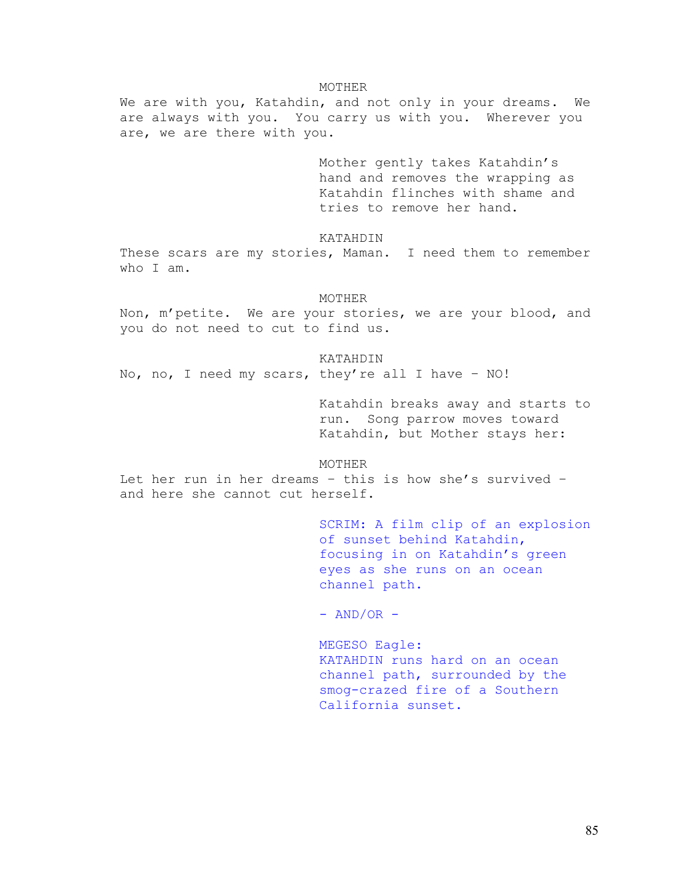### MOTHER

We are with you, Katahdin, and not only in your dreams. We are always with you. You carry us with you. Wherever you are, we are there with you.

> Mother gently takes Katahdin's hand and removes the wrapping as Katahdin flinches with shame and tries to remove her hand.

KATAHDIN

These scars are my stories, Maman. I need them to remember who I am.

### MOTHER

Non, m'petite. We are your stories, we are your blood, and you do not need to cut to find us.

KATAHDIN

No, no, I need my scars, they're all I have – NO!

Katahdin breaks away and starts to run. Song parrow moves toward Katahdin, but Mother stays her:

MOTHER

Let her run in her dreams – this is how she's survived – and here she cannot cut herself.

> SCRIM: A film clip of an explosion of sunset behind Katahdin, focusing in on Katahdin's green eyes as she runs on an ocean channel path.

 $-$  AND/OR  $-$ 

MEGESO Eagle: KATAHDIN runs hard on an ocean channel path, surrounded by the smog-crazed fire of a Southern California sunset.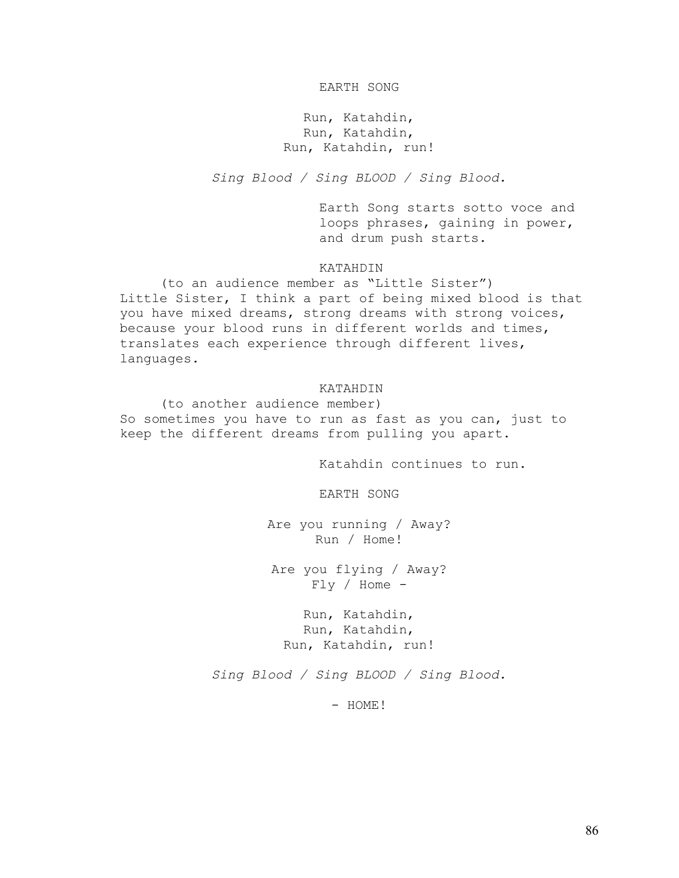## EARTH SONG

Run, Katahdin, Run, Katahdin, Run, Katahdin, run!

*Sing Blood / Sing BLOOD / Sing Blood.* 

Earth Song starts sotto voce and loops phrases, gaining in power, and drum push starts.

# KATAHDIN

 (to an audience member as "Little Sister") Little Sister, I think a part of being mixed blood is that you have mixed dreams, strong dreams with strong voices, because your blood runs in different worlds and times, translates each experience through different lives, languages.

### KATAHDIN

 (to another audience member) So sometimes you have to run as fast as you can, just to keep the different dreams from pulling you apart.

Katahdin continues to run.

EARTH SONG

Are you running / Away? Run / Home!

Are you flying / Away?  $Fly / Home -$ 

Run, Katahdin, Run, Katahdin, Run, Katahdin, run!

*Sing Blood / Sing BLOOD / Sing Blood.* 

- HOME!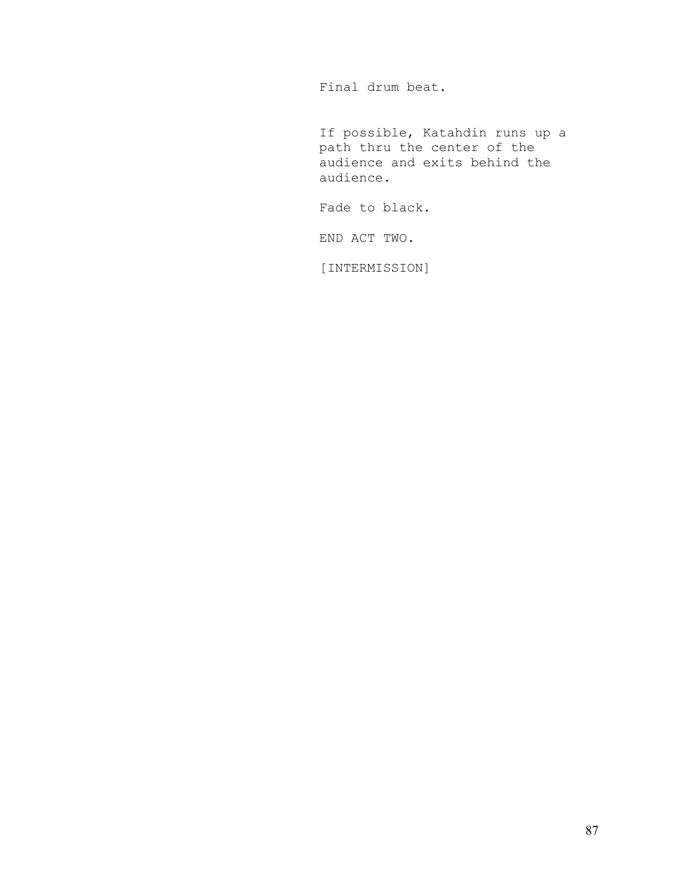Final drum beat.

If possible, Katahdin runs up a path thru the center of the audience and exits behind the audience.

Fade to black.

END ACT TWO.

[INTERMISSION]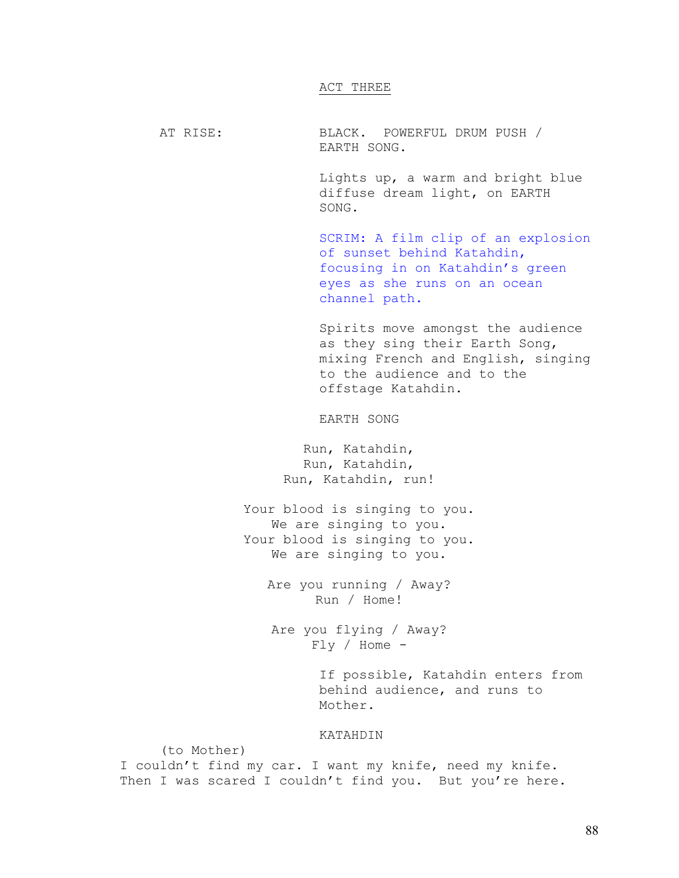## ACT THREE

AT RISE: BLACK. POWERFUL DRUM PUSH / EARTH SONG.

> Lights up, a warm and bright blue diffuse dream light, on EARTH SONG.

SCRIM: A film clip of an explosion of sunset behind Katahdin, focusing in on Katahdin's green eyes as she runs on an ocean channel path.

Spirits move amongst the audience as they sing their Earth Song, mixing French and English, singing to the audience and to the offstage Katahdin.

EARTH SONG

Run, Katahdin, Run, Katahdin, Run, Katahdin, run!

Your blood is singing to you. We are singing to you. Your blood is singing to you. We are singing to you.

> Are you running / Away? Run / Home!

Are you flying / Away?  $Fly / Home -$ 

> If possible, Katahdin enters from behind audience, and runs to Mother.

## KATAHDIN

I couldn't find my car. I want my knife, need my knife. Then I was scared I couldn't find you. But you're here.

(to Mother)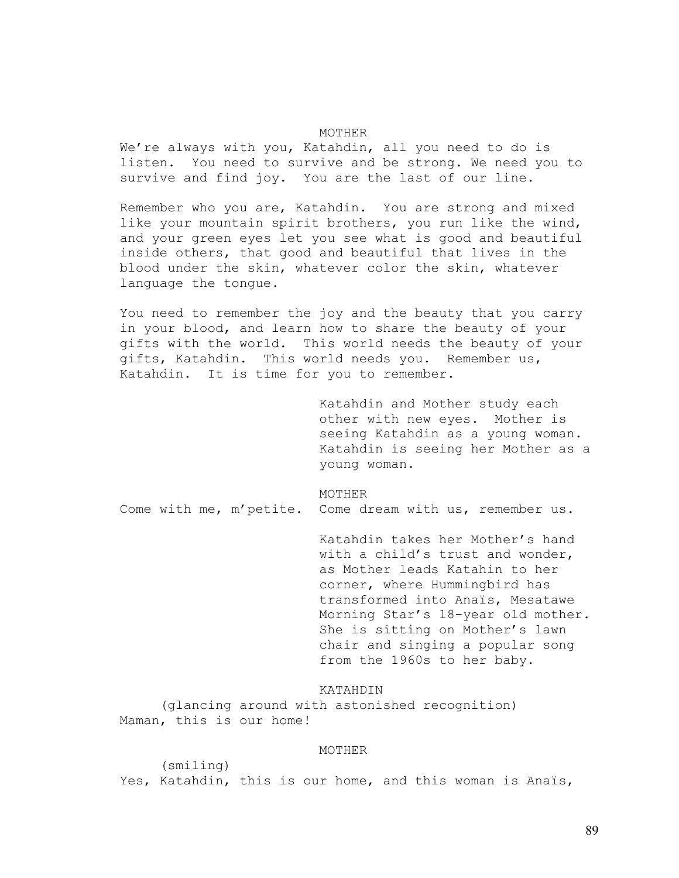## MOTHER

We're always with you, Katahdin, all you need to do is listen. You need to survive and be strong. We need you to survive and find joy. You are the last of our line.

Remember who you are, Katahdin. You are strong and mixed like your mountain spirit brothers, you run like the wind, and your green eyes let you see what is good and beautiful inside others, that good and beautiful that lives in the blood under the skin, whatever color the skin, whatever language the tongue.

You need to remember the joy and the beauty that you carry in your blood, and learn how to share the beauty of your gifts with the world. This world needs the beauty of your gifts, Katahdin. This world needs you. Remember us, Katahdin. It is time for you to remember.

> Katahdin and Mother study each other with new eyes. Mother is seeing Katahdin as a young woman. Katahdin is seeing her Mother as a young woman.

### MOTHER

Come with me, m'petite. Come dream with us, remember us.

Katahdin takes her Mother's hand with a child's trust and wonder, as Mother leads Katahin to her corner, where Hummingbird has transformed into Anaïs, Mesatawe Morning Star's 18-year old mother. She is sitting on Mother's lawn chair and singing a popular song from the 1960s to her baby.

KATAHDIN

 (glancing around with astonished recognition) Maman, this is our home!

## MOTHER

 (smiling) Yes, Katahdin, this is our home, and this woman is Anaïs,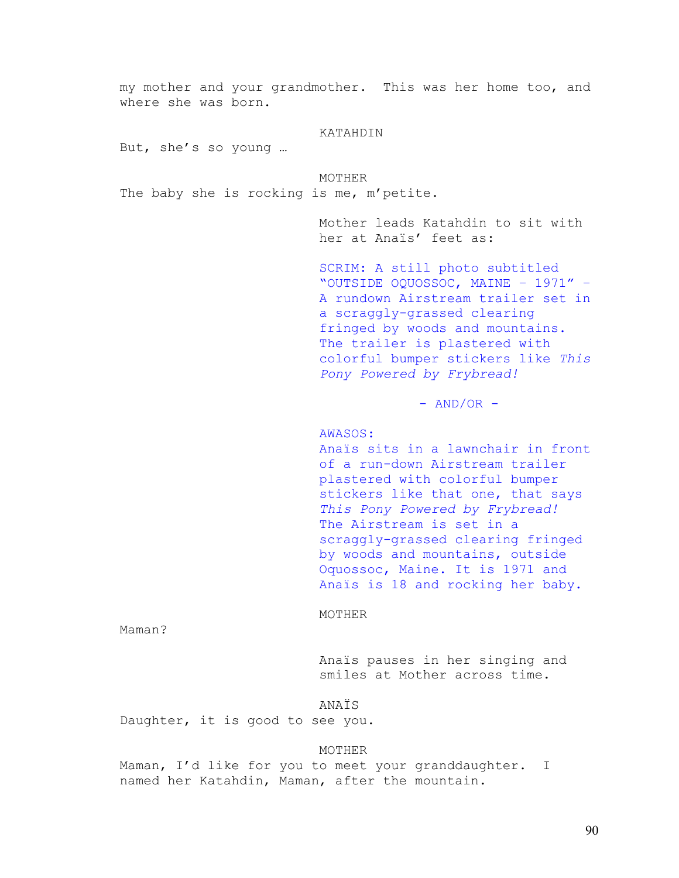my mother and your grandmother. This was her home too, and where she was born. KATAHDIN But, she's so young … MOTHER The baby she is rocking is me, m'petite. Mother leads Katahdin to sit with her at Anaïs' feet as: SCRIM: A still photo subtitled "OUTSIDE OQUOSSOC, MAINE – 1971" – A rundown Airstream trailer set in a scraggly-grassed clearing fringed by woods and mountains. The trailer is plastered with colorful bumper stickers like *This Pony Powered by Frybread!*  $-$  AND/OR  $-$ AWASOS: Anaïs sits in a lawnchair in front of a run-down Airstream trailer plastered with colorful bumper stickers like that one, that says *This Pony Powered by Frybread!*  The Airstream is set in a scraggly-grassed clearing fringed by woods and mountains, outside Oquossoc, Maine. It is 1971 and Anaïs is 18 and rocking her baby. MOTHER Maman?

> Anaïs pauses in her singing and smiles at Mother across time.

ANAÏS

Daughter, it is good to see you.

## MOTHER

Maman, I'd like for you to meet your granddaughter. I named her Katahdin, Maman, after the mountain.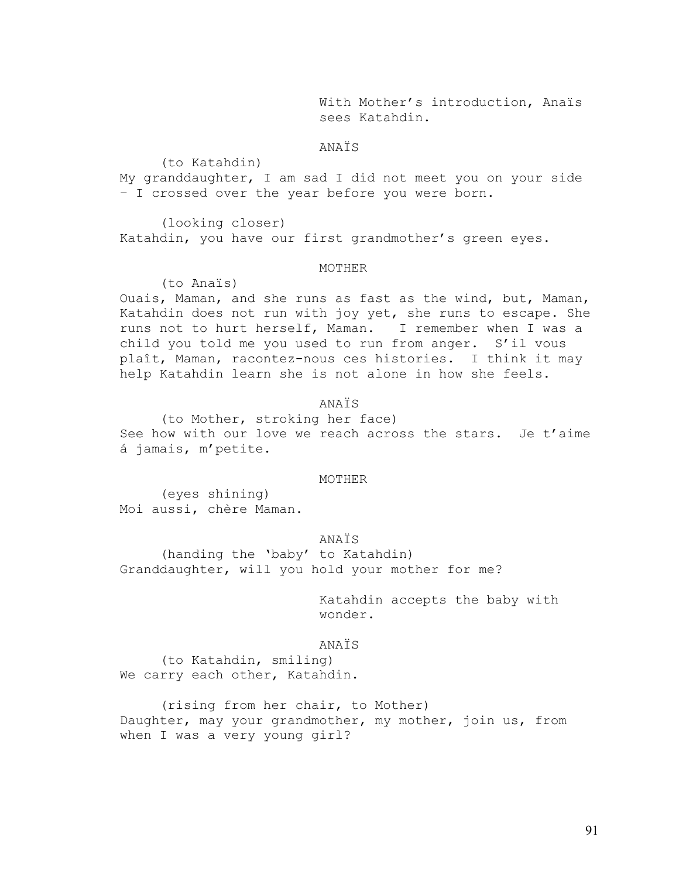With Mother's introduction, Anaïs sees Katahdin.

# ANAÏS

(to Katahdin)

My granddaughter, I am sad I did not meet you on your side – I crossed over the year before you were born.

 (looking closer) Katahdin, you have our first grandmother's green eyes.

## MOTHER

(to Anaïs)

Ouais, Maman, and she runs as fast as the wind, but, Maman, Katahdin does not run with joy yet, she runs to escape. She runs not to hurt herself, Maman. I remember when I was a child you told me you used to run from anger. S'il vous plaît, Maman, racontez-nous ces histories. I think it may help Katahdin learn she is not alone in how she feels.

## ANAÏS

(to Mother, stroking her face) See how with our love we reach across the stars. Je t'aime á jamais, m'petite.

### MOTHER

(eyes shining) Moi aussi, chère Maman.

### ANAÏS

(handing the 'baby' to Katahdin) Granddaughter, will you hold your mother for me?

> Katahdin accepts the baby with wonder.

### ANAÏS

(to Katahdin, smiling) We carry each other, Katahdin.

(rising from her chair, to Mother) Daughter, may your grandmother, my mother, join us, from when I was a very young girl?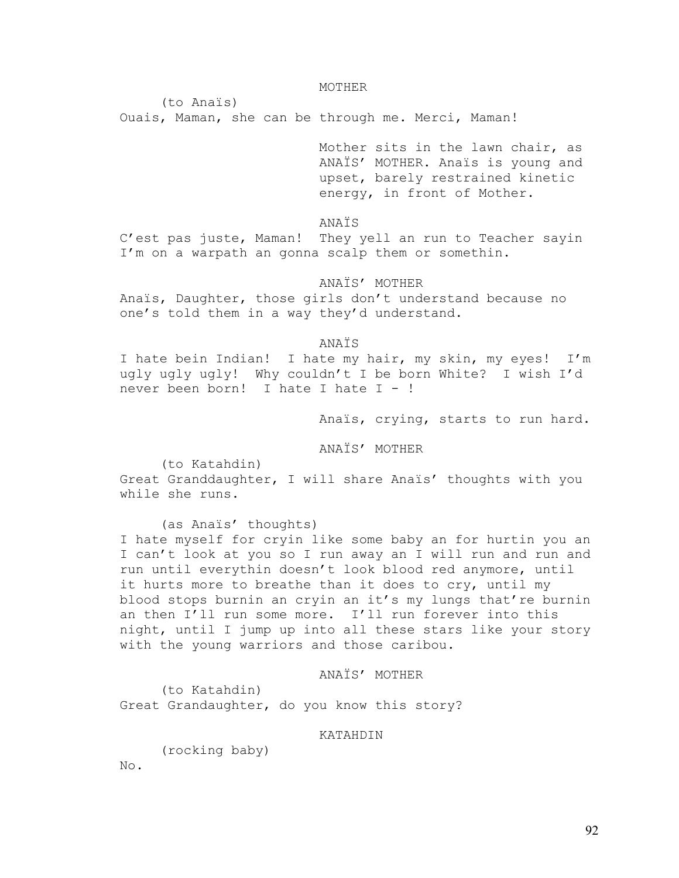MOTHER

(to Anaïs)

Ouais, Maman, she can be through me. Merci, Maman!

Mother sits in the lawn chair, as ANAÏS' MOTHER. Anaïs is young and upset, barely restrained kinetic energy, in front of Mother.

ANAÏS

C'est pas juste, Maman! They yell an run to Teacher sayin I'm on a warpath an gonna scalp them or somethin.

ANAÏS' MOTHER

Anaïs, Daughter, those girls don't understand because no one's told them in a way they'd understand.

ANAÏS

I hate bein Indian! I hate my hair, my skin, my eyes! I'm ugly ugly ugly! Why couldn't I be born White? I wish I'd never been born! I hate I hate I - !

Anaïs, crying, starts to run hard.

ANAÏS' MOTHER

(to Katahdin)

Great Granddaughter, I will share Anaïs' thoughts with you while she runs.

 (as Anaïs' thoughts) I hate myself for cryin like some baby an for hurtin you an I can't look at you so I run away an I will run and run and run until everythin doesn't look blood red anymore, until it hurts more to breathe than it does to cry, until my blood stops burnin an cryin an it's my lungs that're burnin an then I'll run some more. I'll run forever into this night, until I jump up into all these stars like your story with the young warriors and those caribou.

ANAÏS' MOTHER

 (to Katahdin) Great Grandaughter, do you know this story?

KATAHDIN

(rocking baby)

No.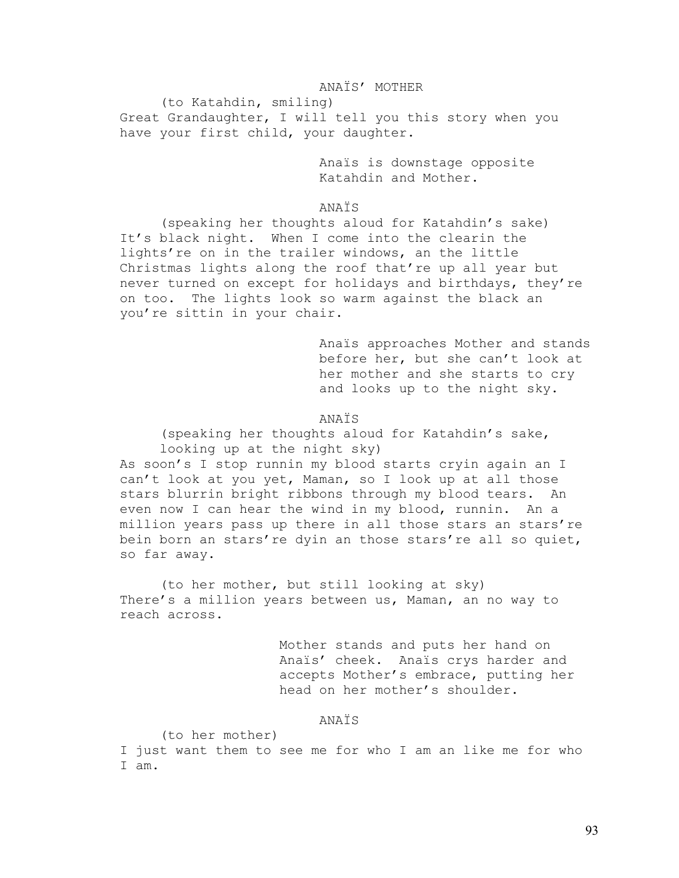## ANAÏS' MOTHER

 (to Katahdin, smiling) Great Grandaughter, I will tell you this story when you have your first child, your daughter.

> Anaïs is downstage opposite Katahdin and Mother.

## ANAÏS

 (speaking her thoughts aloud for Katahdin's sake) It's black night. When I come into the clearin the lights're on in the trailer windows, an the little Christmas lights along the roof that're up all year but never turned on except for holidays and birthdays, they're on too. The lights look so warm against the black an you're sittin in your chair.

> Anaïs approaches Mother and stands before her, but she can't look at her mother and she starts to cry and looks up to the night sky.

## ANAÏS

(speaking her thoughts aloud for Katahdin's sake, looking up at the night sky)

As soon's I stop runnin my blood starts cryin again an I can't look at you yet, Maman, so I look up at all those stars blurrin bright ribbons through my blood tears. An even now I can hear the wind in my blood, runnin. An a million years pass up there in all those stars an stars're bein born an stars're dyin an those stars're all so quiet, so far away.

 (to her mother, but still looking at sky) There's a million years between us, Maman, an no way to reach across.

> Mother stands and puts her hand on Anaïs' cheek. Anaïs crys harder and accepts Mother's embrace, putting her head on her mother's shoulder.

## ANAÏS

(to her mother)

I just want them to see me for who I am an like me for who I am.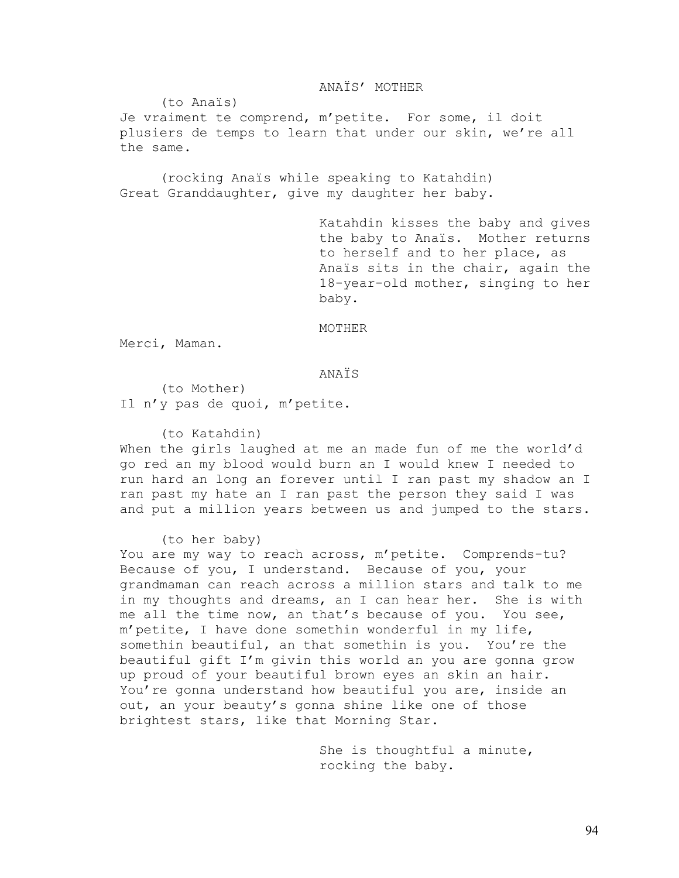## ANAÏS' MOTHER

(to Anaïs)

Je vraiment te comprend, m'petite. For some, il doit plusiers de temps to learn that under our skin, we're all the same.

 (rocking Anaïs while speaking to Katahdin) Great Granddaughter, give my daughter her baby.

> Katahdin kisses the baby and gives the baby to Anaïs. Mother returns to herself and to her place, as Anaïs sits in the chair, again the 18-year-old mother, singing to her baby.

## MOTHER

Merci, Maman.

## ANAÏS

 (to Mother) Il n'y pas de quoi, m'petite.

(to Katahdin)

When the girls laughed at me an made fun of me the world'd go red an my blood would burn an I would knew I needed to run hard an long an forever until I ran past my shadow an I ran past my hate an I ran past the person they said I was and put a million years between us and jumped to the stars.

(to her baby)

You are my way to reach across, m'petite. Comprends-tu? Because of you, I understand. Because of you, your grandmaman can reach across a million stars and talk to me in my thoughts and dreams, an I can hear her. She is with me all the time now, an that's because of you. You see, m'petite, I have done somethin wonderful in my life, somethin beautiful, an that somethin is you. You're the beautiful gift I'm givin this world an you are gonna grow up proud of your beautiful brown eyes an skin an hair. You're gonna understand how beautiful you are, inside an out, an your beauty's gonna shine like one of those brightest stars, like that Morning Star.

> She is thoughtful a minute, rocking the baby.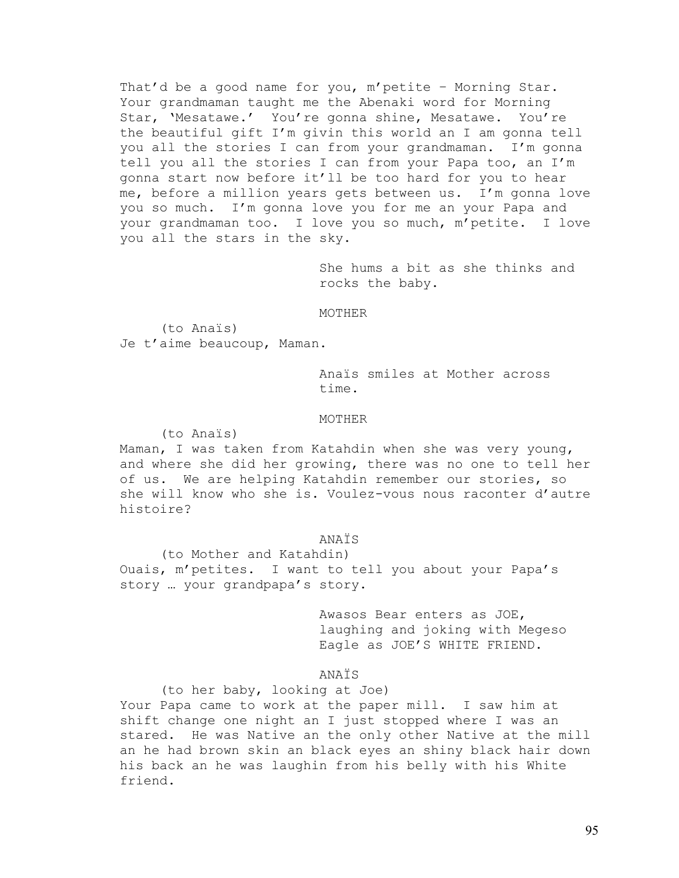That'd be a good name for you, m'petite – Morning Star. Your grandmaman taught me the Abenaki word for Morning Star, 'Mesatawe.' You're gonna shine, Mesatawe. You're the beautiful gift I'm givin this world an I am gonna tell you all the stories I can from your grandmaman. I'm gonna tell you all the stories I can from your Papa too, an I'm gonna start now before it'll be too hard for you to hear me, before a million years gets between us. I'm gonna love you so much. I'm gonna love you for me an your Papa and your grandmaman too. I love you so much, m'petite. I love you all the stars in the sky.

> She hums a bit as she thinks and rocks the baby.

### MOTHER

 (to Anaïs) Je t'aime beaucoup, Maman.

> Anaïs smiles at Mother across time.

### MOTHER

(to Anaïs)

Maman, I was taken from Katahdin when she was very young, and where she did her growing, there was no one to tell her of us. We are helping Katahdin remember our stories, so she will know who she is. Voulez-vous nous raconter d'autre histoire?

## ANAÏS

 (to Mother and Katahdin) Ouais, m'petites. I want to tell you about your Papa's story … your grandpapa's story.

> Awasos Bear enters as JOE, laughing and joking with Megeso Eagle as JOE'S WHITE FRIEND.

## ANAÏS

 (to her baby, looking at Joe) Your Papa came to work at the paper mill. I saw him at shift change one night an I just stopped where I was an stared. He was Native an the only other Native at the mill an he had brown skin an black eyes an shiny black hair down his back an he was laughin from his belly with his White friend.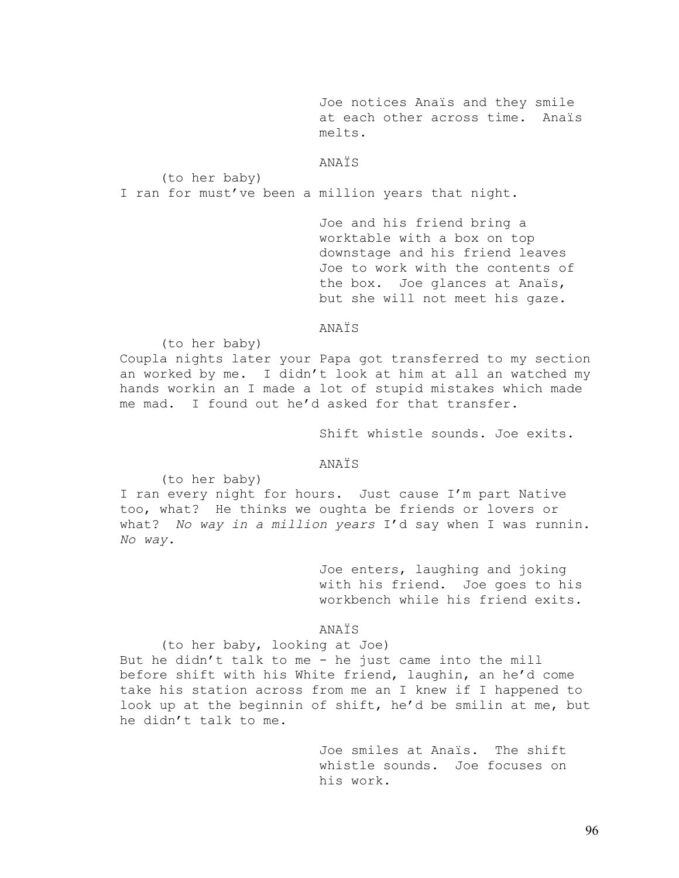Joe notices Anaïs and they smile<br>at each other across time. Anaïs at each other across time. melts.

ANAÏS

(to her baby)

I ran for must've been a million years that night.

Joe and his friend bring a worktable with a box on top downstage and his friend leaves Joe to work with the contents of the box. Joe glances at Anaïs, but she will not meet his gaze.

# ANAÏS

(to her baby)

Coupla nights later your Papa got transferred to my section an worked by me. I didn't look at him at all an watched my hands workin an I made a lot of stupid mistakes which made me mad. I found out he'd asked for that transfer.

Shift whistle sounds. Joe exits.

## ANAÏS

(to her baby)

I ran every night for hours. Just cause I'm part Native too, what? He thinks we oughta be friends or lovers or what? *No way in a million years* I'd say when I was runnin. *No way.* 

> Joe enters, laughing and joking with his friend. Joe goes to his workbench while his friend exits.

ANAÏS

(to her baby, looking at Joe) But he didn't talk to me - he just came into the mill before shift with his White friend, laughin, an he'd come take his station across from me an I knew if I happened to look up at the beginnin of shift, he'd be smilin at me, but he didn't talk to me.

> Joe smiles at Anaïs. The shift whistle sounds. Joe focuses on his work.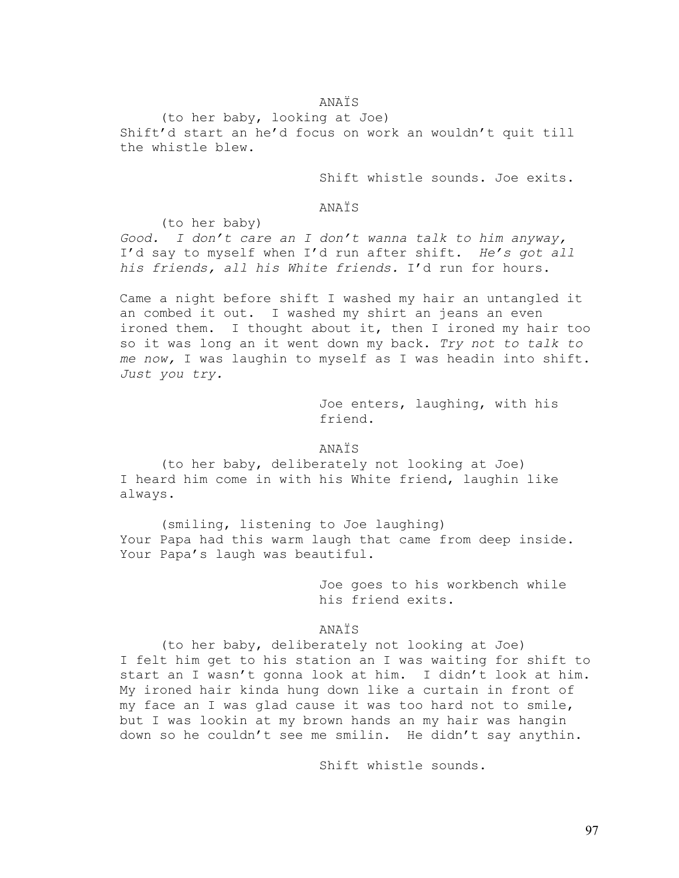# ANAÏS

(to her baby, looking at Joe) Shift'd start an he'd focus on work an wouldn't quit till the whistle blew.

Shift whistle sounds. Joe exits.

## ANAÏS

(to her baby)

*Good. I don't care an I don't wanna talk to him anyway,* I'd say to myself when I'd run after shift. *He's got all his friends, all his White friends.* I'd run for hours.

Came a night before shift I washed my hair an untangled it an combed it out. I washed my shirt an jeans an even ironed them. I thought about it, then I ironed my hair too so it was long an it went down my back. *Try not to talk to me now,* I was laughin to myself as I was headin into shift. *Just you try.* 

> Joe enters, laughing, with his friend.

# ANAÏS

 (to her baby, deliberately not looking at Joe) I heard him come in with his White friend, laughin like always.

 (smiling, listening to Joe laughing) Your Papa had this warm laugh that came from deep inside. Your Papa's laugh was beautiful.

> Joe goes to his workbench while his friend exits.

# ANAÏS

 (to her baby, deliberately not looking at Joe) I felt him get to his station an I was waiting for shift to start an I wasn't gonna look at him. I didn't look at him. My ironed hair kinda hung down like a curtain in front of my face an I was glad cause it was too hard not to smile, but I was lookin at my brown hands an my hair was hangin down so he couldn't see me smilin. He didn't say anythin.

Shift whistle sounds.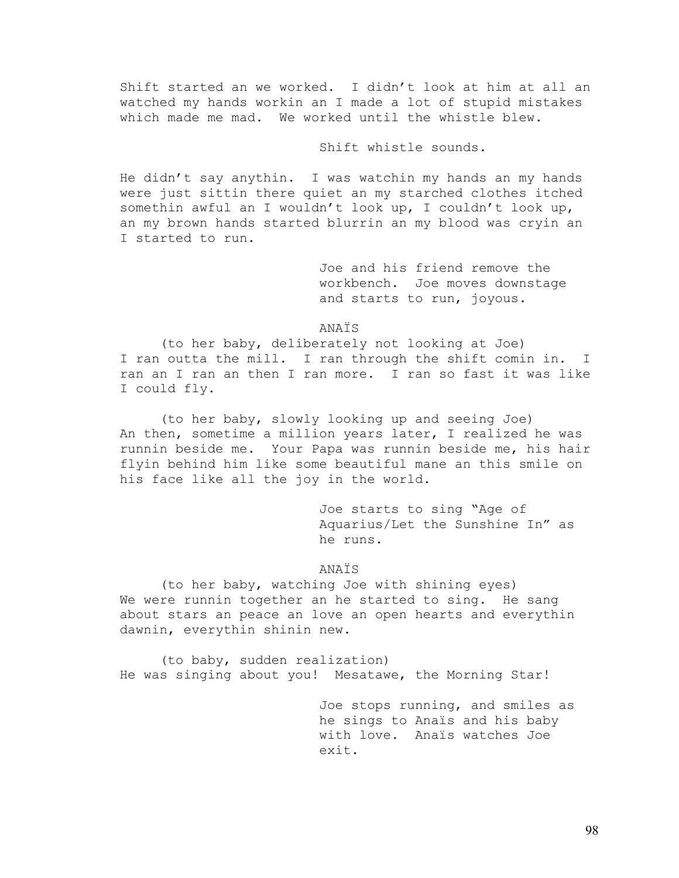Shift started an we worked. I didn't look at him at all an watched my hands workin an I made a lot of stupid mistakes which made me mad. We worked until the whistle blew.

# Shift whistle sounds.

He didn't say anythin. I was watchin my hands an my hands were just sittin there quiet an my starched clothes itched somethin awful an I wouldn't look up, I couldn't look up, an my brown hands started blurrin an my blood was cryin an I started to run.

> Joe and his friend remove the workbench. Joe moves downstage and starts to run, joyous.

ANAÏS

 (to her baby, deliberately not looking at Joe) I ran outta the mill. I ran through the shift comin in. I ran an I ran an then I ran more. I ran so fast it was like I could fly.

 (to her baby, slowly looking up and seeing Joe) An then, sometime a million years later, I realized he was runnin beside me. Your Papa was runnin beside me, his hair flyin behind him like some beautiful mane an this smile on his face like all the joy in the world.

> Joe starts to sing "Age of Aquarius/Let the Sunshine In" as he runs.

# ANAÏS

 (to her baby, watching Joe with shining eyes) We were runnin together an he started to sing. He sang about stars an peace an love an open hearts and everythin dawnin, everythin shinin new.

 (to baby, sudden realization) He was singing about you! Mesatawe, the Morning Star!

> Joe stops running, and smiles as he sings to Anaïs and his baby with love. Anaïs watches Joe exit.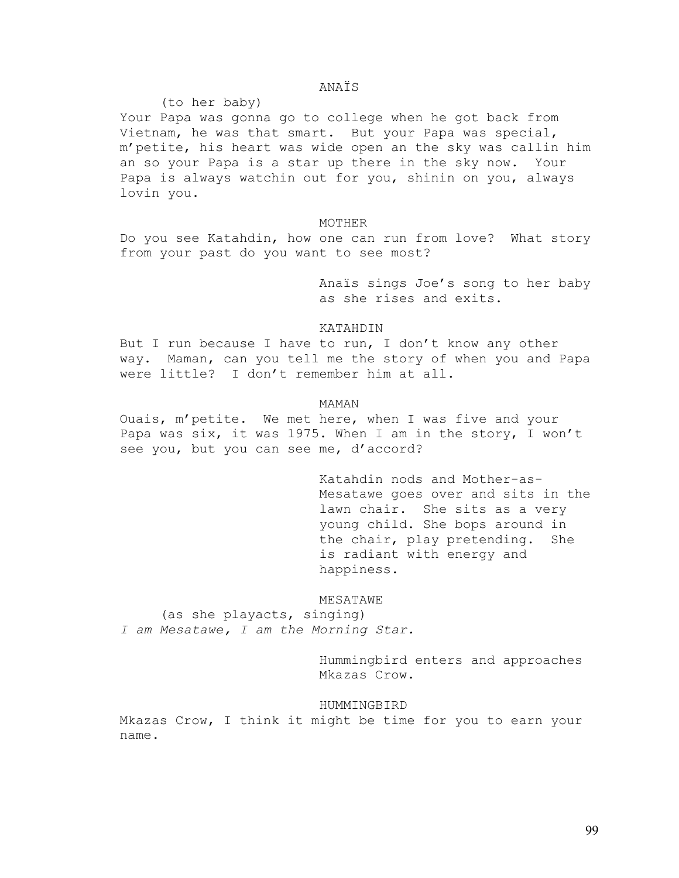# ANAÏS

(to her baby)

Your Papa was gonna go to college when he got back from Vietnam, he was that smart. But your Papa was special, m'petite, his heart was wide open an the sky was callin him an so your Papa is a star up there in the sky now. Your Papa is always watchin out for you, shinin on you, always lovin you.

## MOTHER

Do you see Katahdin, how one can run from love? What story from your past do you want to see most?

> Anaïs sings Joe's song to her baby as she rises and exits.

### KATAHDIN

But I run because I have to run, I don't know any other way. Maman, can you tell me the story of when you and Papa were little? I don't remember him at all.

# MAMAN

Ouais, m'petite. We met here, when I was five and your Papa was six, it was 1975. When I am in the story, I won't see you, but you can see me, d'accord?

> Katahdin nods and Mother-as-Mesatawe goes over and sits in the lawn chair. She sits as a very young child. She bops around in the chair, play pretending. She is radiant with energy and happiness.

## MESATAWE

 (as she playacts, singing) *I am Mesatawe, I am the Morning Star.* 

> Hummingbird enters and approaches Mkazas Crow.

### HUMMINGBIRD

Mkazas Crow, I think it might be time for you to earn your name.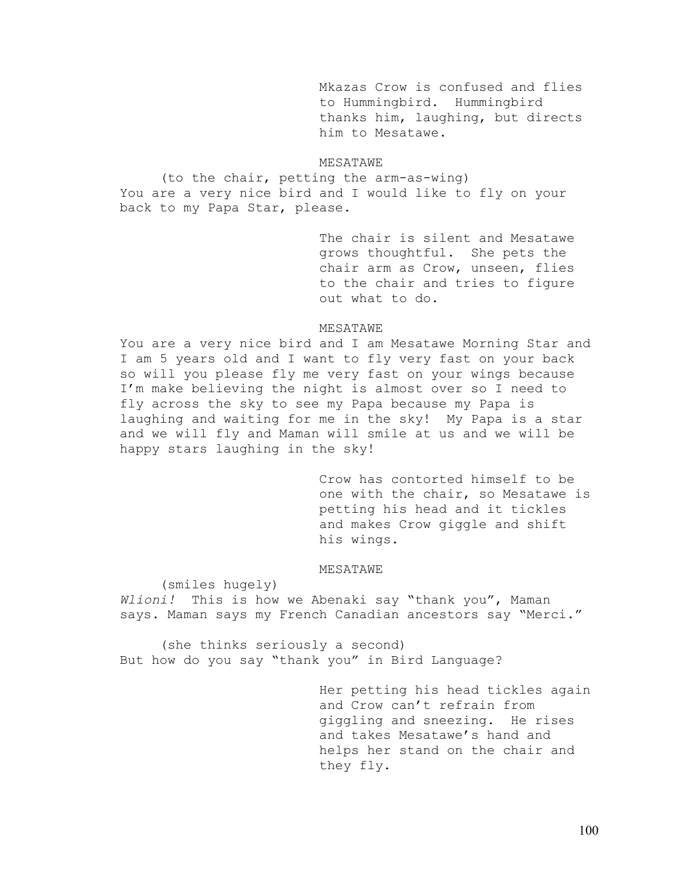Mkazas Crow is confused and flies to Hummingbird. Hummingbird thanks him, laughing, but directs him to Mesatawe.

## MESATAWE

(to the chair, petting the arm-as-wing) You are a very nice bird and I would like to fly on your back to my Papa Star, please.

> The chair is silent and Mesatawe grows thoughtful. She pets the chair arm as Crow, unseen, flies to the chair and tries to figure out what to do.

## MESATAWE

You are a very nice bird and I am Mesatawe Morning Star and I am 5 years old and I want to fly very fast on your back so will you please fly me very fast on your wings because I'm make believing the night is almost over so I need to fly across the sky to see my Papa because my Papa is laughing and waiting for me in the sky! My Papa is a star and we will fly and Maman will smile at us and we will be happy stars laughing in the sky!

> Crow has contorted himself to be one with the chair, so Mesatawe is petting his head and it tickles and makes Crow giggle and shift his wings.

### MESATAWE

(smiles hugely)

*Wlioni!* This is how we Abenaki say "thank you", Maman says. Maman says my French Canadian ancestors say "Merci."

 (she thinks seriously a second) But how do you say "thank you" in Bird Language?

> Her petting his head tickles again and Crow can't refrain from giggling and sneezing. He rises and takes Mesatawe's hand and helps her stand on the chair and they fly.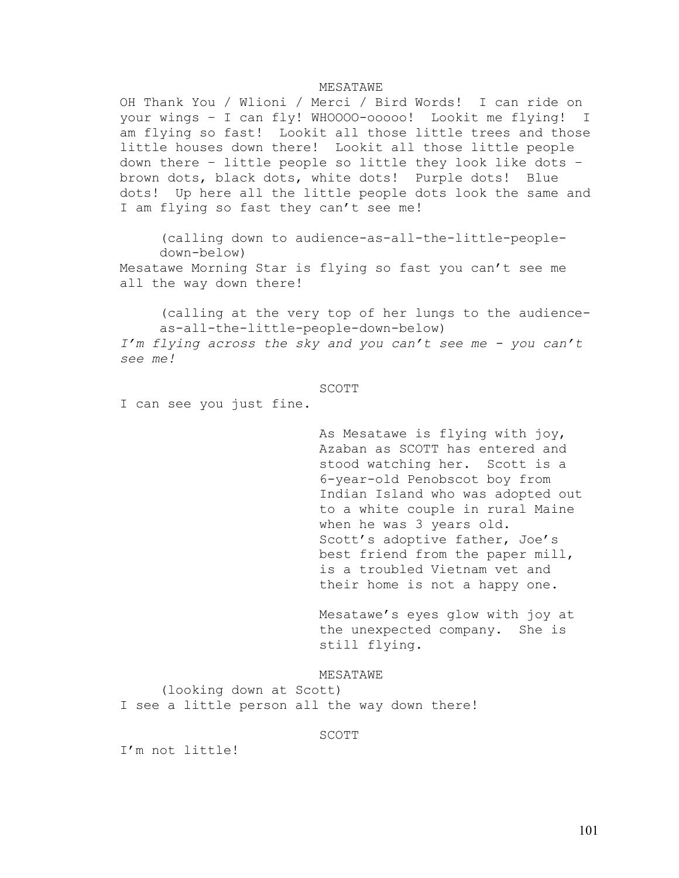## MESATAWE

OH Thank You / Wlioni / Merci / Bird Words! I can ride on your wings – I can fly! WHOOOO-ooooo! Lookit me flying! I am flying so fast! Lookit all those little trees and those little houses down there! Lookit all those little people down there – little people so little they look like dots – brown dots, black dots, white dots! Purple dots! Blue dots! Up here all the little people dots look the same and I am flying so fast they can't see me!

(calling down to audience-as-all-the-little-peopledown-below)

Mesatawe Morning Star is flying so fast you can't see me all the way down there!

(calling at the very top of her lungs to the audienceas-all-the-little-people-down-below) *I'm flying across the sky and you can't see me - you can't* 

*see me!* 

### SCOTT

I can see you just fine.

As Mesatawe is flying with joy, Azaban as SCOTT has entered and stood watching her. Scott is a 6-year-old Penobscot boy from Indian Island who was adopted out to a white couple in rural Maine when he was 3 years old. Scott's adoptive father, Joe's best friend from the paper mill, is a troubled Vietnam vet and their home is not a happy one.

Mesatawe's eyes glow with joy at the unexpected company. She is still flying.

MESATAWE (looking down at Scott) I see a little person all the way down there!

SCOTT SECONDI

I'm not little!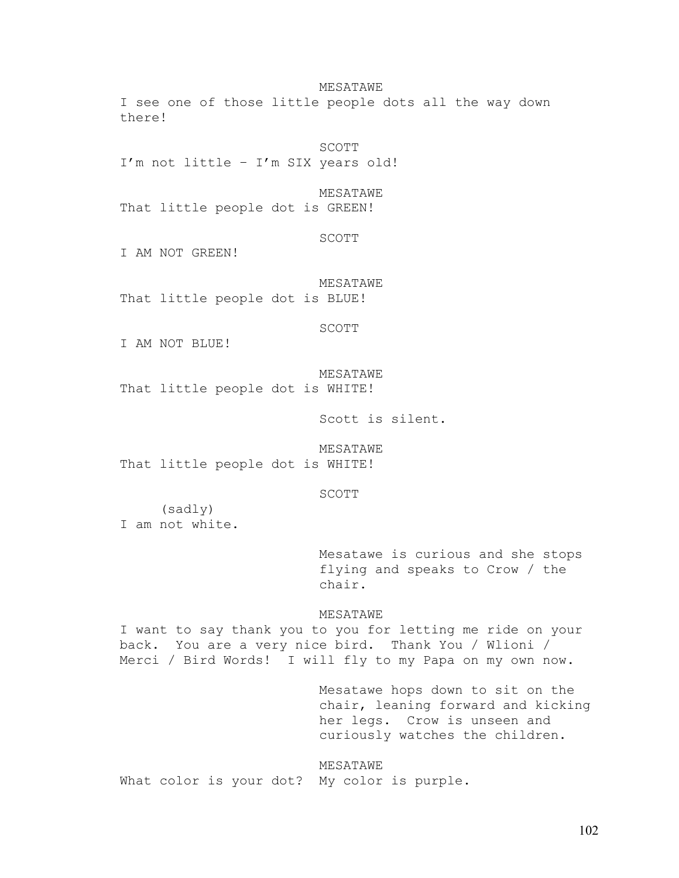MESATAWE

I see one of those little people dots all the way down there!

 SCOTT I'm not little – I'm SIX years old!

MESATAWE

That little people dot is GREEN!

SCOTT

I AM NOT GREEN!

 MESATAWE That little people dot is BLUE!

SCOTT

I AM NOT BLUE!

MESATAWE

That little people dot is WHITE!

Scott is silent.

MESATAWE

That little people dot is WHITE!

SCOTT

(sadly) I am not white.

> Mesatawe is curious and she stops flying and speaks to Crow / the chair.

MESATAWE

I want to say thank you to you for letting me ride on your back. You are a very nice bird. Thank You / Wlioni / Merci / Bird Words! I will fly to my Papa on my own now.

> Mesatawe hops down to sit on the chair, leaning forward and kicking her legs. Crow is unseen and curiously watches the children.

MESATAWE What color is your dot? My color is purple.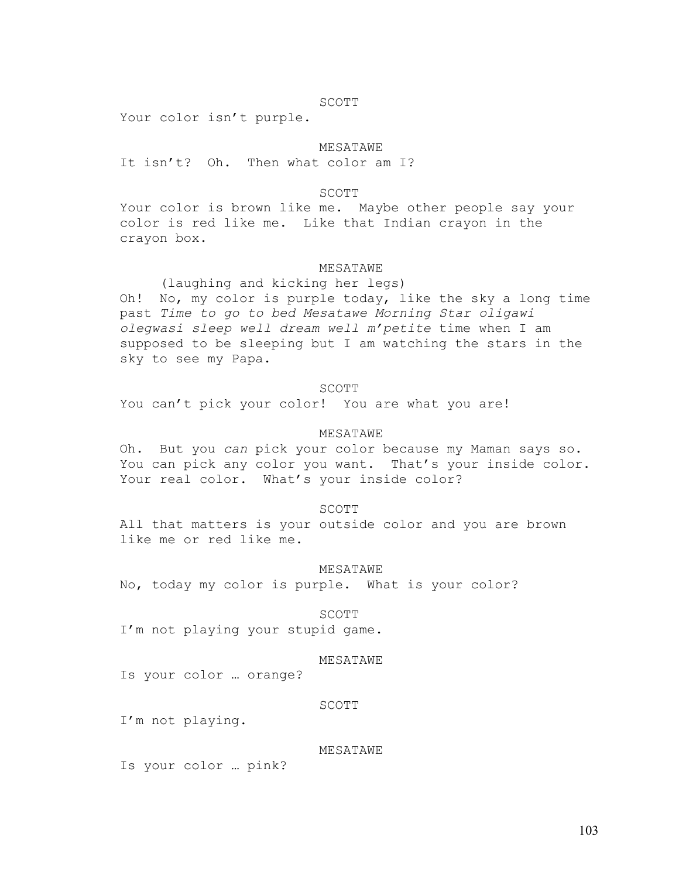## SCOTT

Your color isn't purple.

# MESATAWE

It isn't? Oh. Then what color am I?

## SCOTT

Your color is brown like me. Maybe other people say your color is red like me. Like that Indian crayon in the crayon box.

## MESATAWE

 (laughing and kicking her legs) Oh! No, my color is purple today, like the sky a long time past *Time to go to bed Mesatawe Morning Star oligawi olegwasi sleep well dream well m'petite* time when I am supposed to be sleeping but I am watching the stars in the sky to see my Papa.

### SCOTT

You can't pick your color! You are what you are!

# MESATAWE

Oh. But you *can* pick your color because my Maman says so. You can pick any color you want. That's your inside color. Your real color. What's your inside color?

### SCOTT

All that matters is your outside color and you are brown like me or red like me.

#### MESATAWE

No, today my color is purple. What is your color?

#### SCOTT

I'm not playing your stupid game.

# MESATAWE

Is your color … orange?

#### SCOTT

I'm not playing.

## MESATAWE

Is your color … pink?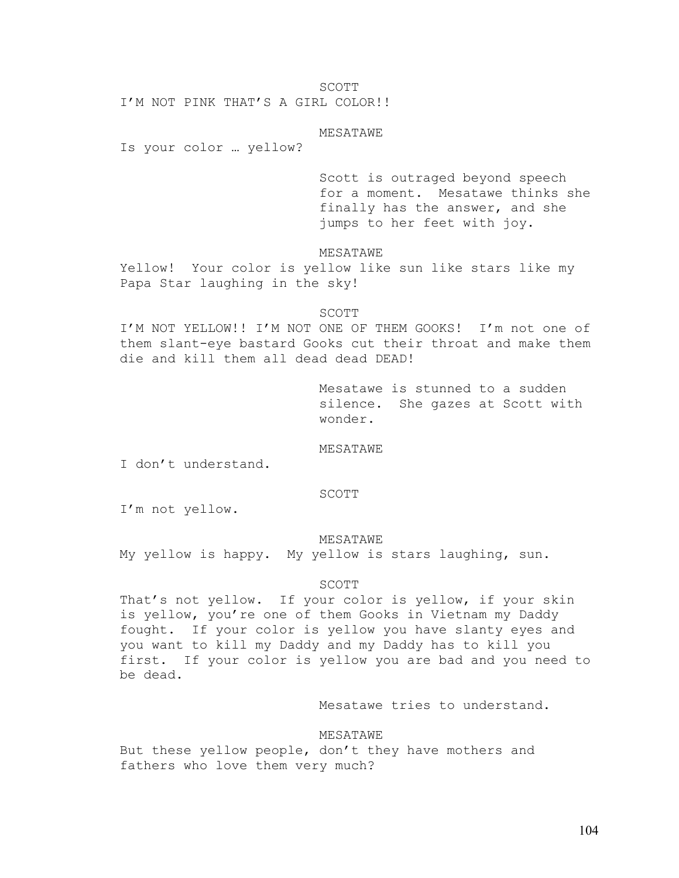SCOTT

I'M NOT PINK THAT'S A GIRL COLOR!!

MESATAWE

Is your color … yellow?

Scott is outraged beyond speech for a moment. Mesatawe thinks she finally has the answer, and she jumps to her feet with joy.

MESATAWE

Yellow! Your color is yellow like sun like stars like my Papa Star laughing in the sky!

# SCOTT SECONDI

I'M NOT YELLOW!! I'M NOT ONE OF THEM GOOKS! I'm not one of them slant-eye bastard Gooks cut their throat and make them die and kill them all dead dead DEAD!

> Mesatawe is stunned to a sudden silence. She gazes at Scott with wonder.

MESATAWE

I don't understand.

# SCOTT

I'm not yellow.

### MESATAWE

My yellow is happy. My yellow is stars laughing, sun.

# SCOTT SECONDI

That's not yellow. If your color is yellow, if your skin is yellow, you're one of them Gooks in Vietnam my Daddy fought. If your color is yellow you have slanty eyes and you want to kill my Daddy and my Daddy has to kill you first. If your color is yellow you are bad and you need to be dead.

Mesatawe tries to understand.

## MESATAWE

But these yellow people, don't they have mothers and fathers who love them very much?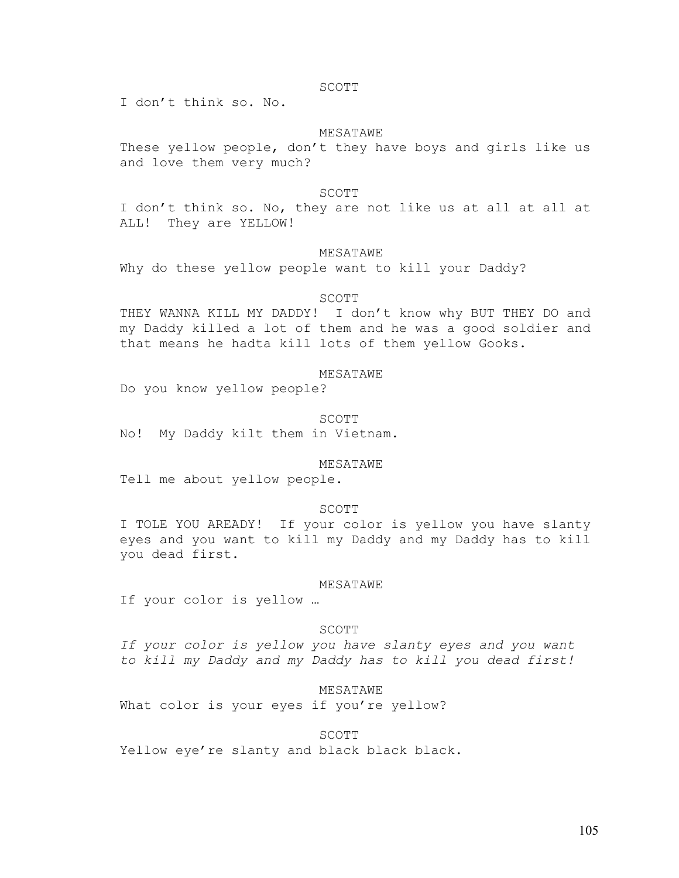### SCOTT

I don't think so. No.

## MESATAWE

These yellow people, don't they have boys and girls like us and love them very much?

# SCOTT SECONDI

I don't think so. No, they are not like us at all at all at ALL! They are YELLOW!

### MESATAWE

Why do these yellow people want to kill your Daddy?

### SCOTT

THEY WANNA KILL MY DADDY! I don't know why BUT THEY DO and my Daddy killed a lot of them and he was a good soldier and that means he hadta kill lots of them yellow Gooks.

## MESATAWE

Do you know yellow people?

# SCOTT SECONDI

No! My Daddy kilt them in Vietnam.

## MESATAWE

Tell me about yellow people.

### SCOTT

I TOLE YOU AREADY! If your color is yellow you have slanty eyes and you want to kill my Daddy and my Daddy has to kill you dead first.

#### MESATAWE

If your color is yellow …

## SCOTT

*If your color is yellow you have slanty eyes and you want to kill my Daddy and my Daddy has to kill you dead first!* 

### MESATAWE

What color is your eyes if you're yellow?

# SCOTT SECONDI

Yellow eye're slanty and black black black.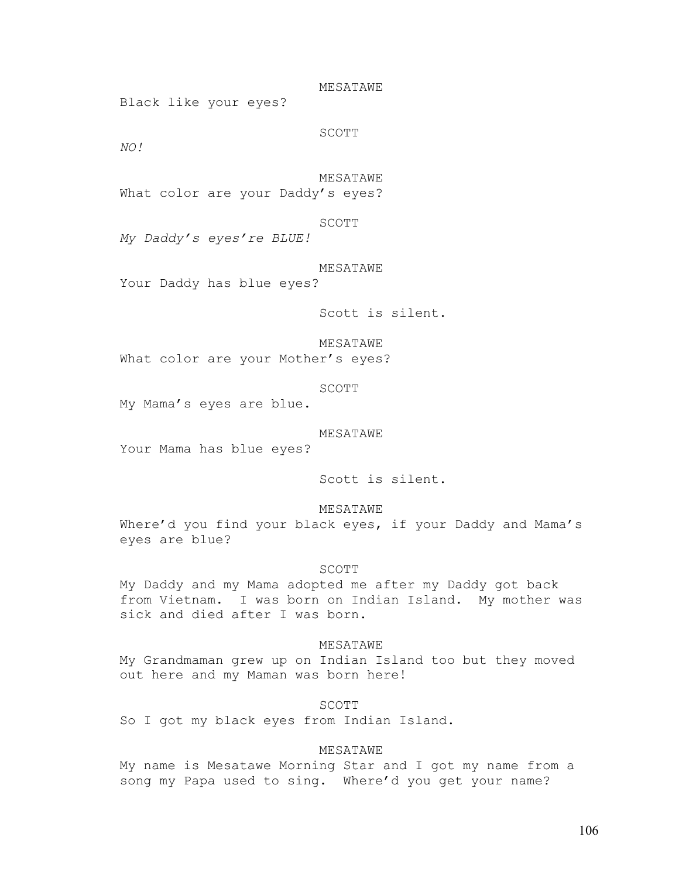MESATAWE

Black like your eyes?

SCOTT

*NO!* 

MESATAWE

What color are your Daddy's eyes?

SCOTT

*My Daddy's eyes're BLUE!* 

MESATAWE

Your Daddy has blue eyes?

Scott is silent.

MESATAWE

What color are your Mother's eyes?

SCOTT

My Mama's eyes are blue.

MESATAWE

Your Mama has blue eyes?

Scott is silent.

MESATAWE

Where'd you find your black eyes, if your Daddy and Mama's eyes are blue?

# SCOTT

My Daddy and my Mama adopted me after my Daddy got back from Vietnam. I was born on Indian Island. My mother was sick and died after I was born.

 MESATAWE My Grandmaman grew up on Indian Island too but they moved out here and my Maman was born here!

 SCOTT So I got my black eyes from Indian Island.

# MESATAWE

My name is Mesatawe Morning Star and I got my name from a song my Papa used to sing. Where'd you get your name?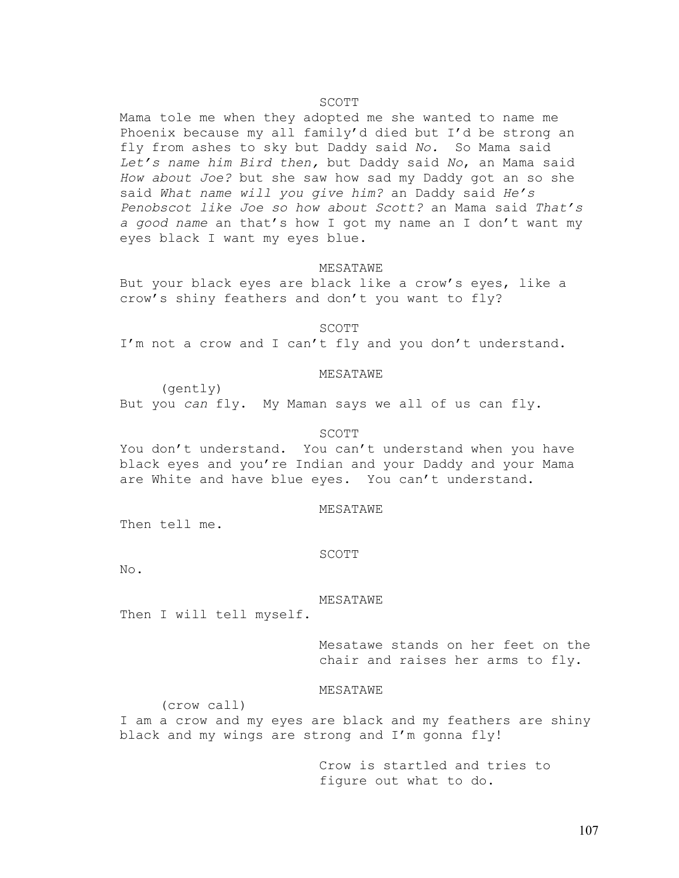# SCOTT SECONDI

Mama tole me when they adopted me she wanted to name me Phoenix because my all family'd died but I'd be strong an fly from ashes to sky but Daddy said *No.* So Mama said *Let's name him Bird then,* but Daddy said *No*, an Mama said *How about Joe?* but she saw how sad my Daddy got an so she said *What name will you give him?* an Daddy said *He's Penobscot like Joe so how about Scott?* an Mama said *That's a good name* an that's how I got my name an I don't want my eyes black I want my eyes blue.

# MESATAWE

But your black eyes are black like a crow's eyes, like a crow's shiny feathers and don't you want to fly?

SCOTT

I'm not a crow and I can't fly and you don't understand.

# MESATAWE

 (gently) But you *can* fly. My Maman says we all of us can fly.

#### SCOTT

You don't understand. You can't understand when you have black eyes and you're Indian and your Daddy and your Mama are White and have blue eyes. You can't understand.

#### MESATAWE

Then tell me.

#### SCOTT

No.

#### MESATAWE

Then I will tell myself.

Mesatawe stands on her feet on the chair and raises her arms to fly.

## MESATAWE

(crow call)

I am a crow and my eyes are black and my feathers are shiny black and my wings are strong and I'm gonna fly!

> Crow is startled and tries to figure out what to do.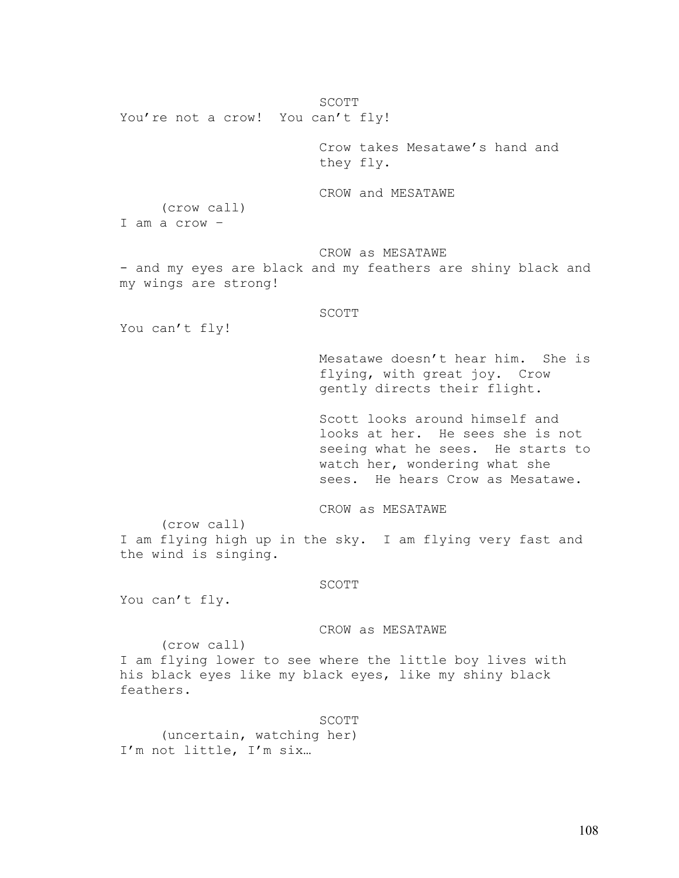SCOTT You're not a crow! You can't fly! Crow takes Mesatawe's hand and they fly. CROW and MESATAWE (crow call) I am a crow – CROW as MESATAWE - and my eyes are black and my feathers are shiny black and my wings are strong! SCOTT You can't fly! Mesatawe doesn't hear him. She is flying, with great joy. Crow gently directs their flight. Scott looks around himself and looks at her. He sees she is not seeing what he sees. He starts to watch her, wondering what she sees. He hears Crow as Mesatawe. CROW as MESATAWE (crow call) I am flying high up in the sky. I am flying very fast and the wind is singing. SCOTT You can't fly. CROW as MESATAWE

(crow call)

I am flying lower to see where the little boy lives with his black eyes like my black eyes, like my shiny black feathers.

SCOTT

(uncertain, watching her) I'm not little, I'm six…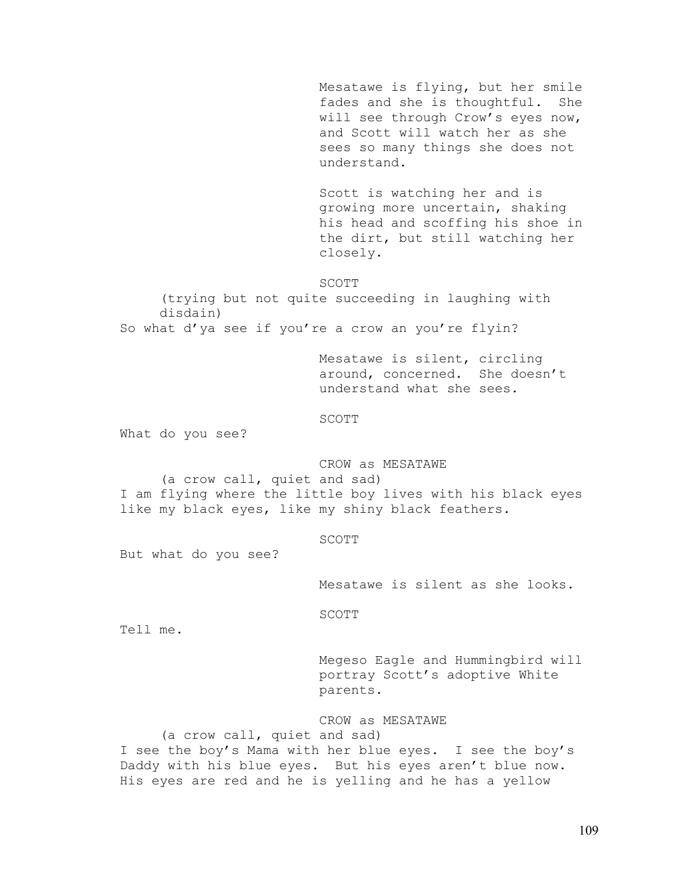Mesatawe is flying, but her smile fades and she is thoughtful. She will see through Crow's eyes now, and Scott will watch her as she sees so many things she does not understand.

Scott is watching her and is growing more uncertain, shaking his head and scoffing his shoe in the dirt, but still watching her closely.

### SCOTT

(trying but not quite succeeding in laughing with disdain)

So what d'ya see if you're a crow an you're flyin?

Mesatawe is silent, circling around, concerned. She doesn't understand what she sees.

SCOTT

What do you see?

 CROW as MESATAWE (a crow call, quiet and sad) I am flying where the little boy lives with his black eyes like my black eyes, like my shiny black feathers.

# SCOTT SECONDI

But what do you see?

Mesatawe is silent as she looks.

SCOTT

Tell me.

Megeso Eagle and Hummingbird will portray Scott's adoptive White parents.

 CROW as MESATAWE (a crow call, quiet and sad) I see the boy's Mama with her blue eyes. I see the boy's Daddy with his blue eyes. But his eyes aren't blue now. His eyes are red and he is yelling and he has a yellow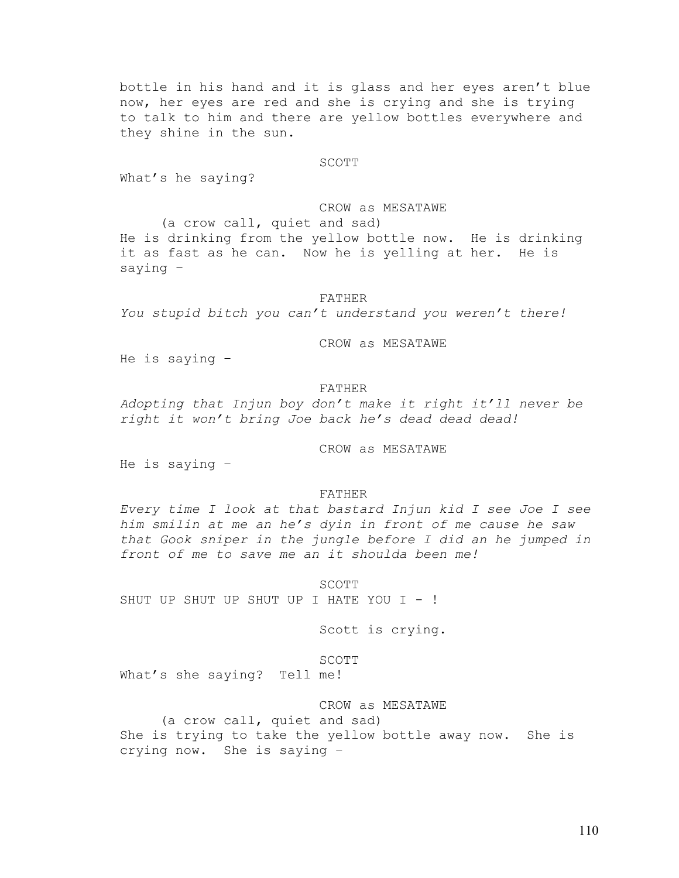bottle in his hand and it is glass and her eyes aren't blue now, her eyes are red and she is crying and she is trying to talk to him and there are yellow bottles everywhere and they shine in the sun.

# SCOTT SECONDI

What's he saying?

CROW as MESATAWE (a crow call, quiet and sad) He is drinking from the yellow bottle now. He is drinking it as fast as he can. Now he is yelling at her. He is saying –

## FATHER

*You stupid bitch you can't understand you weren't there!* 

CROW as MESATAWE

He is saying –

### FATHER

*Adopting that Injun boy don't make it right it'll never be right it won't bring Joe back he's dead dead dead!* 

CROW as MESATAWE

He is saying –

### FATHER

*Every time I look at that bastard Injun kid I see Joe I see him smilin at me an he's dyin in front of me cause he saw that Gook sniper in the jungle before I did an he jumped in front of me to save me an it shoulda been me!* 

 SCOTT SHUT UP SHUT UP SHUT UP I HATE YOU I - !

Scott is crying.

SCOTT SECONDI

What's she saying? Tell me!

CROW as MESATAWE

(a crow call, quiet and sad) She is trying to take the yellow bottle away now. She is crying now. She is saying –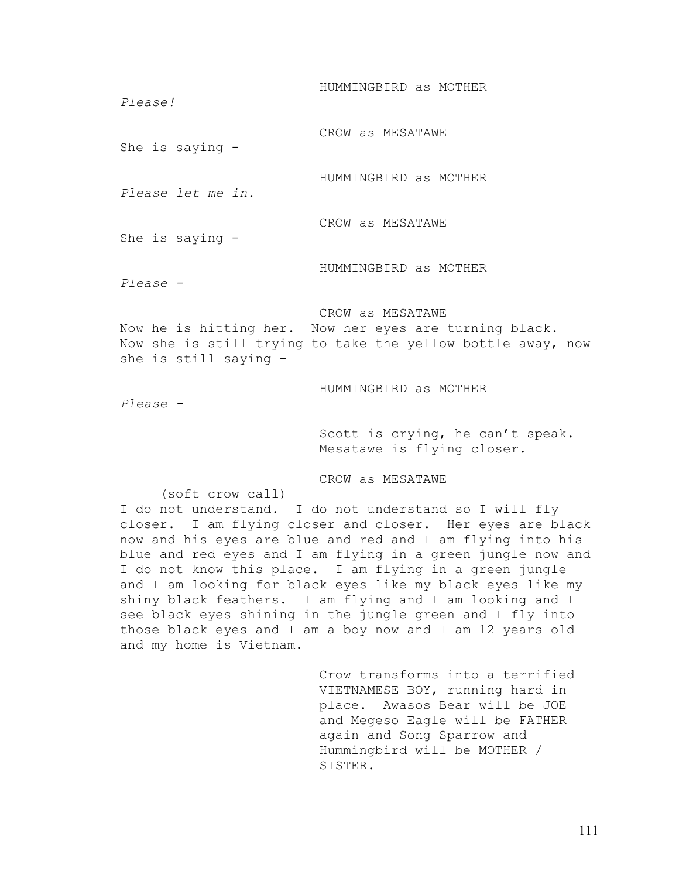HUMMINGBIRD as MOTHER *Please!* CROW as MESATAWE She is saying - HUMMINGBIRD as MOTHER *Please let me in.*  CROW as MESATAWE She is saying - HUMMINGBIRD as MOTHER *Please -* CROW as MESATAWE Now he is hitting her. Now her eyes are turning black. Now she is still trying to take the yellow bottle away, now she is still saying – HUMMINGBIRD as MOTHER *Please -*  Scott is crying, he can't speak.

Mesatawe is flying closer.

CROW as MESATAWE

(soft crow call)

I do not understand. I do not understand so I will fly closer. I am flying closer and closer. Her eyes are black now and his eyes are blue and red and I am flying into his blue and red eyes and I am flying in a green jungle now and I do not know this place. I am flying in a green jungle and I am looking for black eyes like my black eyes like my shiny black feathers. I am flying and I am looking and I see black eyes shining in the jungle green and I fly into those black eyes and I am a boy now and I am 12 years old and my home is Vietnam.

> Crow transforms into a terrified VIETNAMESE BOY, running hard in place. Awasos Bear will be JOE and Megeso Eagle will be FATHER again and Song Sparrow and Hummingbird will be MOTHER / SISTER.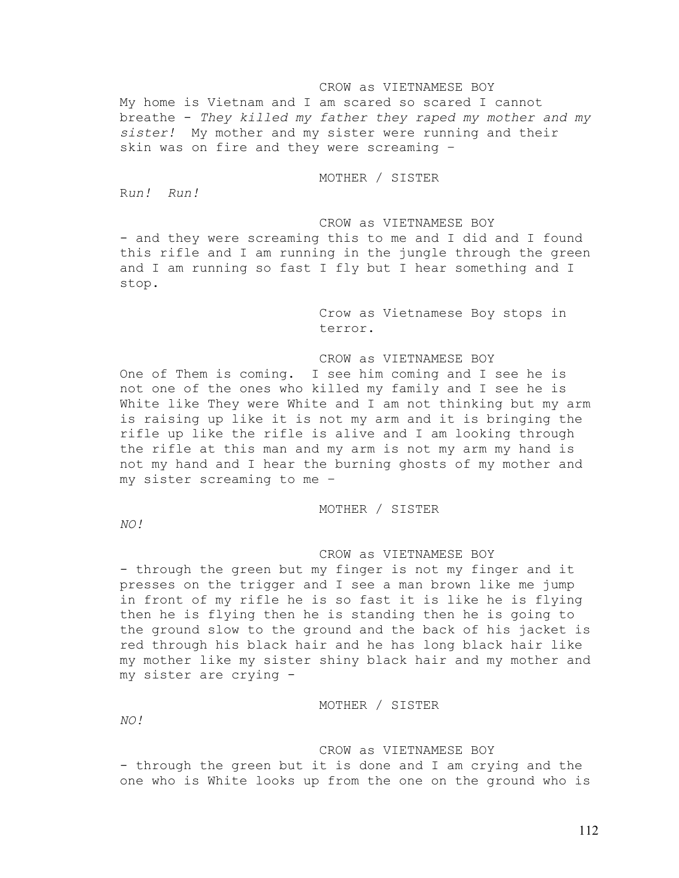# CROW as VIETNAMESE BOY

My home is Vietnam and I am scared so scared I cannot breathe - *They killed my father they raped my mother and my sister!* My mother and my sister were running and their skin was on fire and they were screaming –

# MOTHER / SISTER

R*un! Run!* 

CROW as VIETNAMESE BOY - and they were screaming this to me and I did and I found this rifle and I am running in the jungle through the green and I am running so fast I fly but I hear something and I stop.

> Crow as Vietnamese Boy stops in terror.

CROW as VIETNAMESE BOY

One of Them is coming. I see him coming and I see he is not one of the ones who killed my family and I see he is White like They were White and I am not thinking but my arm is raising up like it is not my arm and it is bringing the rifle up like the rifle is alive and I am looking through the rifle at this man and my arm is not my arm my hand is not my hand and I hear the burning ghosts of my mother and my sister screaming to me –

## MOTHER / SISTER

*NO!* 

CROW as VIETNAMESE BOY

- through the green but my finger is not my finger and it presses on the trigger and I see a man brown like me jump in front of my rifle he is so fast it is like he is flying then he is flying then he is standing then he is going to the ground slow to the ground and the back of his jacket is red through his black hair and he has long black hair like my mother like my sister shiny black hair and my mother and my sister are crying -

MOTHER / SISTER

*NO!* 

# CROW as VIETNAMESE BOY

- through the green but it is done and I am crying and the one who is White looks up from the one on the ground who is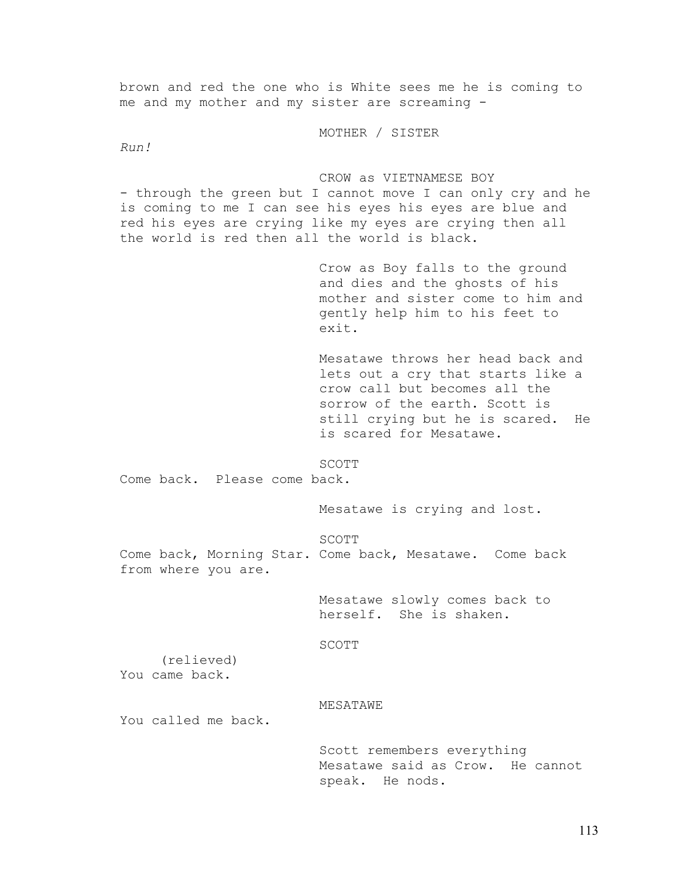me and my mother and my sister are screaming - MOTHER / SISTER *Run!*  CROW as VIETNAMESE BOY - through the green but I cannot move I can only cry and he is coming to me I can see his eyes his eyes are blue and red his eyes are crying like my eyes are crying then all the world is red then all the world is black. Crow as Boy falls to the ground and dies and the ghosts of his mother and sister come to him and gently help him to his feet to exit. Mesatawe throws her head back and lets out a cry that starts like a crow call but becomes all the sorrow of the earth. Scott is still crying but he is scared. He is scared for Mesatawe. SCOTT SECONDI Come back. Please come back. Mesatawe is crying and lost. SCOTT Come back, Morning Star. Come back, Mesatawe. Come back from where you are. Mesatawe slowly comes back to herself. She is shaken. SCOTT (relieved) You came back. MESATAWE You called me back. Scott remembers everything Mesatawe said as Crow. He cannot speak. He nods.

brown and red the one who is White sees me he is coming to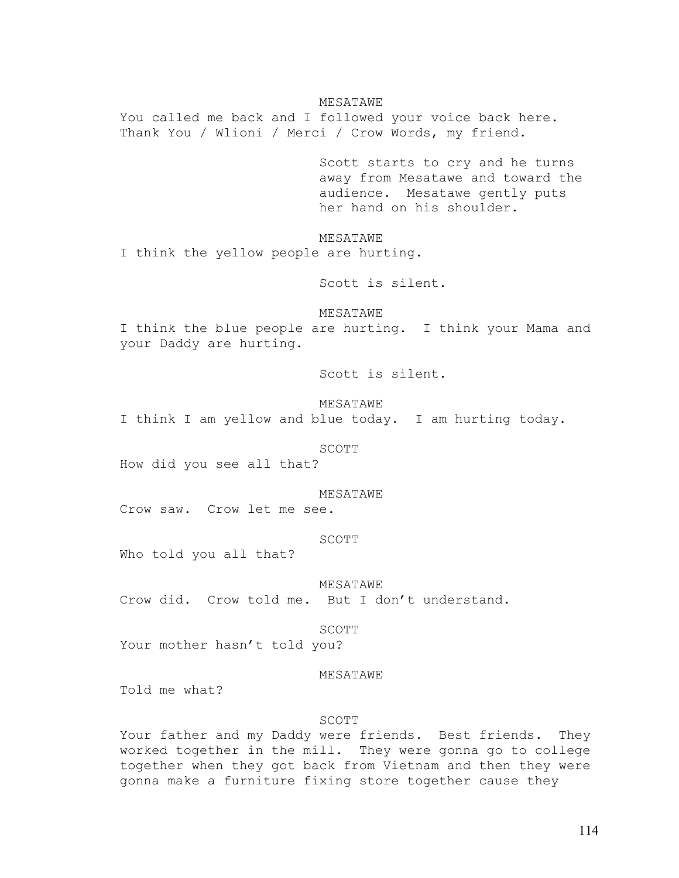## MESATAWE

You called me back and I followed your voice back here. Thank You / Wlioni / Merci / Crow Words, my friend.

> Scott starts to cry and he turns away from Mesatawe and toward the audience. Mesatawe gently puts her hand on his shoulder.

MESATAWE

I think the yellow people are hurting.

Scott is silent.

MESATAWE

I think the blue people are hurting. I think your Mama and your Daddy are hurting.

Scott is silent.

MESATAWE

I think I am yellow and blue today. I am hurting today.

SCOTT

How did you see all that?

MESATAWE

Crow saw. Crow let me see.

# SCOTT SECONDI

Who told you all that?

MESATAWE

Crow did. Crow told me. But I don't understand.

SCOTT

Your mother hasn't told you?

## MESATAWE

Told me what?

## SCOTT

Your father and my Daddy were friends. Best friends. They worked together in the mill. They were gonna go to college together when they got back from Vietnam and then they were gonna make a furniture fixing store together cause they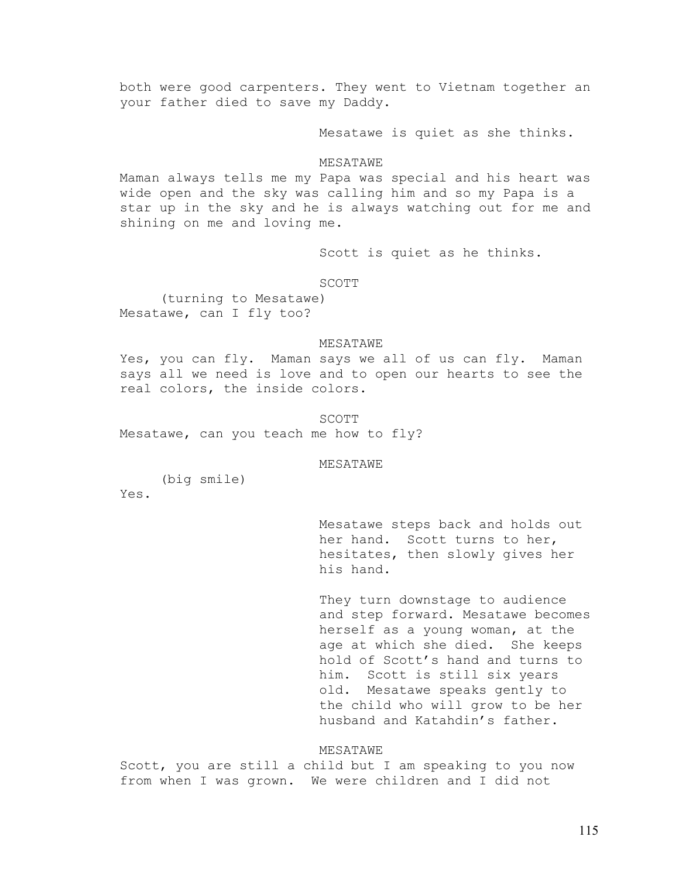both were good carpenters. They went to Vietnam together an your father died to save my Daddy.

Mesatawe is quiet as she thinks.

#### MESATAWE

Maman always tells me my Papa was special and his heart was wide open and the sky was calling him and so my Papa is a star up in the sky and he is always watching out for me and shining on me and loving me.

Scott is quiet as he thinks.

SCOTT SECONDI

(turning to Mesatawe) Mesatawe, can I fly too?

#### MESATAWE

Yes, you can fly. Maman says we all of us can fly. Maman says all we need is love and to open our hearts to see the real colors, the inside colors.

SCOTT SECONDI

Mesatawe, can you teach me how to fly?

MESATAWE

 (big smile) Yes.

> Mesatawe steps back and holds out her hand. Scott turns to her, hesitates, then slowly gives her his hand.

They turn downstage to audience and step forward. Mesatawe becomes herself as a young woman, at the age at which she died. She keeps hold of Scott's hand and turns to him. Scott is still six years old. Mesatawe speaks gently to the child who will grow to be her husband and Katahdin's father.

## MESATAWE

Scott, you are still a child but I am speaking to you now from when I was grown. We were children and I did not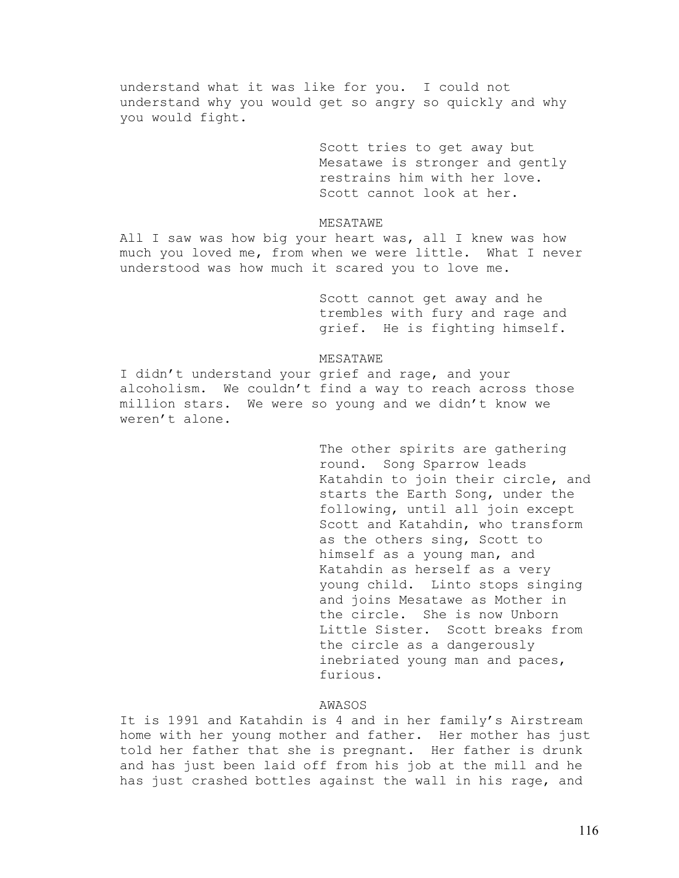understand what it was like for you. I could not understand why you would get so angry so quickly and why you would fight.

> Scott tries to get away but Mesatawe is stronger and gently restrains him with her love. Scott cannot look at her.

## MESATAWE

All I saw was how big your heart was, all I knew was how much you loved me, from when we were little. What I never understood was how much it scared you to love me.

> Scott cannot get away and he trembles with fury and rage and grief. He is fighting himself.

## MESATAWE

I didn't understand your grief and rage, and your alcoholism. We couldn't find a way to reach across those million stars. We were so young and we didn't know we weren't alone.

> The other spirits are gathering round. Song Sparrow leads Katahdin to join their circle, and starts the Earth Song, under the following, until all join except Scott and Katahdin, who transform as the others sing, Scott to himself as a young man, and Katahdin as herself as a very young child. Linto stops singing and joins Mesatawe as Mother in the circle. She is now Unborn Little Sister. Scott breaks from the circle as a dangerously inebriated young man and paces, furious.

# AWASOS

It is 1991 and Katahdin is 4 and in her family's Airstream home with her young mother and father. Her mother has just told her father that she is pregnant. Her father is drunk and has just been laid off from his job at the mill and he has just crashed bottles against the wall in his rage, and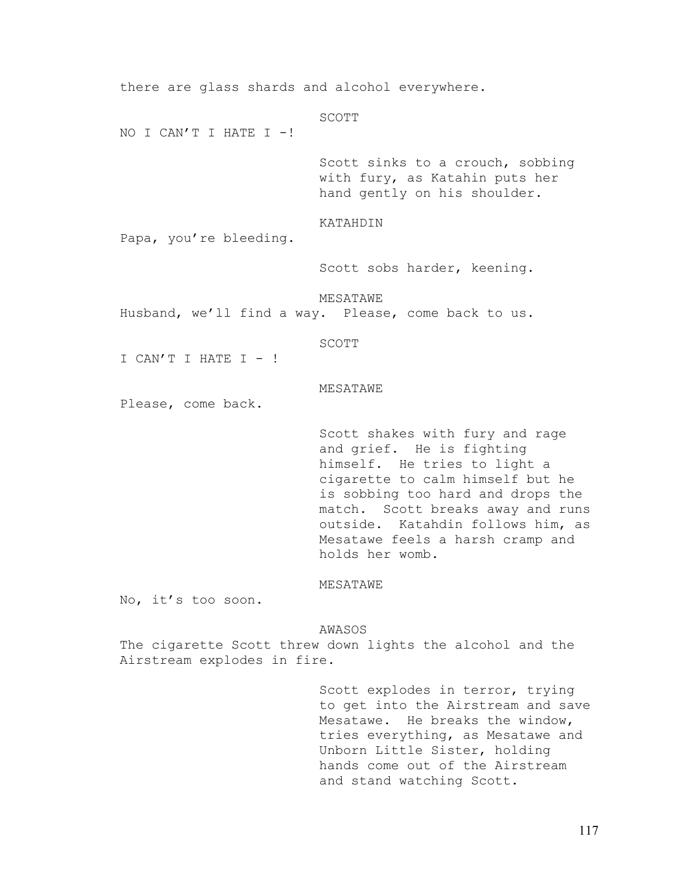there are glass shards and alcohol everywhere. SCOTT NO I CAN'T I HATE I  $-!$ Scott sinks to a crouch, sobbing with fury, as Katahin puts her hand gently on his shoulder. KATAHDIN Papa, you're bleeding. Scott sobs harder, keening. MESATAWE Husband, we'll find a way. Please, come back to us. SCOTT I CAN'T I HATE I  $-$ ! MESATAWE Please, come back. Scott shakes with fury and rage and grief. He is fighting himself. He tries to light a cigarette to calm himself but he is sobbing too hard and drops the match. Scott breaks away and runs outside. Katahdin follows him, as Mesatawe feels a harsh cramp and holds her womb. MESATAWE No, it's too soon.

AWASOS

The cigarette Scott threw down lights the alcohol and the Airstream explodes in fire.

> Scott explodes in terror, trying to get into the Airstream and save Mesatawe. He breaks the window, tries everything, as Mesatawe and Unborn Little Sister, holding hands come out of the Airstream and stand watching Scott.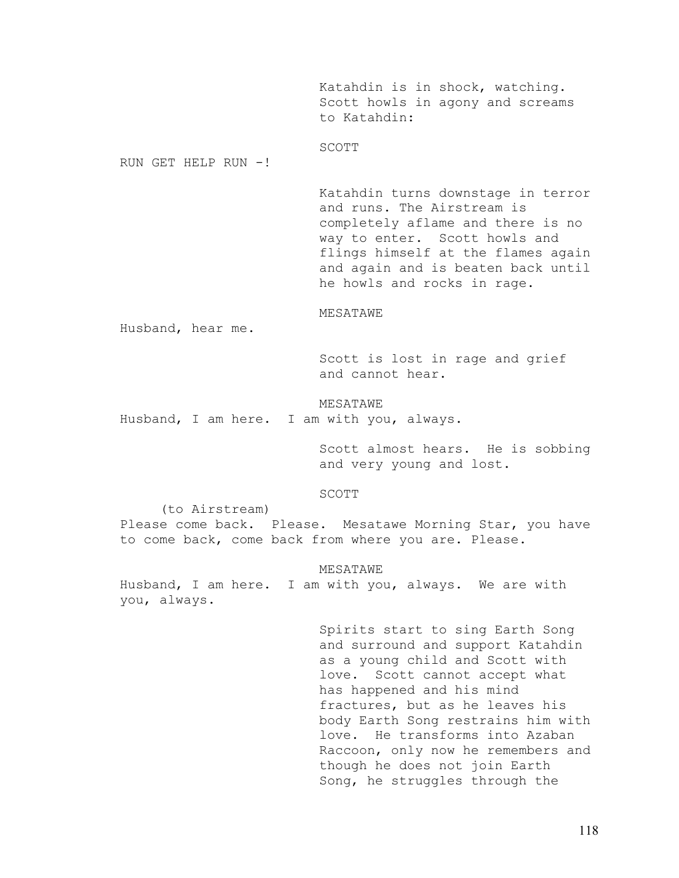Katahdin is in shock, watching. Scott howls in agony and screams to Katahdin:

# SCOTT

RUN GET HELP RUN -!

Katahdin turns downstage in terror and runs. The Airstream is completely aflame and there is no way to enter. Scott howls and flings himself at the flames again and again and is beaten back until he howls and rocks in rage.

### MESATAWE

Husband, hear me.

Scott is lost in rage and grief and cannot hear.

MESATAWE Husband, I am here. I am with you, always.

> Scott almost hears. He is sobbing and very young and lost.

## SCOTT

 (to Airstream) Please come back. Please. Mesatawe Morning Star, you have to come back, come back from where you are. Please.

## MESATAWE

Husband, I am here. I am with you, always. We are with you, always.

> Spirits start to sing Earth Song and surround and support Katahdin as a young child and Scott with love. Scott cannot accept what has happened and his mind fractures, but as he leaves his body Earth Song restrains him with love. He transforms into Azaban Raccoon, only now he remembers and though he does not join Earth Song, he struggles through the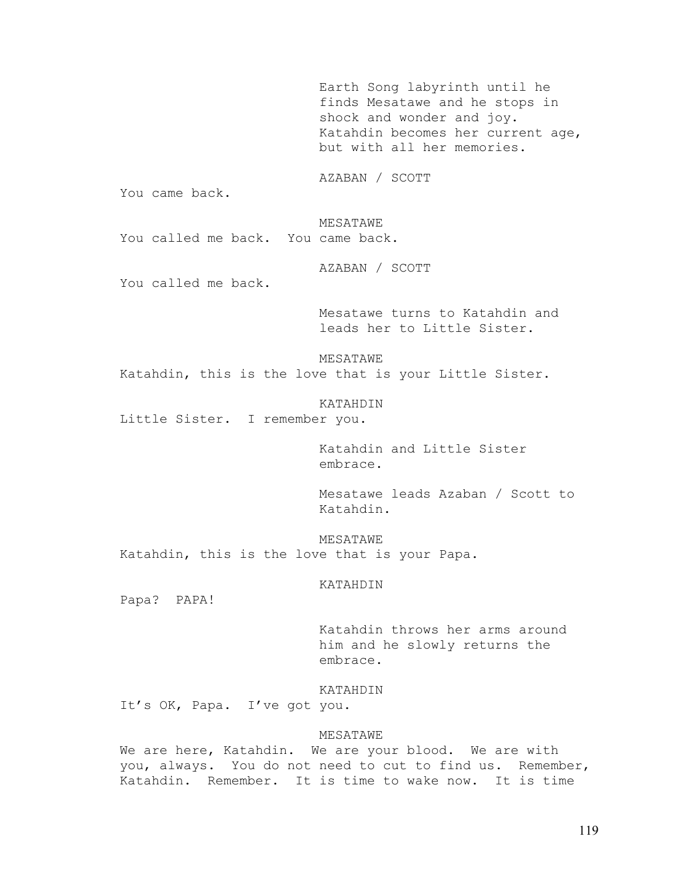Earth Song labyrinth until he finds Mesatawe and he stops in shock and wonder and joy. Katahdin becomes her current age, but with all her memories.

AZABAN / SCOTT

You came back.

MESATAWE

You called me back. You came back.

AZABAN / SCOTT

You called me back.

Mesatawe turns to Katahdin and leads her to Little Sister.

MESATAWE

Katahdin, this is the love that is your Little Sister.

KATAHDIN

Little Sister. I remember you.

Katahdin and Little Sister embrace.

Mesatawe leads Azaban / Scott to Katahdin.

MESATAWE Katahdin, this is the love that is your Papa.

KATAHDIN

Papa? PAPA!

Katahdin throws her arms around him and he slowly returns the embrace.

KATAHDIN

It's OK, Papa. I've got you.

# MESATAWE

We are here, Katahdin. We are your blood. We are with you, always. You do not need to cut to find us. Remember, Katahdin. Remember. It is time to wake now. It is time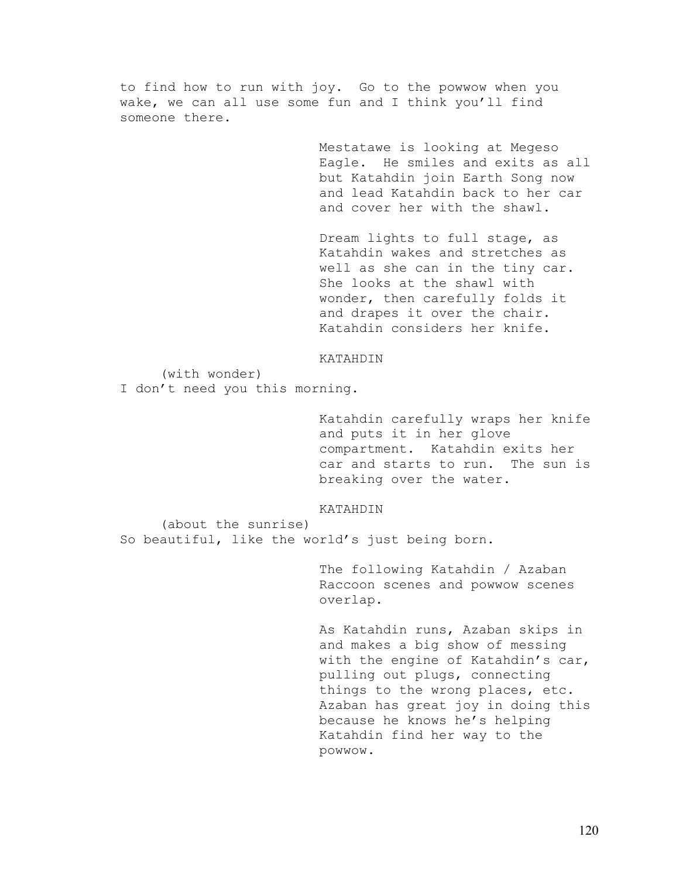to find how to run with joy. Go to the powwow when you wake, we can all use some fun and I think you'll find someone there.

> Mestatawe is looking at Megeso Eagle. He smiles and exits as all but Katahdin join Earth Song now and lead Katahdin back to her car and cover her with the shawl.

Dream lights to full stage, as Katahdin wakes and stretches as well as she can in the tiny car. She looks at the shawl with wonder, then carefully folds it and drapes it over the chair. Katahdin considers her knife.

# KATAHDIN

(with wonder)

I don't need you this morning.

Katahdin carefully wraps her knife and puts it in her glove compartment. Katahdin exits her car and starts to run. The sun is breaking over the water.

### KATAHDIN

 (about the sunrise) So beautiful, like the world's just being born.

> The following Katahdin / Azaban Raccoon scenes and powwow scenes overlap.

As Katahdin runs, Azaban skips in and makes a big show of messing with the engine of Katahdin's car, pulling out plugs, connecting things to the wrong places, etc. Azaban has great joy in doing this because he knows he's helping Katahdin find her way to the powwow.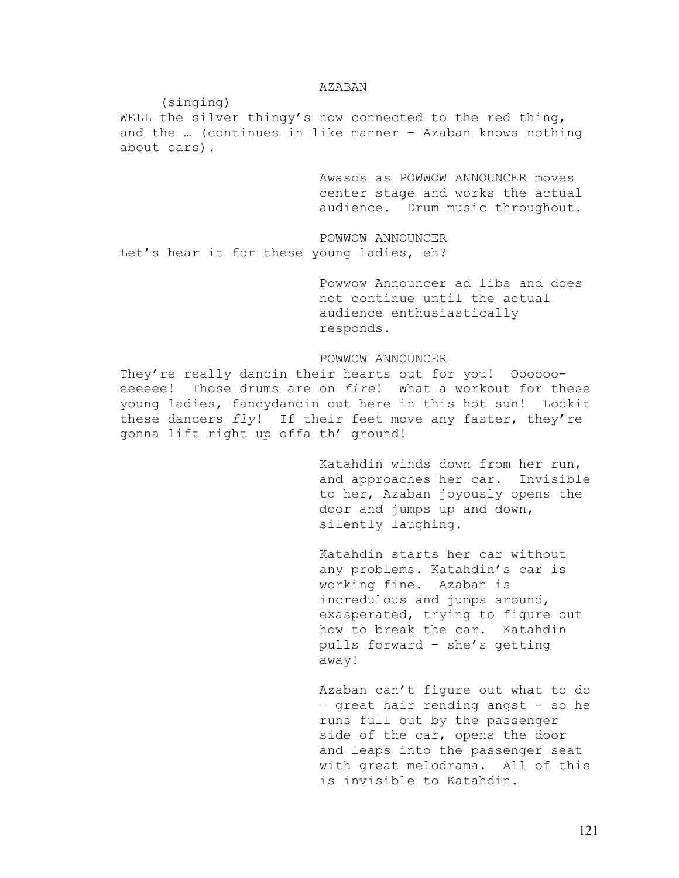## AZABAN

(singing)

WELL the silver thingy's now connected to the red thing, and the … (continues in like manner – Azaban knows nothing about cars).

> Awasos as POWWOW ANNOUNCER moves center stage and works the actual audience. Drum music throughout.

POWWOW ANNOUNCER Let's hear it for these young ladies, eh?

> Powwow Announcer ad libs and does not continue until the actual audience enthusiastically responds.

# POWWOW ANNOUNCER

They're really dancin their hearts out for you! Ooooooeeeeee! Those drums are on *fire*! What a workout for these young ladies, fancydancin out here in this hot sun! Lookit these dancers *fly*! If their feet move any faster, they're gonna lift right up offa th' ground!

> Katahdin winds down from her run, and approaches her car. Invisible to her, Azaban joyously opens the door and jumps up and down, silently laughing.

Katahdin starts her car without any problems. Katahdin's car is working fine. Azaban is incredulous and jumps around, exasperated, trying to figure out how to break the car. Katahdin pulls forward – she's getting away!

Azaban can't figure out what to do – great hair rending angst - so he runs full out by the passenger side of the car, opens the door and leaps into the passenger seat with great melodrama. All of this is invisible to Katahdin.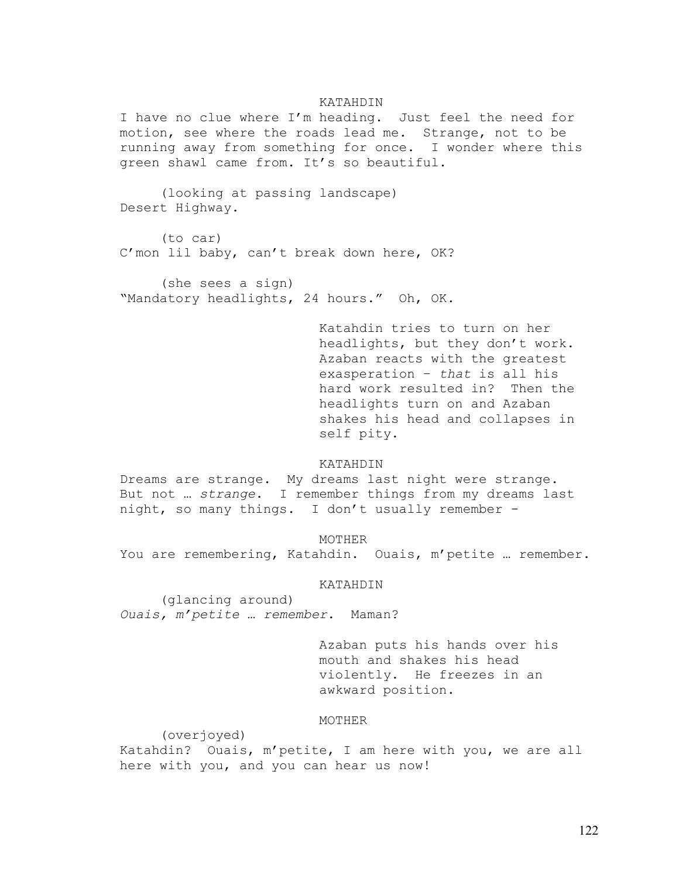## KATAHDIN

I have no clue where I'm heading. Just feel the need for motion, see where the roads lead me. Strange, not to be running away from something for once. I wonder where this green shawl came from. It's so beautiful.

 (looking at passing landscape) Desert Highway.

 (to car) C'mon lil baby, can't break down here, OK?

 (she sees a sign) "Mandatory headlights, 24 hours." Oh, OK.

> Katahdin tries to turn on her headlights, but they don't work. Azaban reacts with the greatest exasperation – *that* is all his hard work resulted in? Then the headlights turn on and Azaban shakes his head and collapses in self pity.

## KATAHDIN

Dreams are strange. My dreams last night were strange. But not … *strange*. I remember things from my dreams last night, so many things. I don't usually remember -

MOTHER

You are remembering, Katahdin. Ouais, m'petite … remember.

KATAHDIN

 (glancing around) *Ouais, m'petite … remember*. Maman?

> Azaban puts his hands over his mouth and shakes his head violently. He freezes in an awkward position.

# MOTHER

(overjoyed) Katahdin? Ouais, m'petite, I am here with you, we are all here with you, and you can hear us now!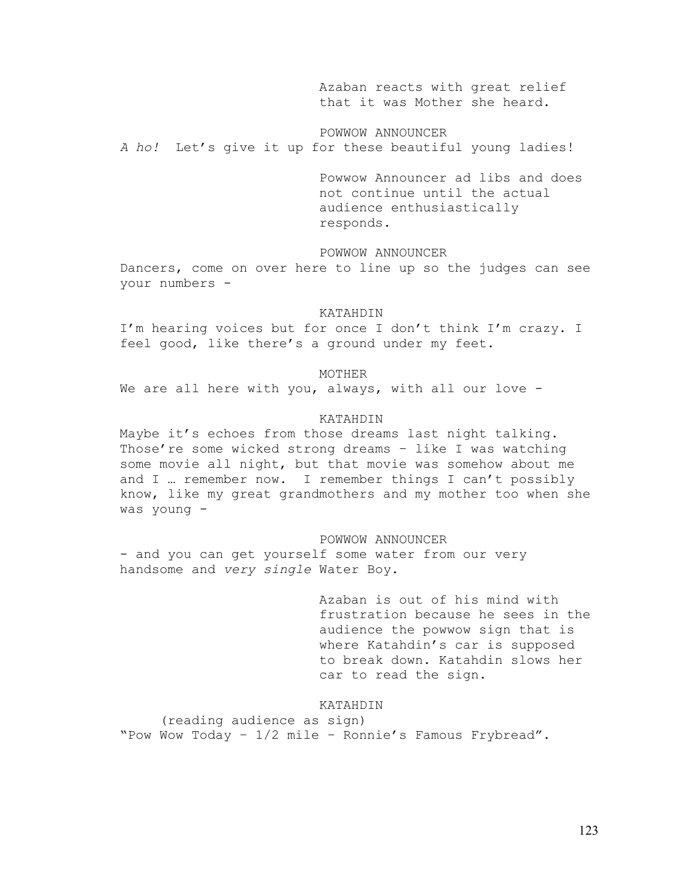Azaban reacts with great relief that it was Mother she heard.

POWWOW ANNOUNCER *A ho!* Let's give it up for these beautiful young ladies!

> Powwow Announcer ad libs and does not continue until the actual audience enthusiastically responds.

POWWOW ANNOUNCER

Dancers, come on over here to line up so the judges can see your numbers -

### KATAHDIN

I'm hearing voices but for once I don't think I'm crazy. I feel good, like there's a ground under my feet.

## MOTHER

We are all here with you, always, with all our love -

## KATAHDIN

Maybe it's echoes from those dreams last night talking. Those're some wicked strong dreams – like I was watching some movie all night, but that movie was somehow about me and I … remember now. I remember things I can't possibly know, like my great grandmothers and my mother too when she was young -

### POWWOW ANNOUNCER

- and you can get yourself some water from our very handsome and *very single* Water Boy.

> Azaban is out of his mind with frustration because he sees in the audience the powwow sign that is where Katahdin's car is supposed to break down. Katahdin slows her car to read the sign.

# KATAHDIN

 (reading audience as sign) "Pow Wow Today – 1/2 mile – Ronnie's Famous Frybread".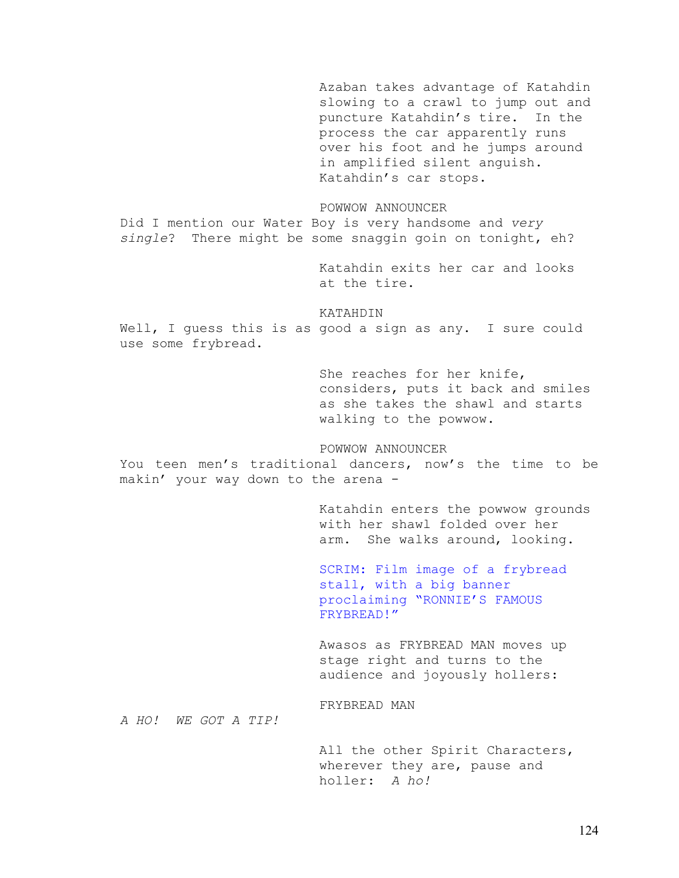Azaban takes advantage of Katahdin slowing to a crawl to jump out and puncture Katahdin's tire. In the process the car apparently runs over his foot and he jumps around in amplified silent anguish. Katahdin's car stops. POWWOW ANNOUNCER Did I mention our Water Boy is very handsome and *very single*? There might be some snaggin goin on tonight, eh? Katahdin exits her car and looks at the tire. KATAHDIN Well, I guess this is as good a sign as any. I sure could use some frybread. She reaches for her knife, considers, puts it back and smiles as she takes the shawl and starts walking to the powwow. POWWOW ANNOUNCER You teen men's traditional dancers, now's the time to be makin' your way down to the arena - Katahdin enters the powwow grounds with her shawl folded over her arm. She walks around, looking. SCRIM: Film image of a frybread stall, with a big banner proclaiming "RONNIE'S FAMOUS FRYBREAD!" Awasos as FRYBREAD MAN moves up stage right and turns to the audience and joyously hollers: FRYBREAD MAN *A HO! WE GOT A TIP!* 

All the other Spirit Characters, wherever they are, pause and holler: *A ho!*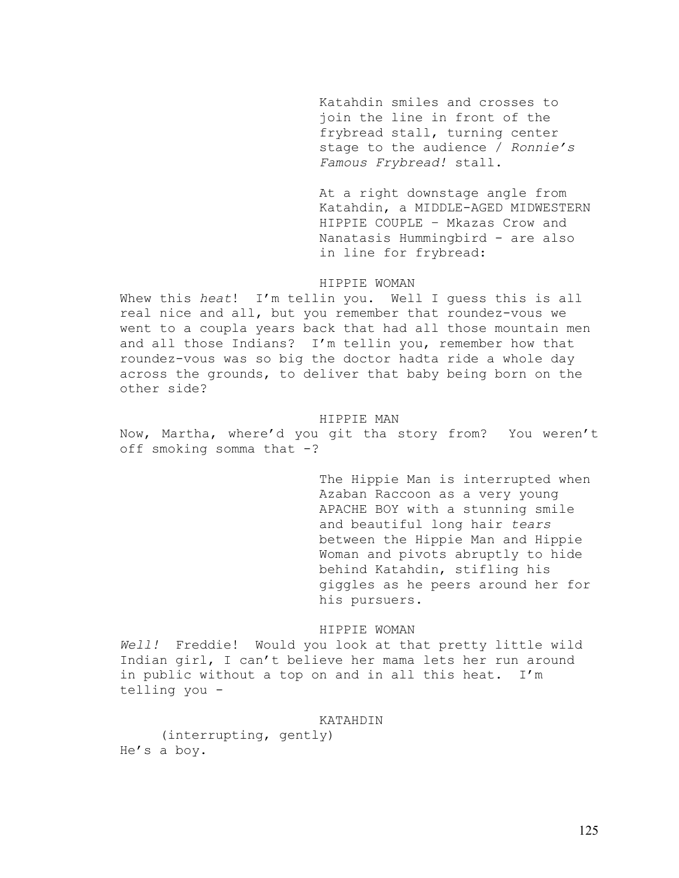Katahdin smiles and crosses to join the line in front of the frybread stall, turning center stage to the audience / *Ronnie's Famous Frybread!* stall.

At a right downstage angle from Katahdin, a MIDDLE-AGED MIDWESTERN HIPPIE COUPLE – Mkazas Crow and Nanatasis Hummingbird - are also in line for frybread:

## HIPPIE WOMAN

Whew this *heat*! I'm tellin you. Well I guess this is all real nice and all, but you remember that roundez-vous we went to a coupla years back that had all those mountain men and all those Indians? I'm tellin you, remember how that roundez-vous was so big the doctor hadta ride a whole day across the grounds, to deliver that baby being born on the other side?

### HIPPIE MAN

Now, Martha, where'd you git tha story from? You weren't off smoking somma that  $-?$ 

> The Hippie Man is interrupted when Azaban Raccoon as a very young APACHE BOY with a stunning smile and beautiful long hair *tears* between the Hippie Man and Hippie Woman and pivots abruptly to hide behind Katahdin, stifling his giggles as he peers around her for his pursuers.

# HIPPIE WOMAN

*Well!* Freddie! Would you look at that pretty little wild Indian girl, I can't believe her mama lets her run around in public without a top on and in all this heat. I'm telling you -

# KATAHDIN

(interrupting, gently) He's a boy.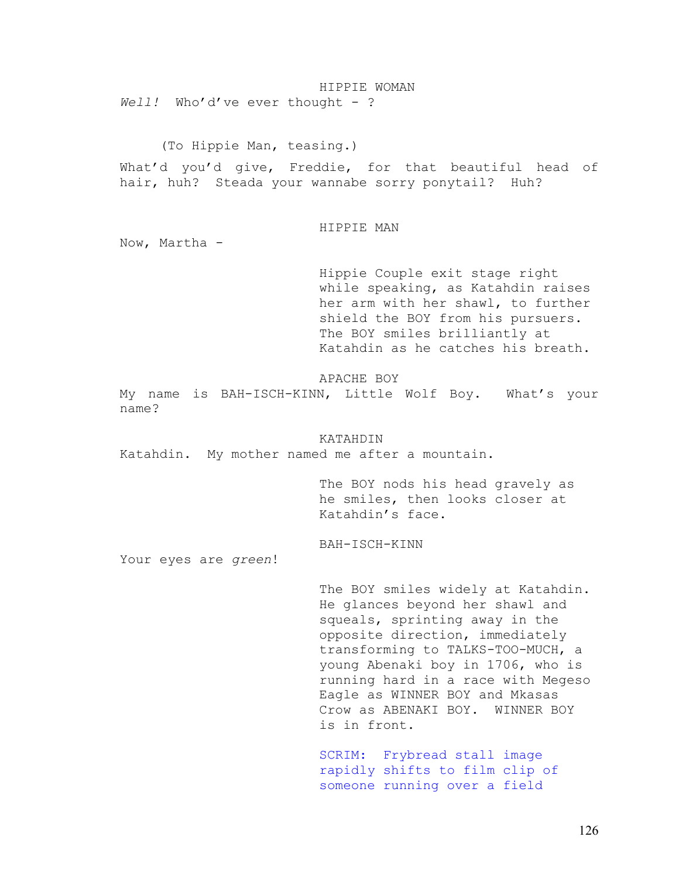HIPPIE WOMAN Well! Who'd've ever thought - ?

(To Hippie Man, teasing.)

What'd you'd give, Freddie, for that beautiful head of hair, huh? Steada your wannabe sorry ponytail? Huh?

## HIPPIE MAN

Now, Martha -

Hippie Couple exit stage right while speaking, as Katahdin raises her arm with her shawl, to further shield the BOY from his pursuers. The BOY smiles brilliantly at Katahdin as he catches his breath.

APACHE BOY

My name is BAH-ISCH-KINN, Little Wolf Boy. What's your name?

KATAHDIN Katahdin. My mother named me after a mountain.

> The BOY nods his head gravely as he smiles, then looks closer at Katahdin's face.

BAH-ISCH-KINN

Your eyes are *green*!

The BOY smiles widely at Katahdin. He glances beyond her shawl and squeals, sprinting away in the opposite direction, immediately transforming to TALKS-TOO-MUCH, a young Abenaki boy in 1706, who is running hard in a race with Megeso Eagle as WINNER BOY and Mkasas Crow as ABENAKI BOY. WINNER BOY is in front.

SCRIM: Frybread stall image rapidly shifts to film clip of someone running over a field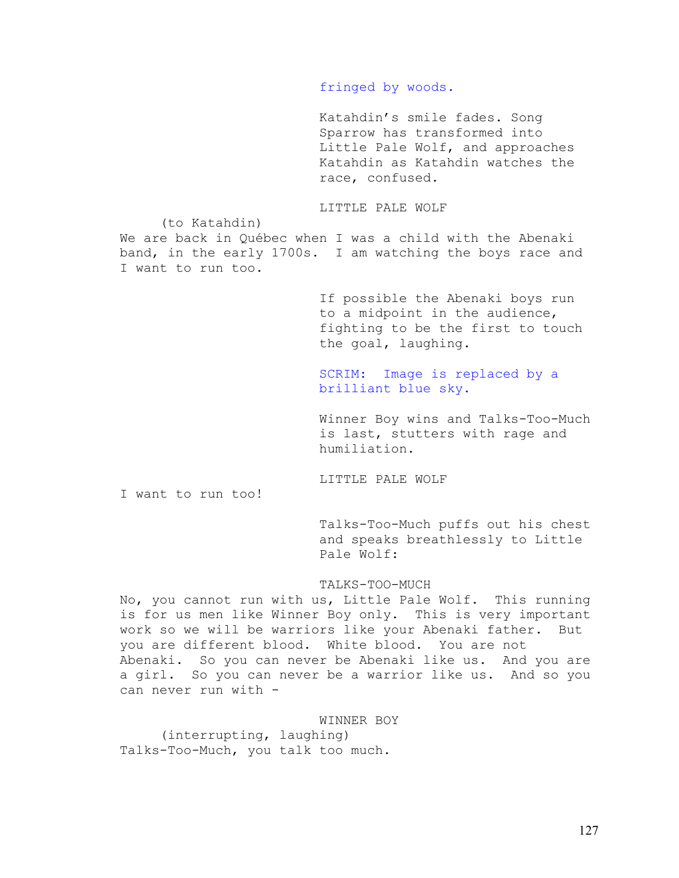# fringed by woods.

Katahdin's smile fades. Song Sparrow has transformed into Little Pale Wolf, and approaches Katahdin as Katahdin watches the race, confused.

LITTLE PALE WOLF

(to Katahdin)

We are back in Québec when I was a child with the Abenaki band, in the early 1700s. I am watching the boys race and I want to run too.

> If possible the Abenaki boys run to a midpoint in the audience, fighting to be the first to touch the goal, laughing.

# SCRIM: Image is replaced by a brilliant blue sky.

Winner Boy wins and Talks-Too-Much is last, stutters with rage and humiliation.

LITTLE PALE WOLF

I want to run too!

Talks-Too-Much puffs out his chest and speaks breathlessly to Little Pale Wolf:

# TALKS-TOO-MUCH

No, you cannot run with us, Little Pale Wolf. This running is for us men like Winner Boy only. This is very important work so we will be warriors like your Abenaki father. But you are different blood. White blood. You are not Abenaki. So you can never be Abenaki like us. And you are a girl. So you can never be a warrior like us. And so you can never run with -

# WINNER BOY

 (interrupting, laughing) Talks-Too-Much, you talk too much.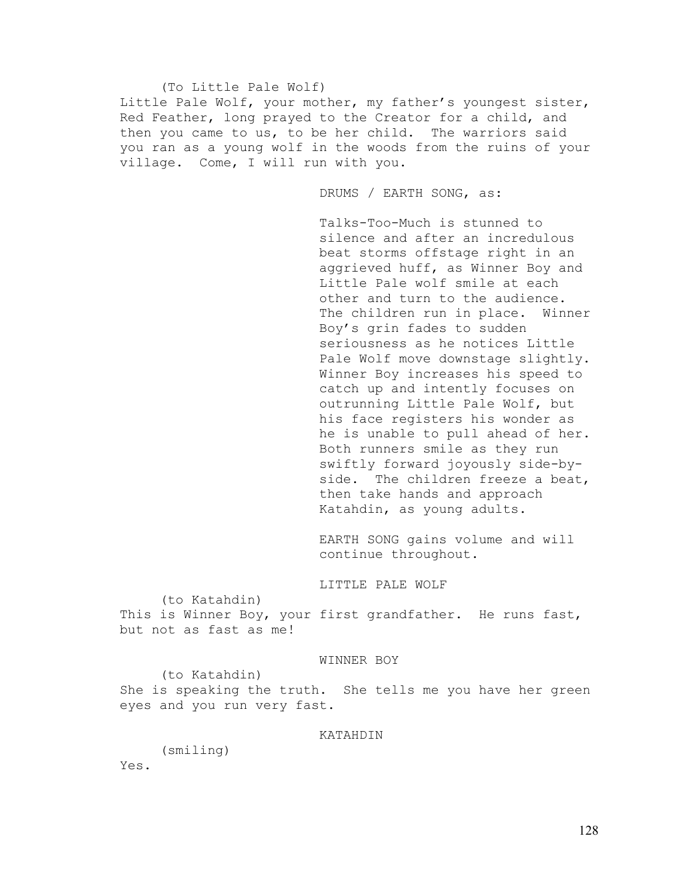## (To Little Pale Wolf)

Little Pale Wolf, your mother, my father's youngest sister, Red Feather, long prayed to the Creator for a child, and then you came to us, to be her child. The warriors said you ran as a young wolf in the woods from the ruins of your village. Come, I will run with you.

DRUMS / EARTH SONG, as:

Talks-Too-Much is stunned to silence and after an incredulous beat storms offstage right in an aggrieved huff, as Winner Boy and Little Pale wolf smile at each other and turn to the audience. The children run in place. Winner Boy's grin fades to sudden seriousness as he notices Little Pale Wolf move downstage slightly. Winner Boy increases his speed to catch up and intently focuses on outrunning Little Pale Wolf, but his face registers his wonder as he is unable to pull ahead of her. Both runners smile as they run swiftly forward joyously side-byside. The children freeze a beat, then take hands and approach Katahdin, as young adults.

EARTH SONG gains volume and will continue throughout.

# LITTLE PALE WOLF

 (to Katahdin) This is Winner Boy, your first grandfather. He runs fast, but not as fast as me!

## WINNER BOY

 (to Katahdin) She is speaking the truth. She tells me you have her green eyes and you run very fast.

## KATAHDIN

(smiling)

Yes.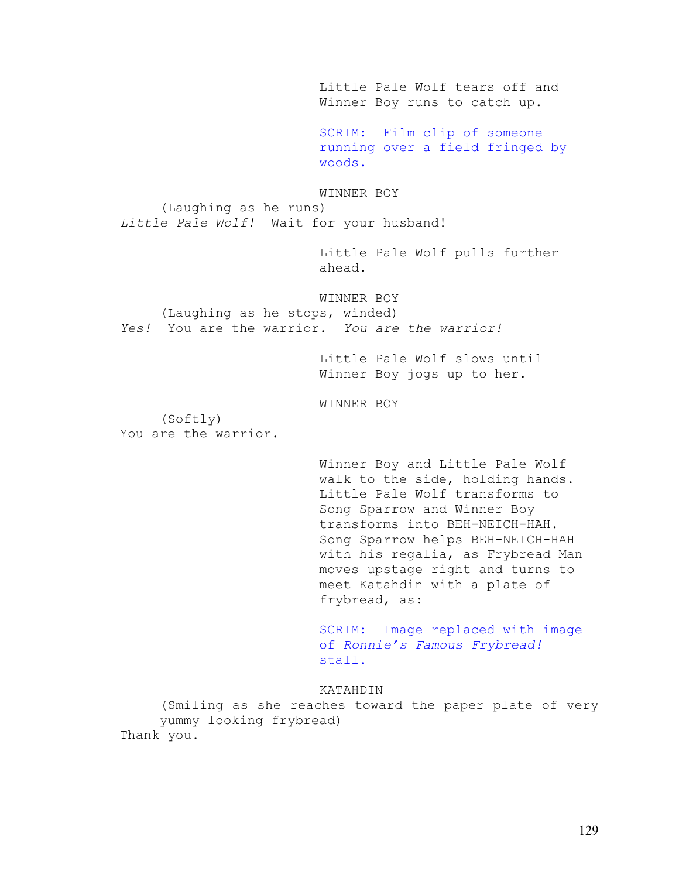Little Pale Wolf tears off and Winner Boy runs to catch up.

SCRIM: Film clip of someone running over a field fringed by woods.

WINNER BOY (Laughing as he runs) *Little Pale Wolf!* Wait for your husband!

> Little Pale Wolf pulls further ahead.

WINNER BOY (Laughing as he stops, winded) *Yes!* You are the warrior. *You are the warrior!* 

> Little Pale Wolf slows until Winner Boy jogs up to her.

WINNER BOY

(Softly) You are the warrior.

> Winner Boy and Little Pale Wolf walk to the side, holding hands. Little Pale Wolf transforms to Song Sparrow and Winner Boy transforms into BEH-NEICH-HAH. Song Sparrow helps BEH-NEICH-HAH with his regalia, as Frybread Man moves upstage right and turns to meet Katahdin with a plate of frybread, as:

> SCRIM: Image replaced with image of *Ronnie's Famous Frybread!* stall.

KATAHDIN

(Smiling as she reaches toward the paper plate of very yummy looking frybread) Thank you.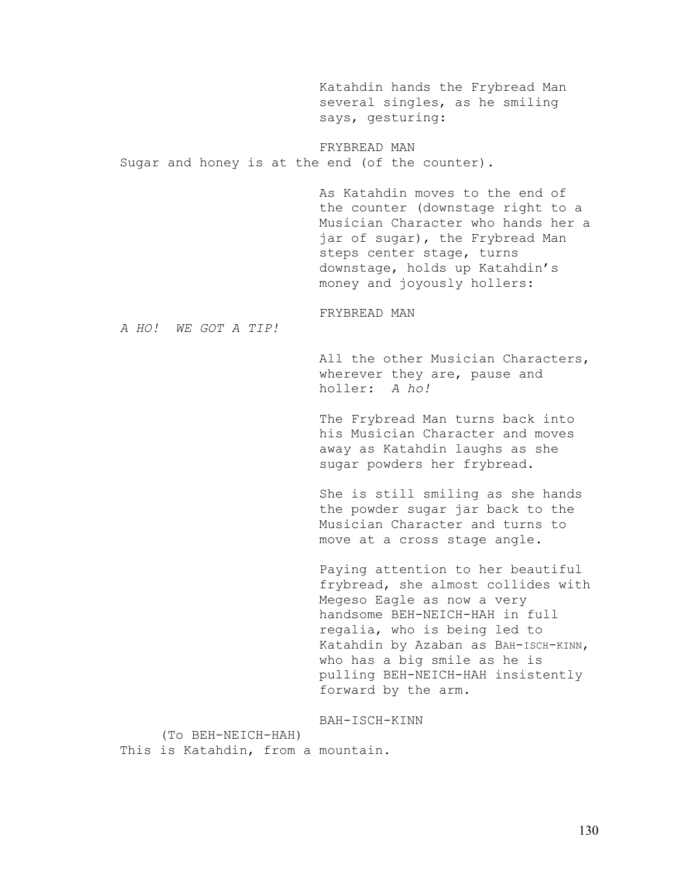Katahdin hands the Frybread Man several singles, as he smiling says, gesturing:

# FRYBREAD MAN

Sugar and honey is at the end (of the counter).

As Katahdin moves to the end of the counter (downstage right to a Musician Character who hands her a jar of sugar), the Frybread Man steps center stage, turns downstage, holds up Katahdin's money and joyously hollers:

FRYBREAD MAN

*A HO! WE GOT A TIP!* 

All the other Musician Characters, wherever they are, pause and holler: *A ho!* 

The Frybread Man turns back into his Musician Character and moves away as Katahdin laughs as she sugar powders her frybread.

She is still smiling as she hands the powder sugar jar back to the Musician Character and turns to move at a cross stage angle.

Paying attention to her beautiful frybread, she almost collides with Megeso Eagle as now a very handsome BEH-NEICH-HAH in full regalia, who is being led to Katahdin by Azaban as BAH-ISCH-KINN, who has a big smile as he is pulling BEH-NEICH-HAH insistently forward by the arm.

BAH-ISCH-KINN

(To BEH-NEICH-HAH) This is Katahdin, from a mountain.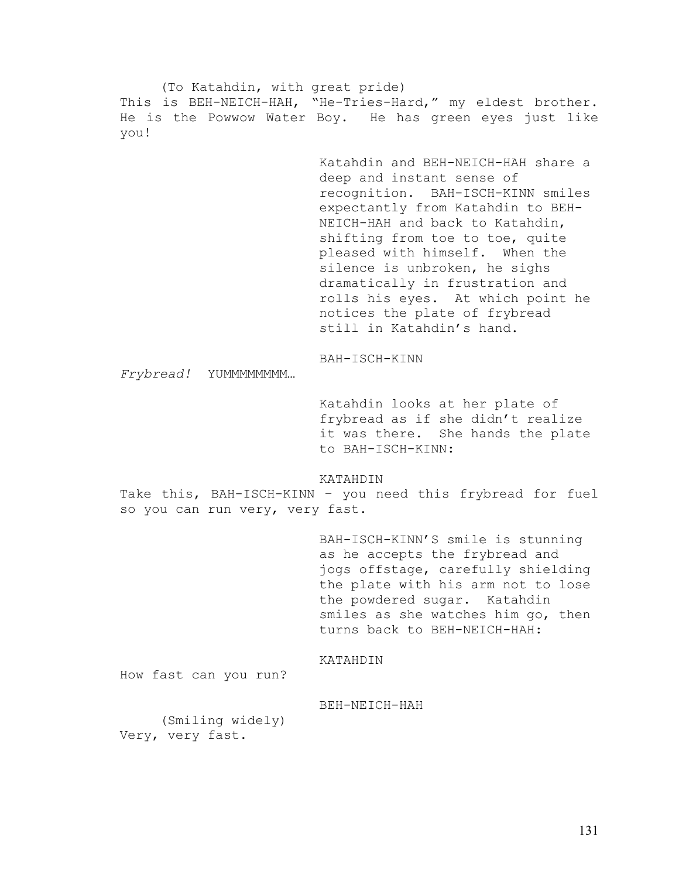(To Katahdin, with great pride) This is BEH-NEICH-HAH, "He-Tries-Hard," my eldest brother. He is the Powwow Water Boy. He has green eyes just like you! Katahdin and BEH-NEICH-HAH share a deep and instant sense of recognition. BAH-ISCH-KINN smiles expectantly from Katahdin to BEH-NEICH-HAH and back to Katahdin, shifting from toe to toe, quite pleased with himself. When the silence is unbroken, he sighs dramatically in frustration and rolls his eyes. At which point he notices the plate of frybread still in Katahdin's hand. BAH-ISCH-KINN *Frybread!* YUMMMMMMMM… Katahdin looks at her plate of frybread as if she didn't realize it was there. She hands the plate to BAH-ISCH-KINN: KATAHDIN Take this, BAH-ISCH-KINN – you need this frybread for fuel so you can run very, very fast. BAH-ISCH-KINN'S smile is stunning as he accepts the frybread and jogs offstage, carefully shielding the plate with his arm not to lose the powdered sugar. Katahdin smiles as she watches him go, then turns back to BEH-NEICH-HAH: KATAHDIN How fast can you run? BEH-NEICH-HAH (Smiling widely) Very, very fast.

131